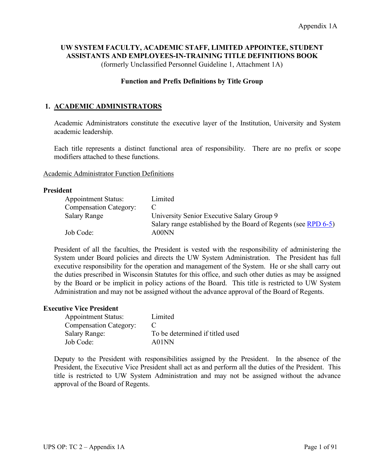# **UW SYSTEM FACULTY, ACADEMIC STAFF, LIMITED APPOINTEE, STUDENT ASSISTANTS AND EMPLOYEES-IN-TRAINING TITLE DEFINITIONS BOOK**

(formerly Unclassified Personnel Guideline 1, Attachment 1A)

## **Function and Prefix Definitions by Title Group**

# **1. ACADEMIC ADMINISTRATORS**

Academic Administrators constitute the executive layer of the Institution, University and System academic leadership.

Each title represents a distinct functional area of responsibility. There are no prefix or scope modifiers attached to these functions.

#### Academic Administrator Function Definitions

### **President**

| <b>Appointment Status:</b>    | Limited                                                        |
|-------------------------------|----------------------------------------------------------------|
| <b>Compensation Category:</b> |                                                                |
| <b>Salary Range</b>           | University Senior Executive Salary Group 9                     |
|                               | Salary range established by the Board of Regents (see RPD 6-5) |
| Job Code:                     | A00NN                                                          |

President of all the faculties, the President is vested with the responsibility of administering the System under Board policies and directs the UW System Administration. The President has full executive responsibility for the operation and management of the System. He or she shall carry out the duties prescribed in Wisconsin Statutes for this office, and such other duties as may be assigned by the Board or be implicit in policy actions of the Board. This title is restricted to UW System Administration and may not be assigned without the advance approval of the Board of Regents.

### **Executive Vice President**

| <b>Appointment Status:</b>    | Limited                         |
|-------------------------------|---------------------------------|
| <b>Compensation Category:</b> |                                 |
| <b>Salary Range:</b>          | To be determined if titled used |
| Job Code:                     | A01NN                           |

Deputy to the President with responsibilities assigned by the President. In the absence of the President, the Executive Vice President shall act as and perform all the duties of the President. This title is restricted to UW System Administration and may not be assigned without the advance approval of the Board of Regents.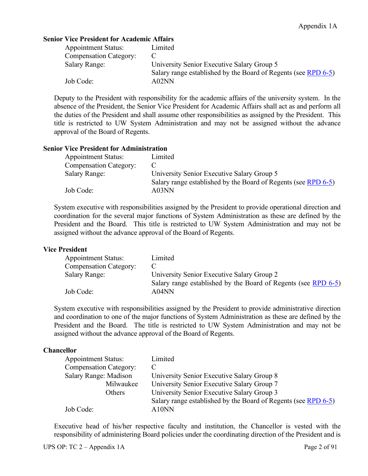## **Senior Vice President for Academic Affairs**

| <b>Appointment Status:</b>    | Limited                                                        |
|-------------------------------|----------------------------------------------------------------|
| <b>Compensation Category:</b> |                                                                |
| <b>Salary Range:</b>          | University Senior Executive Salary Group 5                     |
|                               | Salary range established by the Board of Regents (see RPD 6-5) |
| Job Code:                     | A02NN                                                          |

Deputy to the President with responsibility for the academic affairs of the university system. In the absence of the President, the Senior Vice President for Academic Affairs shall act as and perform all the duties of the President and shall assume other responsibilities as assigned by the President. This title is restricted to UW System Administration and may not be assigned without the advance approval of the Board of Regents.

### **Senior Vice President for Administration**

| <b>Appointment Status:</b>    | Limited                                                        |
|-------------------------------|----------------------------------------------------------------|
| <b>Compensation Category:</b> |                                                                |
| <b>Salary Range:</b>          | University Senior Executive Salary Group 5                     |
|                               | Salary range established by the Board of Regents (see RPD 6-5) |
| Job Code:                     | A03NN                                                          |

System executive with responsibilities assigned by the President to provide operational direction and coordination for the several major functions of System Administration as these are defined by the President and the Board. This title is restricted to UW System Administration and may not be assigned without the advance approval of the Board of Regents.

### **Vice President**

| <b>Appointment Status:</b>    | Limited                                                        |
|-------------------------------|----------------------------------------------------------------|
| <b>Compensation Category:</b> |                                                                |
| <b>Salary Range:</b>          | University Senior Executive Salary Group 2                     |
|                               | Salary range established by the Board of Regents (see RPD 6-5) |
| Job Code:                     | A04NN                                                          |

System executive with responsibilities assigned by the President to provide administrative direction and coordination to one of the major functions of System Administration as these are defined by the President and the Board. The title is restricted to UW System Administration and may not be assigned without the advance approval of the Board of Regents.

## **Chancellor**

| <b>Appointment Status:</b>    | Limited                                                        |
|-------------------------------|----------------------------------------------------------------|
| <b>Compensation Category:</b> |                                                                |
| Salary Range: Madison         | University Senior Executive Salary Group 8                     |
| Milwaukee                     | University Senior Executive Salary Group 7                     |
| Others                        | University Senior Executive Salary Group 3                     |
|                               | Salary range established by the Board of Regents (see RPD 6-5) |
| Job Code:                     | A10NN                                                          |

Executive head of his/her respective faculty and institution, the Chancellor is vested with the responsibility of administering Board policies under the coordinating direction of the President and is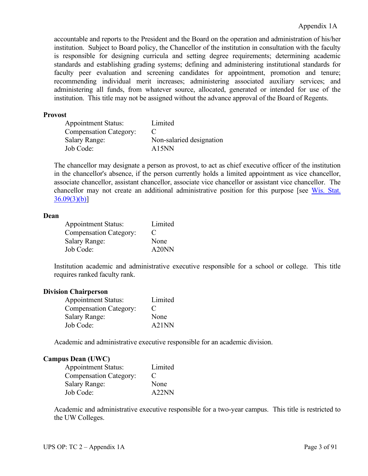accountable and reports to the President and the Board on the operation and administration of his/her institution. Subject to Board policy, the Chancellor of the institution in consultation with the faculty is responsible for designing curricula and setting degree requirements; determining academic standards and establishing grading systems; defining and administering institutional standards for faculty peer evaluation and screening candidates for appointment, promotion and tenure; recommending individual merit increases; administering associated auxiliary services; and administering all funds, from whatever source, allocated, generated or intended for use of the institution. This title may not be assigned without the advance approval of the Board of Regents.

### **Provost**

| <b>Appointment Status:</b>    | Limited                  |
|-------------------------------|--------------------------|
| <b>Compensation Category:</b> |                          |
| <b>Salary Range:</b>          | Non-salaried designation |
| Job Code:                     | A15NN                    |

The chancellor may designate a person as provost, to act as chief executive officer of the institution in the chancellor's absence, if the person currently holds a limited appointment as vice chancellor, associate chancellor, assistant chancellor, associate vice chancellor or assistant vice chancellor. The chancellor may not create an additional administrative position for this purpose [see Wis. Stat.  $36.09(3)(b)$ ]

### **Dean**

| <b>Appointment Status:</b>    | Limited     |
|-------------------------------|-------------|
| <b>Compensation Category:</b> | $\mathbf C$ |
| <b>Salary Range:</b>          | None        |
| Job Code:                     | A20NN       |

Institution academic and administrative executive responsible for a school or college. This title requires ranked faculty rank.

## **Division Chairperson**

| <b>Appointment Status:</b>    | Limited |
|-------------------------------|---------|
| <b>Compensation Category:</b> | €       |
| <b>Salary Range:</b>          | None    |
| Job Code:                     | A21NN   |

Academic and administrative executive responsible for an academic division.

## **Campus Dean (UWC)**

| <b>Appointment Status:</b>    | Limited |
|-------------------------------|---------|
| <b>Compensation Category:</b> | €       |
| <b>Salary Range:</b>          | None    |
| Job Code:                     | A22NN   |

Academic and administrative executive responsible for a two-year campus. This title is restricted to the UW Colleges.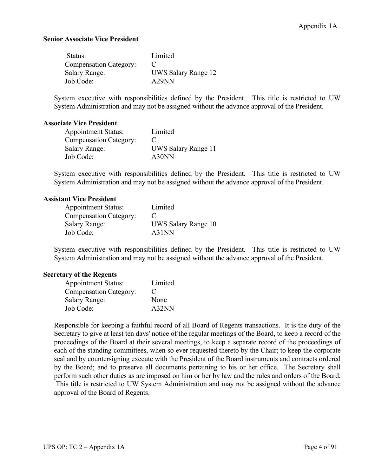## **Senior Associate Vice President**

| Status:                       | Limited             |
|-------------------------------|---------------------|
| <b>Compensation Category:</b> |                     |
| <b>Salary Range:</b>          | UWS Salary Range 12 |
| Job Code:                     | A29NN               |

System executive with responsibilities defined by the President. This title is restricted to UW System Administration and may not be assigned without the advance approval of the President.

### **Associate Vice President**

| <b>Appointment Status:</b>    | Limited             |
|-------------------------------|---------------------|
| <b>Compensation Category:</b> | €                   |
| <b>Salary Range:</b>          | UWS Salary Range 11 |
| Job Code:                     | A30NN               |

System executive with responsibilities defined by the President. This title is restricted to UW System Administration and may not be assigned without the advance approval of the President.

#### **Assistant Vice President**

| <b>Appointment Status:</b>    | Limited                 |
|-------------------------------|-------------------------|
| <b>Compensation Category:</b> | $\mathbf{\mathfrak{c}}$ |
| <b>Salary Range:</b>          | UWS Salary Range 10     |
| Job Code:                     | A31NN                   |

System executive with responsibilities defined by the President. This title is restricted to UW System Administration and may not be assigned without the advance approval of the President.

### **Secretary of the Regents**

| <b>Appointment Status:</b>    | Limited     |
|-------------------------------|-------------|
| <b>Compensation Category:</b> | $\mathbf C$ |
| <b>Salary Range:</b>          | None        |
| Job Code:                     | A32NN       |

Responsible for keeping a faithful record of all Board of Regents transactions. It is the duty of the Secretary to give at least ten days' notice of the regular meetings of the Board, to keep a record of the proceedings of the Board at their several meetings, to keep a separate record of the proceedings of each of the standing committees, when so ever requested thereto by the Chair; to keep the corporate seal and by countersigning execute with the President of the Board instruments and contracts ordered by the Board; and to preserve all documents pertaining to his or her office. The Secretary shall perform such other duties as are imposed on him or her by law and the rules and orders of the Board. This title is restricted to UW System Administration and may not be assigned without the advance approval of the Board of Regents.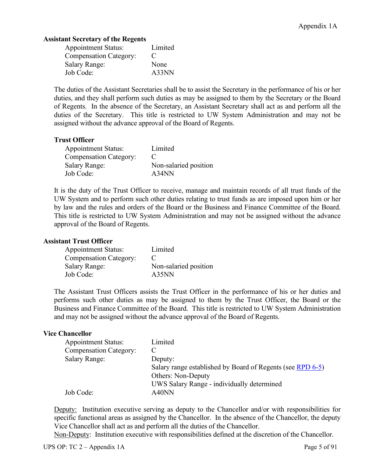# **Assistant Secretary of the Regents**

| <b>Appointment Status:</b>    | Limited     |
|-------------------------------|-------------|
| <b>Compensation Category:</b> | $\mathbf C$ |
| <b>Salary Range:</b>          | None        |
| Job Code:                     | A33NN       |

The duties of the Assistant Secretaries shall be to assist the Secretary in the performance of his or her duties, and they shall perform such duties as may be assigned to them by the Secretary or the Board of Regents. In the absence of the Secretary, an Assistant Secretary shall act as and perform all the duties of the Secretary. This title is restricted to UW System Administration and may not be assigned without the advance approval of the Board of Regents.

# **Trust Officer**

| <b>Appointment Status:</b>    | Limited               |
|-------------------------------|-----------------------|
| <b>Compensation Category:</b> |                       |
| <b>Salary Range:</b>          | Non-salaried position |
| Job Code:                     | A34NN                 |

It is the duty of the Trust Officer to receive, manage and maintain records of all trust funds of the UW System and to perform such other duties relating to trust funds as are imposed upon him or her by law and the rules and orders of the Board or the Business and Finance Committee of the Board. This title is restricted to UW System Administration and may not be assigned without the advance approval of the Board of Regents.

## **Assistant Trust Officer**

| <b>Appointment Status:</b>    | Limited               |
|-------------------------------|-----------------------|
| <b>Compensation Category:</b> |                       |
| <b>Salary Range:</b>          | Non-salaried position |
| Job Code:                     | A35NN                 |

The Assistant Trust Officers assists the Trust Officer in the performance of his or her duties and performs such other duties as may be assigned to them by the Trust Officer, the Board or the Business and Finance Committee of the Board. This title is restricted to UW System Administration and may not be assigned without the advance approval of the Board of Regents.

## **Vice Chancellor**

| <b>Appointment Status:</b>    | Limited                                                    |
|-------------------------------|------------------------------------------------------------|
| <b>Compensation Category:</b> |                                                            |
| <b>Salary Range:</b>          | Deputy:                                                    |
|                               | Salary range established by Board of Regents (see RPD 6-5) |
|                               | <b>Others: Non-Deputy</b>                                  |
|                               | UWS Salary Range - individually determined                 |
| Job Code:                     | A40NN                                                      |

Deputy: Institution executive serving as deputy to the Chancellor and/or with responsibilities for specific functional areas as assigned by the Chancellor. In the absence of the Chancellor, the deputy Vice Chancellor shall act as and perform all the duties of the Chancellor.

Non-Deputy: Institution executive with responsibilities defined at the discretion of the Chancellor.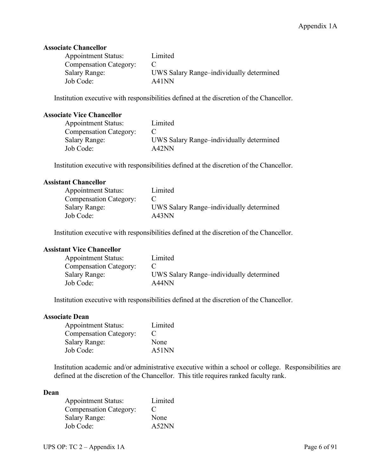# **Associate Chancellor**

| <b>Appointment Status:</b>    | Limited                                  |
|-------------------------------|------------------------------------------|
| <b>Compensation Category:</b> |                                          |
| <b>Salary Range:</b>          | UWS Salary Range-individually determined |
| Job Code:                     | A41NN                                    |

Institution executive with responsibilities defined at the discretion of the Chancellor.

### **Associate Vice Chancellor**

| <b>Appointment Status:</b>    | Limited                                  |
|-------------------------------|------------------------------------------|
| <b>Compensation Category:</b> |                                          |
| <b>Salary Range:</b>          | UWS Salary Range-individually determined |
| Job Code:                     | A42NN                                    |

Institution executive with responsibilities defined at the discretion of the Chancellor.

## **Assistant Chancellor**

| <b>Appointment Status:</b>    | Limited                                  |
|-------------------------------|------------------------------------------|
| <b>Compensation Category:</b> |                                          |
| <b>Salary Range:</b>          | UWS Salary Range-individually determined |
| Job Code:                     | A43NN                                    |

Institution executive with responsibilities defined at the discretion of the Chancellor.

### **Assistant Vice Chancellor**

| <b>Appointment Status:</b>    | Limited                                  |
|-------------------------------|------------------------------------------|
| <b>Compensation Category:</b> |                                          |
| <b>Salary Range:</b>          | UWS Salary Range-individually determined |
| Job Code:                     | A44NN                                    |

Institution executive with responsibilities defined at the discretion of the Chancellor.

### **Associate Dean**

| <b>Appointment Status:</b>    | Limited     |
|-------------------------------|-------------|
| <b>Compensation Category:</b> | $\mathbf C$ |
| <b>Salary Range:</b>          | None        |
| Job Code:                     | A51NN       |

Institution academic and/or administrative executive within a school or college. Responsibilities are defined at the discretion of the Chancellor. This title requires ranked faculty rank.

### **Dean**

| <b>Appointment Status:</b>    | Limited     |
|-------------------------------|-------------|
| <b>Compensation Category:</b> | $\mathbf C$ |
| <b>Salary Range:</b>          | None        |
| Job Code:                     | A52NN       |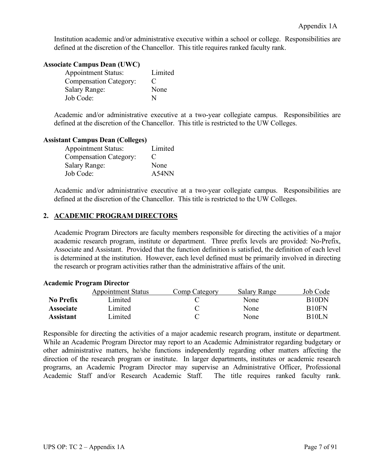Institution academic and/or administrative executive within a school or college. Responsibilities are defined at the discretion of the Chancellor. This title requires ranked faculty rank.

## **Associate Campus Dean (UWC)**

| <b>Appointment Status:</b>    | Limited     |
|-------------------------------|-------------|
| <b>Compensation Category:</b> | $\mathbf C$ |
| <b>Salary Range:</b>          | None        |
| Job Code:                     | N           |

Academic and/or administrative executive at a two-year collegiate campus. Responsibilities are defined at the discretion of the Chancellor. This title is restricted to the UW Colleges.

### **Assistant Campus Dean (Colleges)**

| <b>Appointment Status:</b>    | Limited |
|-------------------------------|---------|
| <b>Compensation Category:</b> | €       |
| <b>Salary Range:</b>          | None    |
| Job Code:                     | A54NN   |

Academic and/or administrative executive at a two-year collegiate campus. Responsibilities are defined at the discretion of the Chancellor. This title is restricted to the UW Colleges.

# **2. ACADEMIC PROGRAM DIRECTORS**

Academic Program Directors are faculty members responsible for directing the activities of a major academic research program, institute or department. Three prefix levels are provided: No-Prefix, Associate and Assistant. Provided that the function definition is satisfied, the definition of each level is determined at the institution. However, each level defined must be primarily involved in directing the research or program activities rather than the administrative affairs of the unit.

### **Academic Program Director**

|                  | <b>Appointment Status</b> | Comp Category | <b>Salary Range</b> | Job Code           |
|------------------|---------------------------|---------------|---------------------|--------------------|
| <b>No Prefix</b> | imited.                   |               | None                | B10DN              |
| <b>Associate</b> | Limited                   |               | None                | B <sub>10FN</sub>  |
| Assistant        | Limited                   |               | None                | B <sub>10</sub> LN |

Responsible for directing the activities of a major academic research program, institute or department. While an Academic Program Director may report to an Academic Administrator regarding budgetary or other administrative matters, he/she functions independently regarding other matters affecting the direction of the research program or institute. In larger departments, institutes or academic research programs, an Academic Program Director may supervise an Administrative Officer, Professional Academic Staff and/or Research Academic Staff. The title requires ranked faculty rank.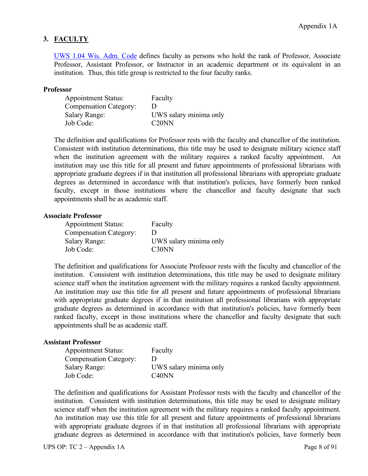# **3. FACULTY**

[UWS 1.04 Wis. Adm. Code](https://docs.legis.wisconsin.gov/code/admin_code/uws/1) defines faculty as persons who hold the rank of Professor, Associate Professor, Assistant Professor, or Instructor in an academic department or its equivalent in an institution. Thus, this title group is restricted to the four faculty ranks.

## **Professor**

| <b>Appointment Status:</b>    | Faculty                |
|-------------------------------|------------------------|
| <b>Compensation Category:</b> | Ð                      |
| <b>Salary Range:</b>          | UWS salary minima only |
| Job Code:                     | C20NN                  |

The definition and qualifications for Professor rests with the faculty and chancellor of the institution. Consistent with institution determinations, this title may be used to designate military science staff when the institution agreement with the military requires a ranked faculty appointment. An institution may use this title for all present and future appointments of professional librarians with appropriate graduate degrees if in that institution all professional librarians with appropriate graduate degrees as determined in accordance with that institution's policies, have formerly been ranked faculty, except in those institutions where the chancellor and faculty designate that such appointments shall be as academic staff.

### **Associate Professor**

| <b>Appointment Status:</b>    | Faculty                |
|-------------------------------|------------------------|
| <b>Compensation Category:</b> |                        |
| <b>Salary Range:</b>          | UWS salary minima only |
| Job Code:                     | C <sub>30</sub> NN     |

The definition and qualifications for Associate Professor rests with the faculty and chancellor of the institution. Consistent with institution determinations, this title may be used to designate military science staff when the institution agreement with the military requires a ranked faculty appointment. An institution may use this title for all present and future appointments of professional librarians with appropriate graduate degrees if in that institution all professional librarians with appropriate graduate degrees as determined in accordance with that institution's policies, have formerly been ranked faculty, except in those institutions where the chancellor and faculty designate that such appointments shall be as academic staff.

## **Assistant Professor**

| <b>Appointment Status:</b>    | Faculty                        |
|-------------------------------|--------------------------------|
| <b>Compensation Category:</b> |                                |
| <b>Salary Range:</b>          | UWS salary minima only         |
| Job Code:                     | C <sub>40</sub> N <sub>N</sub> |

The definition and qualifications for Assistant Professor rests with the faculty and chancellor of the institution. Consistent with institution determinations, this title may be used to designate military science staff when the institution agreement with the military requires a ranked faculty appointment. An institution may use this title for all present and future appointments of professional librarians with appropriate graduate degrees if in that institution all professional librarians with appropriate graduate degrees as determined in accordance with that institution's policies, have formerly been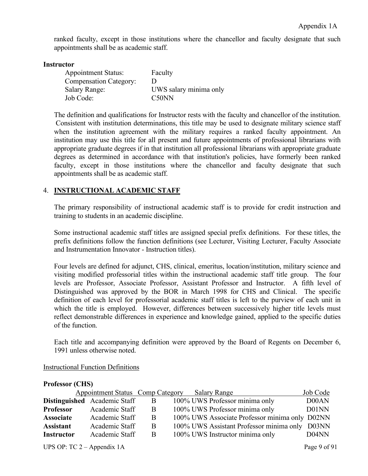ranked faculty, except in those institutions where the chancellor and faculty designate that such appointments shall be as academic staff.

## **Instructor**

| <b>Appointment Status:</b>    | Faculty                |
|-------------------------------|------------------------|
| <b>Compensation Category:</b> |                        |
| <b>Salary Range:</b>          | UWS salary minima only |
| Job Code:                     | C <sub>50</sub> NN     |

The definition and qualifications for Instructor rests with the faculty and chancellor of the institution. Consistent with institution determinations, this title may be used to designate military science staff when the institution agreement with the military requires a ranked faculty appointment. An institution may use this title for all present and future appointments of professional librarians with appropriate graduate degrees if in that institution all professional librarians with appropriate graduate degrees as determined in accordance with that institution's policies, have formerly been ranked faculty, except in those institutions where the chancellor and faculty designate that such appointments shall be as academic staff.

# 4. **INSTRUCTIONAL ACADEMIC STAFF**

The primary responsibility of instructional academic staff is to provide for credit instruction and training to students in an academic discipline.

Some instructional academic staff titles are assigned special prefix definitions. For these titles, the prefix definitions follow the function definitions (see Lecturer, Visiting Lecturer, Faculty Associate and Instrumentation Innovator - Instruction titles).

Four levels are defined for adjunct, CHS, clinical, emeritus, location/institution, military science and visiting modified professorial titles within the instructional academic staff title group. The four levels are Professor, Associate Professor, Assistant Professor and Instructor. A fifth level of Distinguished was approved by the BOR in March 1998 for CHS and Clinical. The specific definition of each level for professorial academic staff titles is left to the purview of each unit in which the title is employed. However, differences between successively higher title levels must reflect demonstrable differences in experience and knowledge gained, applied to the specific duties of the function.

Each title and accompanying definition were approved by the Board of Regents on December 6, 1991 unless otherwise noted.

| TTATARAT TATANI   |                                  |   |                                                |          |
|-------------------|----------------------------------|---|------------------------------------------------|----------|
|                   | Appointment Status Comp Category |   | <b>Salary Range</b>                            | Job Code |
|                   | Distinguished Academic Staff     | B | 100% UWS Professor minima only                 | D00AN    |
| <b>Professor</b>  | Academic Staff                   | B | 100% UWS Professor minima only                 | D01NN    |
| <b>Associate</b>  | Academic Staff                   | Β | 100% UWS Associate Professor minima only D02NN |          |
| <b>Assistant</b>  | Academic Staff                   | B | 100% UWS Assistant Professor minima only D03NN |          |
| <b>Instructor</b> | Academic Staff                   | B | 100% UWS Instructor minima only                | D04NN    |
|                   |                                  |   |                                                |          |

## Instructional Function Definitions

**Professor (CHS)**

UPS OP:  $TC\ 2 - Appendix\ 1A$  Page 9 of 91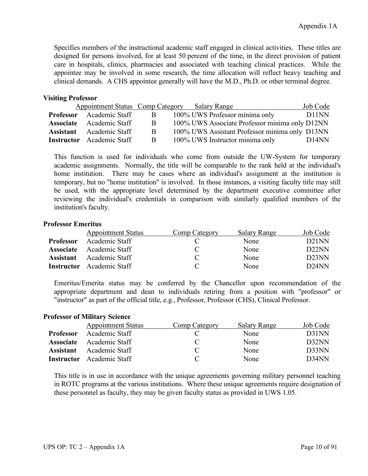Specifies members of the instructional academic staff engaged in clinical activities. These titles are designed for persons involved, for at least 50 percent of the time, in the direct provision of patient care in hospitals, clinics, pharmacies and associated with teaching clinical practices. While the appointee may be involved in some research, the time allocation will reflect heavy teaching and clinical demands. A CHS appointee generally will have the M.D., Ph.D. or other terminal degree.

## **Visiting Professor**

|                                                                                                        |                                 |                                               | Job Code                                                                                                                                                              |
|--------------------------------------------------------------------------------------------------------|---------------------------------|-----------------------------------------------|-----------------------------------------------------------------------------------------------------------------------------------------------------------------------|
| $\mathbf{B}$                                                                                           |                                 |                                               | D <sub>11</sub> NN                                                                                                                                                    |
| B.                                                                                                     |                                 |                                               |                                                                                                                                                                       |
| <sup>B</sup>                                                                                           |                                 |                                               |                                                                                                                                                                       |
| B                                                                                                      |                                 |                                               | D <sub>14</sub> NN                                                                                                                                                    |
| <b>Associate</b> Academic Staff<br><b>Assistant</b> Academic Staff<br><b>Instructor</b> Academic Staff | <b>Professor</b> Academic Staff | Appointment Status Comp Category Salary Range | 100% UWS Professor minima only<br>100% UWS Associate Professor minima only D12NN<br>100% UWS Assistant Professor minima only D13NN<br>100% UWS Instructor minima only |

This function is used for individuals who come from outside the UW-System for temporary academic assignments. Normally, the title will be comparable to the rank held at the individual's home institution. There may be cases where an individual's assignment at the institution is temporary, but no "home institution" is involved. In those instances, a visiting faculty title may still be used, with the appropriate level determined by the department executive committee after reviewing the individual's credentials in comparison with similarly qualified members of the institution's faculty.

## **Professor Emeritus**

|                   | <b>Appointment Status</b> | Comp Category | <b>Salary Range</b> | Job Code           |
|-------------------|---------------------------|---------------|---------------------|--------------------|
| <b>Professor</b>  | Academic Staff            |               | None                | D <sub>21</sub> NN |
| <b>Associate</b>  | Academic Staff            |               | None                | D22NN              |
| <b>Assistant</b>  | Academic Staff            |               | None                | D <sub>23</sub> NN |
| <b>Instructor</b> | Academic Staff            |               | None                | D24NN              |

Emeritus/Emerita status may be conferred by the Chancellor upon recommendation of the appropriate department and dean to individuals retiring from a position with "professor" or "instructor" as part of the official title, e.g., Professor, Professor (CHS), Clinical Professor.

## **Professor of Military Science**

|                  | <b>Appointment Status</b>        | Comp Category | Salary Range | Job Code |
|------------------|----------------------------------|---------------|--------------|----------|
| <b>Professor</b> | Academic Staff                   |               | None         | D31NN    |
| <b>Associate</b> | Academic Staff                   |               | None         | D32NN    |
| <b>Assistant</b> | Academic Staff                   |               | None         | D33NN    |
|                  | <b>Instructor</b> Academic Staff |               | None         | D34NN    |

This title is in use in accordance with the unique agreements governing military personnel teaching in ROTC programs at the various institutions. Where these unique agreements require designation of these personnel as faculty, they may be given faculty status as provided in UWS 1.05.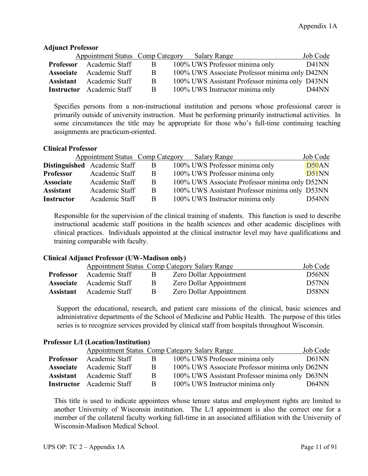# **Adjunct Professor**

|                  | Appointment Status Comp Category Salary Range |              |                                                | Job Code           |
|------------------|-----------------------------------------------|--------------|------------------------------------------------|--------------------|
| <b>Professor</b> | Academic Staff                                | B            | 100% UWS Professor minima only                 | D <sub>41</sub> NN |
|                  | <b>Associate</b> Academic Staff               | B            | 100% UWS Associate Professor minima only D42NN |                    |
|                  | <b>Assistant</b> Academic Staff               | <sup>B</sup> | 100% UWS Assistant Professor minima only D43NN |                    |
|                  | <b>Instructor</b> Academic Staff              | B            | 100% UWS Instructor minima only                | D44NN              |

Specifies persons from a non-instructional institution and persons whose professional career is primarily outside of university instruction. Must be performing primarily instructional activities. In some circumstances the title may be appropriate for those who's full-time continuing teaching assignments are practicum-oriented.

## **Clinical Professor**

|                   | <b>Appointment Status Comp Category</b> |   | Salary Range                                   | Job Code |
|-------------------|-----------------------------------------|---|------------------------------------------------|----------|
|                   | Distinguished Academic Staff            | B | 100% UWS Professor minima only                 | D50AN    |
| <b>Professor</b>  | Academic Staff                          | B | 100% UWS Professor minima only                 | D51NN    |
| <b>Associate</b>  | Academic Staff                          | B | 100% UWS Associate Professor minima only D52NN |          |
| <b>Assistant</b>  | Academic Staff                          | B | 100% UWS Assistant Professor minima only D53NN |          |
| <b>Instructor</b> | Academic Staff                          | B | 100% UWS Instructor minima only                | D54NN    |

Responsible for the supervision of the clinical training of students. This function is used to describe instructional academic staff positions in the health sciences and other academic disciplines with clinical practices. Individuals appointed at the clinical instructor level may have qualifications and training comparable with faculty.

## **Clinical Adjunct Professor (UW-Madison only)**

|                  |                                 |   | Appointment Status Comp Category Salary Range | Job Code           |
|------------------|---------------------------------|---|-----------------------------------------------|--------------------|
| <b>Professor</b> | Academic Staff                  | B | Zero Dollar Appointment                       | D <sub>56</sub> NN |
|                  | <b>Associate</b> Academic Staff | B | Zero Dollar Appointment                       | D57NN              |
| <b>Assistant</b> | Academic Staff                  | B | Zero Dollar Appointment                       | D58NN              |

Support the educational, research, and patient care missions of the clinical, basic sciences and administrative departments of the School of Medicine and Public Health. The purpose of this titles series is to recognize services provided by clinical staff from hospitals throughout Wisconsin.

## **Professor L/I (Location/Institution)**

|                  |                                  |              | Appointment Status Comp Category Salary Range  | Job Code |
|------------------|----------------------------------|--------------|------------------------------------------------|----------|
| <b>Professor</b> | Academic Staff                   | B            | 100% UWS Professor minima only                 | D61NN    |
| <b>Associate</b> | Academic Staff                   | <sub>B</sub> | 100% UWS Associate Professor minima only D62NN |          |
|                  | <b>Assistant</b> Academic Staff  | B            | 100% UWS Assistant Professor minima only D63NN |          |
|                  | <b>Instructor</b> Academic Staff | B            | 100% UWS Instructor minima only                | D64NN    |

This title is used to indicate appointees whose tenure status and employment rights are limited to another University of Wisconsin institution. The L/I appointment is also the correct one for a member of the collateral faculty working full-time in an associated affiliation with the University of Wisconsin-Madison Medical School.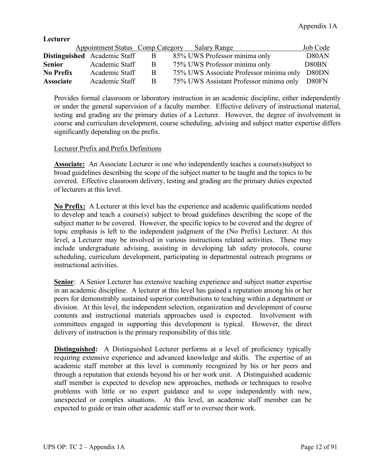### **Lecturer**

|                  | <b>Appointment Status Comp Category</b> |   | Salary Range                                  | Job Code |
|------------------|-----------------------------------------|---|-----------------------------------------------|----------|
|                  | <b>Distinguished</b> Academic Staff     | B | 85% UWS Professor minima only                 | D80AN    |
| <b>Senior</b>    | Academic Staff                          | B | 75% UWS Professor minima only                 | D80BN    |
| <b>No Prefix</b> | Academic Staff                          | B | 75% UWS Associate Professor minima only D80DN |          |
| <b>Associate</b> | Academic Staff                          | B | 75% UWS Assistant Professor minima only D80FN |          |

Provides formal classroom or laboratory instruction in an academic discipline, either independently or under the general supervision of a faculty member. Effective delivery of instructional material, testing and grading are the primary duties of a Lecturer. However, the degree of involvement in course and curriculum development, course scheduling, advising and subject matter expertise differs significantly depending on the prefix.

## Lecturer Prefix and Prefix Definitions

**Associate:** An Associate Lecturer is one who independently teaches a course(s)subject to broad guidelines describing the scope of the subject matter to be taught and the topics to be covered. Effective classroom delivery, testing and grading are the primary duties expected of lecturers at this level.

**No Prefix:** A Lecturer at this level has the experience and academic qualifications needed to develop and teach a course(s) subject to broad guidelines describing the scope of the subject matter to be covered. However, the specific topics to be covered and the degree of topic emphasis is left to the independent judgment of the (No Prefix) Lecturer. At this level, a Lecturer may be involved in various instructions related activities. These may include undergraduate advising, assisting in developing lab safety protocols, course scheduling, curriculum development, participating in departmental outreach programs or instructional activities.

**Senior:** A Senior Lecturer has extensive teaching experience and subject matter expertise in an academic discipline. A lecturer at this level has gained a reputation among his or her peers for demonstrably sustained superior contributions to teaching within a department or division. At this level, the independent selection, organization and development of course contents and instructional materials approaches used is expected. Involvement with committees engaged in supporting this development is typical. However, the direct delivery of instruction is the primary responsibility of this title.

**Distinguished:** A Distinguished Lecturer performs at a level of proficiency typically requiring extensive experience and advanced knowledge and skills. The expertise of an academic staff member at this level is commonly recognized by his or her peers and through a reputation that extends beyond his or her work unit. A Distinguished academic staff member is expected to develop new approaches, methods or techniques to resolve problems with little or no expert guidance and to cope independently with new, unexpected or complex situations. At this level, an academic staff member can be expected to guide or train other academic staff or to oversee their work.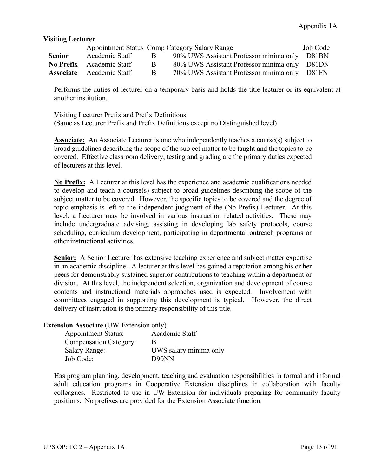# **Visiting Lecturer**

|               |                                 |     | Appointment Status Comp Category Salary Range | Job Code |
|---------------|---------------------------------|-----|-----------------------------------------------|----------|
| <b>Senior</b> | Academic Staff                  | - R | 90% UWS Assistant Professor minima only D81BN |          |
|               | No Prefix Academic Staff        | R.  | 80% UWS Assistant Professor minima only D81DN |          |
|               | <b>Associate</b> Academic Staff | R.  | 70% UWS Assistant Professor minima only D81FN |          |

Performs the duties of lecturer on a temporary basis and holds the title lecturer or its equivalent at another institution.

# Visiting Lecturer Prefix and Prefix Definitions (Same as Lecturer Prefix and Prefix Definitions except no Distinguished level)

**Associate:** An Associate Lecturer is one who independently teaches a course(s) subject to broad guidelines describing the scope of the subject matter to be taught and the topics to be covered. Effective classroom delivery, testing and grading are the primary duties expected of lecturers at this level.

**No Prefix:** A Lecturer at this level has the experience and academic qualifications needed to develop and teach a course(s) subject to broad guidelines describing the scope of the subject matter to be covered. However, the specific topics to be covered and the degree of topic emphasis is left to the independent judgment of the (No Prefix) Lecturer. At this level, a Lecturer may be involved in various instruction related activities. These may include undergraduate advising, assisting in developing lab safety protocols, course scheduling, curriculum development, participating in departmental outreach programs or other instructional activities.

**Senior:** A Senior Lecturer has extensive teaching experience and subject matter expertise in an academic discipline. A lecturer at this level has gained a reputation among his or her peers for demonstrably sustained superior contributions to teaching within a department or division. At this level, the independent selection, organization and development of course contents and instructional materials approaches used is expected. Involvement with committees engaged in supporting this development is typical. However, the direct delivery of instruction is the primary responsibility of this title.

## **Extension Associate** (UW-Extension only)

| <b>Appointment Status:</b>    | Academic Staff         |
|-------------------------------|------------------------|
| <b>Compensation Category:</b> |                        |
| <b>Salary Range:</b>          | UWS salary minima only |
| Job Code:                     | D <sub>90</sub> NN     |

Has program planning, development, teaching and evaluation responsibilities in formal and informal adult education programs in Cooperative Extension disciplines in collaboration with faculty colleagues. Restricted to use in UW-Extension for individuals preparing for community faculty positions. No prefixes are provided for the Extension Associate function.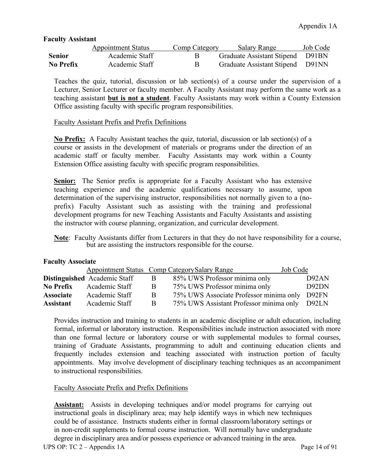# **Faculty Assistant**

|           | <b>Appointment Status</b> | Comp Category | Salary Range                     | Job Code |
|-----------|---------------------------|---------------|----------------------------------|----------|
| Senior    | Academic Staff            | R.            | Graduate Assistant Stipend D91BN |          |
| No Prefix | Academic Staff            | B.            | Graduate Assistant Stipend D91NN |          |

Teaches the quiz, tutorial, discussion or lab section(s) of a course under the supervision of a Lecturer, Senior Lecturer or faculty member. A Faculty Assistant may perform the same work as a teaching assistant **but is not a student**. Faculty Assistants may work within a County Extension Office assisting faculty with specific program responsibilities.

## Faculty Assistant Prefix and Prefix Definitions

**No Prefix:** A Faculty Assistant teaches the quiz, tutorial, discussion or lab section(s) of a course or assists in the development of materials or programs under the direction of an academic staff or faculty member. Faculty Assistants may work within a County Extension Office assisting faculty with specific program responsibilities.

**<u>Senior:</u>** The Senior prefix is appropriate for a Faculty Assistant who has extensive teaching experience and the academic qualifications necessary to assume, upon determination of the supervising instructor, responsibilities not normally given to a (noprefix) Faculty Assistant such as assisting with the training and professional development programs for new Teaching Assistants and Faculty Assistants and assisting the instructor with course planning, organization, and curricular development.

 **Note**: Faculty Assistants differ from Lecturers in that they do not have responsibility for a course, but are assisting the instructors responsible for the course.

## **Faculty Associate**

|                  |                                     |              | Appointment Status Comp Category Salary Range<br>Job Code |       |
|------------------|-------------------------------------|--------------|-----------------------------------------------------------|-------|
|                  | <b>Distinguished</b> Academic Staff | B            | 85% UWS Professor minima only                             | D92AN |
| <b>No Prefix</b> | Academic Staff                      | B            | 75% UWS Professor minima only                             | D92DN |
| <b>Associate</b> | Academic Staff                      | <sub>B</sub> | 75% UWS Associate Professor minima only D92FN             |       |
| <b>Assistant</b> | Academic Staff                      | <sub>R</sub> | 75% UWS Assistant Professor minima only D92LN             |       |

Provides instruction and training to students in an academic discipline or adult education, including formal, informal or laboratory instruction. Responsibilities include instruction associated with more than one formal lecture or laboratory course or with supplemental modules to formal courses, training of Graduate Assistants, programming to adult and continuing education clients and frequently includes extension and teaching associated with instruction portion of faculty appointments. May involve development of disciplinary teaching techniques as an accompaniment to instructional responsibilities.

## Faculty Associate Prefix and Prefix Definitions

**Assistant:** Assists in developing techniques and/or model programs for carrying out instructional goals in disciplinary area; may help identify ways in which new techniques could be of assistance. Instructs students either in formal classroom/laboratory settings or in non-credit supplements to formal course instruction. Will normally have undergraduate degree in disciplinary area and/or possess experience or advanced training in the area.

UPS OP:  $TC\ 2 - Appendix\ 1A$  Page 14 of 91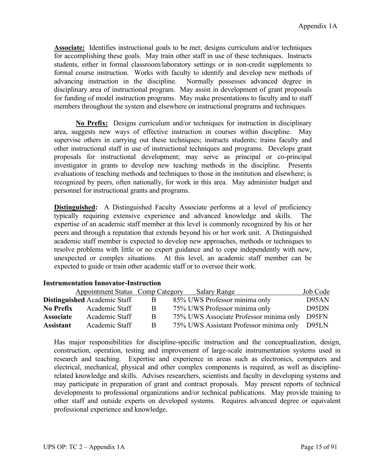**Associate:** Identifies instructional goals to be met; designs curriculum and/or techniques for accomplishing these goals. May train other staff in use of these techniques. Instructs students, either in formal classroom/laboratory settings or in non-credit supplements to formal course instruction. Works with faculty to identify and develop new methods of advancing instruction in the discipline. Normally possesses advanced degree in disciplinary area of instructional program. May assist in development of grant proposals for funding of model instruction programs. May make presentations to faculty and to staff members throughout the system and elsewhere on instructional programs and techniques.

**No Prefix:** Designs curriculum and/or techniques for instruction in disciplinary area, suggests new ways of effective instruction in courses within discipline. May supervise others in carrying out these techniques; instructs students; trains faculty and other instructional staff in use of instructional techniques and programs. Develops grant proposals for instructional development; may serve as principal or co-principal investigator in grants to develop new teaching methods in the discipline. Presents evaluations of teaching methods and techniques to those in the institution and elsewhere; is recognized by peers, often nationally, for work in this area. May administer budget and personnel for instructional grants and programs.

**Distinguished:** A Distinguished Faculty Associate performs at a level of proficiency typically requiring extensive experience and advanced knowledge and skills. The expertise of an academic staff member at this level is commonly recognized by his or her peers and through a reputation that extends beyond his or her work unit. A Distinguished academic staff member is expected to develop new approaches, methods or techniques to resolve problems with little or no expert guidance and to cope independently with new, unexpected or complex situations. At this level, an academic staff member can be expected to guide or train other academic staff or to oversee their work.

|                  | Appointment Status Comp Category    |   | <b>Salary Range</b>                           | Job Code |
|------------------|-------------------------------------|---|-----------------------------------------------|----------|
|                  | <b>Distinguished</b> Academic Staff | B | 85% UWS Professor minima only                 | D95AN    |
| <b>No Prefix</b> | Academic Staff                      | B | 75% UWS Professor minima only                 | D95DN    |
| <b>Associate</b> | Academic Staff                      | B | 75% UWS Associate Professor minima only       | D95FN    |
| <b>Assistant</b> | Academic Staff                      | B | 75% UWS Assistant Professor minima only D95LN |          |

Has major responsibilities for discipline-specific instruction and the conceptualization, design, construction, operation, testing and improvement of large-scale instrumentation systems used in research and teaching. Expertise and experience in areas such as electronics, computers and electrical, mechanical, physical and other complex components is required, as well as disciplinerelated knowledge and skills. Advises researchers, scientists and faculty in developing systems and may participate in preparation of grant and contract proposals. May present reports of technical developments to professional organizations and/or technical publications. May provide training to other staff and outside experts on developed systems. Requires advanced degree or equivalent professional experience and knowledge.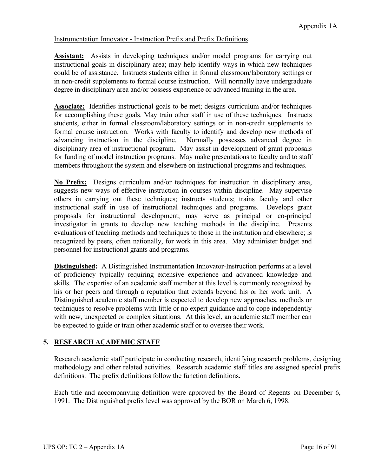# Instrumentation Innovator - Instruction Prefix and Prefix Definitions

**Assistant:** Assists in developing techniques and/or model programs for carrying out instructional goals in disciplinary area; may help identify ways in which new techniques could be of assistance. Instructs students either in formal classroom/laboratory settings or in non-credit supplements to formal course instruction. Will normally have undergraduate degree in disciplinary area and/or possess experience or advanced training in the area.

**Associate:** Identifies instructional goals to be met; designs curriculum and/or techniques for accomplishing these goals. May train other staff in use of these techniques. Instructs students, either in formal classroom/laboratory settings or in non-credit supplements to formal course instruction. Works with faculty to identify and develop new methods of advancing instruction in the discipline. Normally possesses advanced degree in disciplinary area of instructional program. May assist in development of grant proposals for funding of model instruction programs. May make presentations to faculty and to staff members throughout the system and elsewhere on instructional programs and techniques.

**No Prefix:** Designs curriculum and/or techniques for instruction in disciplinary area, suggests new ways of effective instruction in courses within discipline. May supervise others in carrying out these techniques; instructs students; trains faculty and other instructional staff in use of instructional techniques and programs. Develops grant proposals for instructional development; may serve as principal or co-principal investigator in grants to develop new teaching methods in the discipline. Presents evaluations of teaching methods and techniques to those in the institution and elsewhere; is recognized by peers, often nationally, for work in this area. May administer budget and personnel for instructional grants and programs.

**Distinguished:** A Distinguished Instrumentation Innovator-Instruction performs at a level of proficiency typically requiring extensive experience and advanced knowledge and skills. The expertise of an academic staff member at this level is commonly recognized by his or her peers and through a reputation that extends beyond his or her work unit. A Distinguished academic staff member is expected to develop new approaches, methods or techniques to resolve problems with little or no expert guidance and to cope independently with new, unexpected or complex situations. At this level, an academic staff member can be expected to guide or train other academic staff or to oversee their work.

# **5. RESEARCH ACADEMIC STAFF**

Research academic staff participate in conducting research, identifying research problems, designing methodology and other related activities. Research academic staff titles are assigned special prefix definitions. The prefix definitions follow the function definitions.

Each title and accompanying definition were approved by the Board of Regents on December 6, 1991. The Distinguished prefix level was approved by the BOR on March 6, 1998.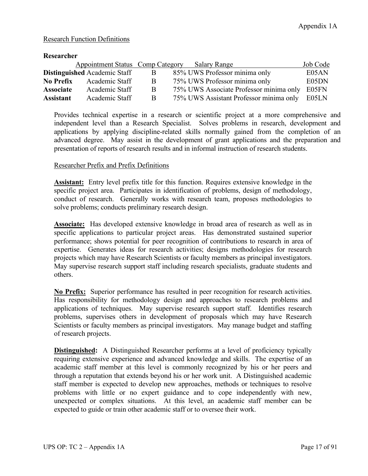# Research Function Definitions

| Researcher       |                                     |                |                                         |          |
|------------------|-------------------------------------|----------------|-----------------------------------------|----------|
|                  | Appointment Status Comp Category    |                | <b>Salary Range</b>                     | Job Code |
|                  | <b>Distinguished</b> Academic Staff | $\overline{B}$ | 85% UWS Professor minima only           | E05AN    |
| <b>No Prefix</b> | Academic Staff                      | B              | 75% UWS Professor minima only           | E05DN    |
| <b>Associate</b> | Academic Staff                      | B              | 75% UWS Associate Professor minima only | E05FN    |
| <b>Assistant</b> | Academic Staff                      | B              | 75% UWS Assistant Professor minima only | E05LN    |

Provides technical expertise in a research or scientific project at a more comprehensive and independent level than a Research Specialist. Solves problems in research, development and applications by applying discipline-related skills normally gained from the completion of an advanced degree. May assist in the development of grant applications and the preparation and presentation of reports of research results and in informal instruction of research students.

# Researcher Prefix and Prefix Definitions

**Assistant:** Entry level prefix title for this function. Requires extensive knowledge in the specific project area. Participates in identification of problems, design of methodology, conduct of research. Generally works with research team, proposes methodologies to solve problems; conducts preliminary research design.

**Associate:** Has developed extensive knowledge in broad area of research as well as in specific applications to particular project areas. Has demonstrated sustained superior performance; shows potential for peer recognition of contributions to research in area of expertise. Generates ideas for research activities; designs methodologies for research projects which may have Research Scientists or faculty members as principal investigators. May supervise research support staff including research specialists, graduate students and others.

**No Prefix:** Superior performance has resulted in peer recognition for research activities. Has responsibility for methodology design and approaches to research problems and applications of techniques. May supervise research support staff. Identifies research problems, supervises others in development of proposals which may have Research Scientists or faculty members as principal investigators. May manage budget and staffing of research projects.

**Distinguished:** A Distinguished Researcher performs at a level of proficiency typically requiring extensive experience and advanced knowledge and skills. The expertise of an academic staff member at this level is commonly recognized by his or her peers and through a reputation that extends beyond his or her work unit. A Distinguished academic staff member is expected to develop new approaches, methods or techniques to resolve problems with little or no expert guidance and to cope independently with new, unexpected or complex situations. At this level, an academic staff member can be expected to guide or train other academic staff or to oversee their work.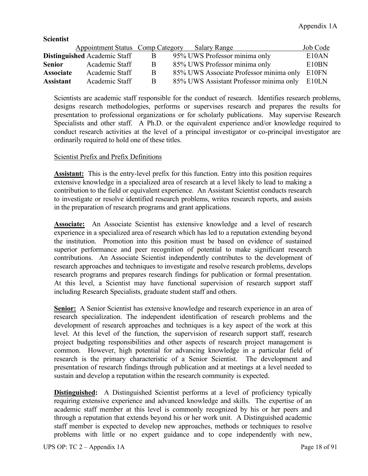| <u>suurist</u>   |                                     |   |                                               |          |
|------------------|-------------------------------------|---|-----------------------------------------------|----------|
|                  | Appointment Status Comp Category    |   | <b>Salary Range</b>                           | Job Code |
|                  | <b>Distinguished</b> Academic Staff | B | 95% UWS Professor minima only                 | E10AN    |
| <b>Senior</b>    | Academic Staff                      | B | 85% UWS Professor minima only                 | E10BN    |
| <b>Associate</b> | Academic Staff                      | B | 85% UWS Associate Professor minima only E10FN |          |
| <b>Assistant</b> | Academic Staff                      | B | 85% UWS Assistant Professor minima only       | E10LN    |

Scientists are academic staff responsible for the conduct of research. Identifies research problems, designs research methodologies, performs or supervises research and prepares the results for presentation to professional organizations or for scholarly publications. May supervise Research Specialists and other staff. A Ph.D. or the equivalent experience and/or knowledge required to conduct research activities at the level of a principal investigator or co-principal investigator are ordinarily required to hold one of these titles.

# Scientist Prefix and Prefix Definitions

**Scientist**

**Assistant:** This is the entry-level prefix for this function. Entry into this position requires extensive knowledge in a specialized area of research at a level likely to lead to making a contribution to the field or equivalent experience. An Assistant Scientist conducts research to investigate or resolve identified research problems, writes research reports, and assists in the preparation of research programs and grant applications.

**Associate:** An Associate Scientist has extensive knowledge and a level of research experience in a specialized area of research which has led to a reputation extending beyond the institution. Promotion into this position must be based on evidence of sustained superior performance and peer recognition of potential to make significant research contributions. An Associate Scientist independently contributes to the development of research approaches and techniques to investigate and resolve research problems, develops research programs and prepares research findings for publication or formal presentation. At this level, a Scientist may have functional supervision of research support staff including Research Specialists, graduate student staff and others.

Senior: A Senior Scientist has extensive knowledge and research experience in an area of research specialization. The independent identification of research problems and the development of research approaches and techniques is a key aspect of the work at this level. At this level of the function, the supervision of research support staff, research project budgeting responsibilities and other aspects of research project management is common. However, high potential for advancing knowledge in a particular field of research is the primary characteristic of a Senior Scientist. The development and presentation of research findings through publication and at meetings at a level needed to sustain and develop a reputation within the research community is expected.

**Distinguished:** A Distinguished Scientist performs at a level of proficiency typically requiring extensive experience and advanced knowledge and skills. The expertise of an academic staff member at this level is commonly recognized by his or her peers and through a reputation that extends beyond his or her work unit. A Distinguished academic staff member is expected to develop new approaches, methods or techniques to resolve problems with little or no expert guidance and to cope independently with new,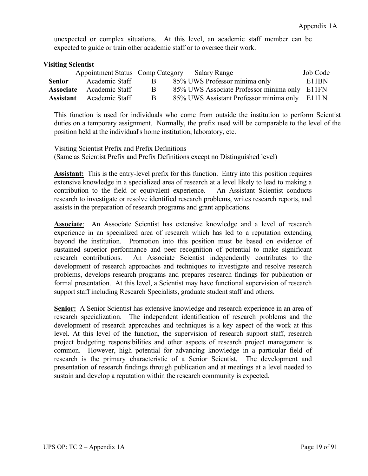unexpected or complex situations. At this level, an academic staff member can be expected to guide or train other academic staff or to oversee their work.

# **Visiting Scientist**

|        | Appointment Status Comp Category Salary Range |              |                                               | Job Code |
|--------|-----------------------------------------------|--------------|-----------------------------------------------|----------|
| Senior | Academic Staff                                | $\mathbf{B}$ | 85% UWS Professor minima only                 | E11BN    |
|        | <b>Associate</b> Academic Staff               | R.           | 85% UWS Associate Professor minima only E11FN |          |
|        | <b>Assistant</b> Academic Staff               | <sub>R</sub> | 85% UWS Assistant Professor minima only E11LN |          |

This function is used for individuals who come from outside the institution to perform Scientist duties on a temporary assignment. Normally, the prefix used will be comparable to the level of the position held at the individual's home institution, laboratory, etc.

Visiting Scientist Prefix and Prefix Definitions (Same as Scientist Prefix and Prefix Definitions except no Distinguished level)

**Assistant:** This is the entry-level prefix for this function. Entry into this position requires extensive knowledge in a specialized area of research at a level likely to lead to making a contribution to the field or equivalent experience. An Assistant Scientist conducts research to investigate or resolve identified research problems, writes research reports, and assists in the preparation of research programs and grant applications.

**Associate**: An Associate Scientist has extensive knowledge and a level of research experience in an specialized area of research which has led to a reputation extending beyond the institution. Promotion into this position must be based on evidence of sustained superior performance and peer recognition of potential to make significant research contributions. An Associate Scientist independently contributes to the development of research approaches and techniques to investigate and resolve research problems, develops research programs and prepares research findings for publication or formal presentation. At this level, a Scientist may have functional supervision of research support staff including Research Specialists, graduate student staff and others.

**Senior:** A Senior Scientist has extensive knowledge and research experience in an area of research specialization. The independent identification of research problems and the development of research approaches and techniques is a key aspect of the work at this level. At this level of the function, the supervision of research support staff, research project budgeting responsibilities and other aspects of research project management is common. However, high potential for advancing knowledge in a particular field of research is the primary characteristic of a Senior Scientist. The development and presentation of research findings through publication and at meetings at a level needed to sustain and develop a reputation within the research community is expected.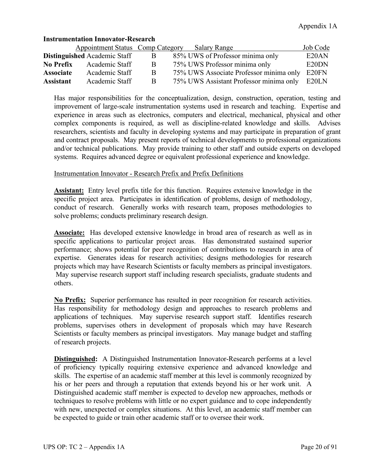# **Instrumentation Innovator-Research**

|                  | Appointment Status Comp Category    |    | Salary Range                            | Job Code |
|------------------|-------------------------------------|----|-----------------------------------------|----------|
|                  | <b>Distinguished</b> Academic Staff |    | 85% UWS of Professor minima only        | E20AN    |
| <b>No Prefix</b> | Academic Staff                      | B  | 75% UWS Professor minima only           | E20DN    |
| <b>Associate</b> | Academic Staff                      | -B | 75% UWS Associate Professor minima only | E20FN    |
| <b>Assistant</b> | Academic Staff                      | R  | 75% UWS Assistant Professor minima only | E20LN    |

Has major responsibilities for the conceptualization, design, construction, operation, testing and improvement of large-scale instrumentation systems used in research and teaching. Expertise and experience in areas such as electronics, computers and electrical, mechanical, physical and other complex components is required, as well as discipline-related knowledge and skills. Advises researchers, scientists and faculty in developing systems and may participate in preparation of grant and contract proposals. May present reports of technical developments to professional organizations and/or technical publications. May provide training to other staff and outside experts on developed systems. Requires advanced degree or equivalent professional experience and knowledge.

### Instrumentation Innovator - Research Prefix and Prefix Definitions

**Assistant:** Entry level prefix title for this function. Requires extensive knowledge in the specific project area. Participates in identification of problems, design of methodology, conduct of research. Generally works with research team, proposes methodologies to solve problems; conducts preliminary research design.

**Associate:** Has developed extensive knowledge in broad area of research as well as in specific applications to particular project areas. Has demonstrated sustained superior performance; shows potential for peer recognition of contributions to research in area of expertise. Generates ideas for research activities; designs methodologies for research projects which may have Research Scientists or faculty members as principal investigators. May supervise research support staff including research specialists, graduate students and others.

**No Prefix:** Superior performance has resulted in peer recognition for research activities. Has responsibility for methodology design and approaches to research problems and applications of techniques. May supervise research support staff. Identifies research problems, supervises others in development of proposals which may have Research Scientists or faculty members as principal investigators. May manage budget and staffing of research projects.

**Distinguished:** A Distinguished Instrumentation Innovator-Research performs at a level of proficiency typically requiring extensive experience and advanced knowledge and skills. The expertise of an academic staff member at this level is commonly recognized by his or her peers and through a reputation that extends beyond his or her work unit. A Distinguished academic staff member is expected to develop new approaches, methods or techniques to resolve problems with little or no expert guidance and to cope independently with new, unexpected or complex situations. At this level, an academic staff member can be expected to guide or train other academic staff or to oversee their work.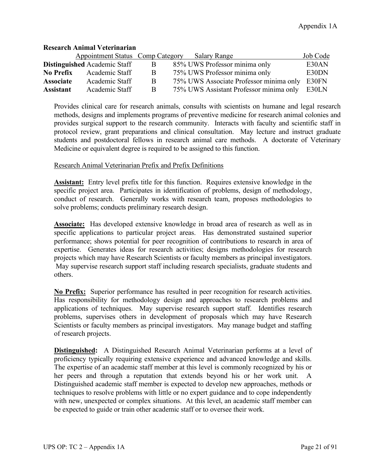# **Research Animal Veterinarian**

|                  | Appointment Status Comp Category    |   | Salary Range                                  | Job Code |
|------------------|-------------------------------------|---|-----------------------------------------------|----------|
|                  | <b>Distinguished Academic Staff</b> |   | 85% UWS Professor minima only                 | E30AN    |
| <b>No Prefix</b> | Academic Staff                      | B | 75% UWS Professor minima only                 | E30DN    |
| <b>Associate</b> | Academic Staff                      | R | 75% UWS Associate Professor minima only E30FN |          |
| <b>Assistant</b> | Academic Staff                      | B | 75% UWS Assistant Professor minima only       | E30LN    |

Provides clinical care for research animals, consults with scientists on humane and legal research methods, designs and implements programs of preventive medicine for research animal colonies and provides surgical support to the research community. Interacts with faculty and scientific staff in protocol review, grant preparations and clinical consultation. May lecture and instruct graduate students and postdoctoral fellows in research animal care methods. A doctorate of Veterinary Medicine or equivalent degree is required to be assigned to this function.

# Research Animal Veterinarian Prefix and Prefix Definitions

**Assistant:** Entry level prefix title for this function. Requires extensive knowledge in the specific project area. Participates in identification of problems, design of methodology, conduct of research. Generally works with research team, proposes methodologies to solve problems; conducts preliminary research design.

**Associate:** Has developed extensive knowledge in broad area of research as well as in specific applications to particular project areas. Has demonstrated sustained superior performance; shows potential for peer recognition of contributions to research in area of expertise. Generates ideas for research activities; designs methodologies for research projects which may have Research Scientists or faculty members as principal investigators. May supervise research support staff including research specialists, graduate students and others.

**No Prefix:** Superior performance has resulted in peer recognition for research activities. Has responsibility for methodology design and approaches to research problems and applications of techniques. May supervise research support staff. Identifies research problems, supervises others in development of proposals which may have Research Scientists or faculty members as principal investigators. May manage budget and staffing of research projects.

**Distinguished:** A Distinguished Research Animal Veterinarian performs at a level of proficiency typically requiring extensive experience and advanced knowledge and skills. The expertise of an academic staff member at this level is commonly recognized by his or her peers and through a reputation that extends beyond his or her work unit. A Distinguished academic staff member is expected to develop new approaches, methods or techniques to resolve problems with little or no expert guidance and to cope independently with new, unexpected or complex situations. At this level, an academic staff member can be expected to guide or train other academic staff or to oversee their work.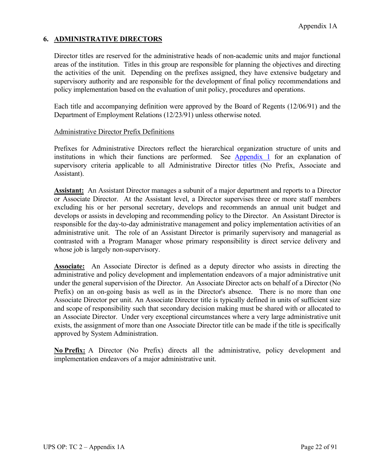# **6. ADMINISTRATIVE DIRECTORS**

Director titles are reserved for the administrative heads of non-academic units and major functional areas of the institution. Titles in this group are responsible for planning the objectives and directing the activities of the unit. Depending on the prefixes assigned, they have extensive budgetary and supervisory authority and are responsible for the development of final policy recommendations and policy implementation based on the evaluation of unit policy, procedures and operations.

Each title and accompanying definition were approved by the Board of Regents (12/06/91) and the Department of Employment Relations (12/23/91) unless otherwise noted.

## Administrative Director Prefix Definitions

Prefixes for Administrative Directors reflect the hierarchical organization structure of units and institutions in which their functions are performed. See [Appendix 1](https://www.wisconsin.edu/uw-policies/download/1276-Appendix-1.pdf) for an explanation of supervisory criteria applicable to all Administrative Director titles (No Prefix, Associate and Assistant).

**Assistant:** An Assistant Director manages a subunit of a major department and reports to a Director or Associate Director. At the Assistant level, a Director supervises three or more staff members excluding his or her personal secretary, develops and recommends an annual unit budget and develops or assists in developing and recommending policy to the Director. An Assistant Director is responsible for the day-to-day administrative management and policy implementation activities of an administrative unit. The role of an Assistant Director is primarily supervisory and managerial as contrasted with a Program Manager whose primary responsibility is direct service delivery and whose job is largely non-supervisory.

**Associate:** An Associate Director is defined as a deputy director who assists in directing the administrative and policy development and implementation endeavors of a major administrative unit under the general supervision of the Director. An Associate Director acts on behalf of a Director (No Prefix) on an on-going basis as well as in the Director's absence. There is no more than one Associate Director per unit. An Associate Director title is typically defined in units of sufficient size and scope of responsibility such that secondary decision making must be shared with or allocated to an Associate Director. Under very exceptional circumstances where a very large administrative unit exists, the assignment of more than one Associate Director title can be made if the title is specifically approved by System Administration.

**No Prefix:** A Director (No Prefix) directs all the administrative, policy development and implementation endeavors of a major administrative unit.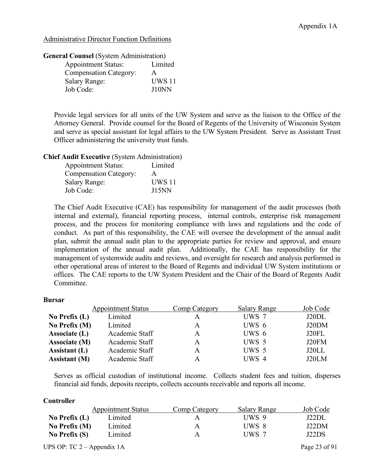Administrative Director Function Definitions

### **General Counsel** (System Administration)

| <b>Appointment Status:</b>    | Limited       |
|-------------------------------|---------------|
| <b>Compensation Category:</b> | A             |
| <b>Salary Range:</b>          | <b>UWS 11</b> |
| Job Code:                     | J10NN         |

Provide legal services for all units of the UW System and serve as the liaison to the Office of the Attorney General. Provide counsel for the Board of Regents of the University of Wisconsin System and serve as special assistant for legal affairs to the UW System President. Serve as Assistant Trust Officer administering the university trust funds.

### **Chief Audit Executive** (System Administration)

| <b>Appointment Status:</b>    | Limited       |
|-------------------------------|---------------|
| <b>Compensation Category:</b> | A             |
| <b>Salary Range:</b>          | <b>UWS 11</b> |
| Job Code:                     | <b>J15NN</b>  |

The Chief Audit Executive (CAE) has responsibility for management of the audit processes (both internal and external), financial reporting process, internal controls, enterprise risk management process, and the process for monitoring compliance with laws and regulations and the code of conduct. As part of this responsibility, the CAE will oversee the development of the annual audit plan, submit the annual audit plan to the appropriate parties for review and approval, and ensure implementation of the annual audit plan. Additionally, the CAE has responsibility for the management of systemwide audits and reviews, and oversight for research and analysis performed in other operational areas of interest to the Board of Regents and individual UW System institutions or offices. The CAE reports to the UW System President and the Chair of the Board of Regents Audit Committee.

### **Bursar**

|                      | <b>Appointment Status</b> | Comp Category | Salary Range | Job Code |
|----------------------|---------------------------|---------------|--------------|----------|
| No Prefix $(L)$      | Limited                   | А             | UWS 7        | J20DL    |
| No Prefix (M)        | Limited                   | A             | UWS 6        | J20DM    |
| Associate (L)        | Academic Staff            | A             | $UWS_6$      | J20FL    |
| Associate (M)        | Academic Staff            | A             | UWS 5        | J20FM    |
| Assistant $(L)$      | Academic Staff            | A             | UWS 5        | J20LL    |
| <b>Assistant</b> (M) | Academic Staff            | А             | UWS 4        | J20LM    |

Serves as official custodian of institutional income. Collects student fees and tuition, disperses financial aid funds, deposits receipts, collects accounts receivable and reports all income.

### **Controller**

|                 | <b>Appointment Status</b> | Comp Category | <b>Salary Range</b> | Job Code |
|-----------------|---------------------------|---------------|---------------------|----------|
| No Prefix $(L)$ | Limited                   | A             | UWS 9               | J22DL    |
| No Prefix $(M)$ | Limited                   | A             | UWS 8               | J22DM    |
| No Prefix $(S)$ | Limited                   | A             | UWS 7               | J22DS    |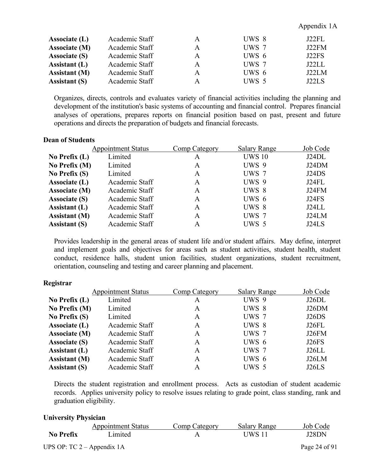| Associate $(L)$      | Academic Staff | A | UWS 8 | J22FL |
|----------------------|----------------|---|-------|-------|
| Associate (M)        | Academic Staff | A | UWS 7 | J22FM |
| <b>Associate (S)</b> | Academic Staff | A | UWS 6 | J22FS |
| Assistant $(L)$      | Academic Staff | A | UWS 7 | J22LL |
| <b>Assistant</b> (M) | Academic Staff | A | UWS 6 | J22LM |
| <b>Assistant (S)</b> | Academic Staff | A | UWS 5 | J22LS |

Appendix 1A

Organizes, directs, controls and evaluates variety of financial activities including the planning and development of the institution's basic systems of accounting and financial control. Prepares financial analyses of operations, prepares reports on financial position based on past, present and future operations and directs the preparation of budgets and financial forecasts.

### **Dean of Students**

|                      | <b>Appointment Status</b> | Comp Category | <b>Salary Range</b> | Job Code |
|----------------------|---------------------------|---------------|---------------------|----------|
| No Prefix $(L)$      | Limited                   | A             | <b>UWS 10</b>       | J24DL    |
| No Prefix (M)        | Limited                   | A             | UWS 9               | J24DM    |
| No Prefix $(S)$      | Limited                   | A             | UWS 7               | J24DS    |
| Associate (L)        | Academic Staff            | A             | UWS 9               | J24FL    |
| Associate (M)        | Academic Staff            | A             | UWS 8               | J24FM    |
| <b>Associate (S)</b> | Academic Staff            | A             | UWS 6               | J24FS    |
| Assistant (L)        | Academic Staff            | A             | UWS 8               | J24LL    |
| <b>Assistant</b> (M) | Academic Staff            | A             | UWS 7               | J24LM    |
| <b>Assistant (S)</b> | Academic Staff            | A             | UWS 5               | J24LS    |

Provides leadership in the general areas of student life and/or student affairs. May define, interpret and implement goals and objectives for areas such as student activities, student health, student conduct, residence halls, student union facilities, student organizations, student recruitment, orientation, counseling and testing and career planning and placement.

### **Registrar**

| <b>Appointment Status</b>              | Comp Category | <b>Salary Range</b> | Job Code |
|----------------------------------------|---------------|---------------------|----------|
| Limited<br>No Prefix $(L)$             | A             | UWS 9               | J26DL    |
| No Prefix (M)<br>Limited               | A             | UWS 8               | J26DM    |
| No Prefix $(S)$<br>Limited             | A             | UWS 7               | J26DS    |
| Associate (L)<br>Academic Staff        | A             | UWS 8               | J26FL    |
| Associate (M)<br>Academic Staff        | A             | UWS 7               | J26FM    |
| Academic Staff                         | A             | UWS 6               | J26FS    |
| Academic Staff                         | A             | UWS 7               | J26LL    |
| Academic Staff<br><b>Assistant</b> (M) | A             | UWS 6               | J26LM    |
| Academic Staff                         | A             | UWS 5               | J26LS    |
|                                        |               |                     |          |

Directs the student registration and enrollment process. Acts as custodian of student academic records. Applies university policy to resolve issues relating to grade point, class standing, rank and graduation eligibility.

#### **University Physician**

|                  | <b>Appointment Status</b>    | Comp Category | <b>Salary Range</b> | Job Code      |
|------------------|------------------------------|---------------|---------------------|---------------|
| <b>No Prefix</b> | Limited                      |               | UWS 11              | J28DN         |
|                  | UPS OP: $TC 2 - Appendix 1A$ |               |                     | Page 24 of 91 |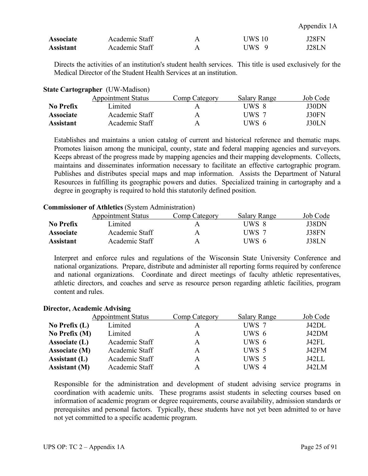| Appendix 1A |  |
|-------------|--|
|-------------|--|

| <b>Associate</b> | Academic Staff | A | UWS 10 | J28FN |
|------------------|----------------|---|--------|-------|
| <b>Assistant</b> | Academic Staff | A | UWS 9  | J28LN |

Directs the activities of an institution's student health services. This title is used exclusively for the Medical Director of the Student Health Services at an institution.

| <b>State Cartographer (UW-Madison)</b> |  |  |
|----------------------------------------|--|--|
|                                        |  |  |

|                  | <b>Appointment Status</b> | Comp Category | Salary Range | Job Code |
|------------------|---------------------------|---------------|--------------|----------|
| No Prefix        | Limited                   | Α             | UWS 8        | J30DN    |
| <b>Associate</b> | Academic Staff            | Α             | UWS 7        | J30FN    |
| <b>Assistant</b> | Academic Staff            | Α             | UWS 6        | J30LN    |

Establishes and maintains a union catalog of current and historical reference and thematic maps. Promotes liaison among the municipal, county, state and federal mapping agencies and surveyors. Keeps abreast of the progress made by mapping agencies and their mapping developments. Collects, maintains and disseminates information necessary to facilitate an effective cartographic program. Publishes and distributes special maps and map information. Assists the Department of Natural Resources in fulfilling its geographic powers and duties. Specialized training in cartography and a degree in geography is required to hold this statutorily defined position.

## **Commissioner of Athletics** (System Administration)

|                  | <b>Appointment Status</b> | Comp Category | Salary Range | Job Code |
|------------------|---------------------------|---------------|--------------|----------|
| <b>No Prefix</b> | Limited                   |               | UWS 8        | J38DN    |
| <b>Associate</b> | Academic Staff            | А             | $UWS$ 7      | J38FN    |
| <b>Assistant</b> | Academic Staff            | Α             | UWS 6        | J38LN    |

Interpret and enforce rules and regulations of the Wisconsin State University Conference and national organizations. Prepare, distribute and administer all reporting forms required by conference and national organizations. Coordinate and direct meetings of faculty athletic representatives, athletic directors, and coaches and serve as resource person regarding athletic facilities, program content and rules.

### **Director, Academic Advising**

|                      | <b>Appointment Status</b> | Comp Category | <b>Salary Range</b> | Job Code |
|----------------------|---------------------------|---------------|---------------------|----------|
| No Prefix $(L)$      | Limited                   | А             | UWS 7               | J42DL    |
| No Prefix $(M)$      | Limited                   | A             | UWS 6               | J42DM    |
| Associate (L)        | Academic Staff            | A             | UWS 6               | J42FL    |
| Associate (M)        | Academic Staff            | A             | UWS 5               | J42FM    |
| Assistant $(L)$      | Academic Staff            | A             | UWS 5               | J42LL    |
| <b>Assistant (M)</b> | Academic Staff            | A             | UWS 4               | J42LM    |

Responsible for the administration and development of student advising service programs in coordination with academic units. These programs assist students in selecting courses based on information of academic program or degree requirements, course availability, admission standards or prerequisites and personal factors. Typically, these students have not yet been admitted to or have not yet committed to a specific academic program.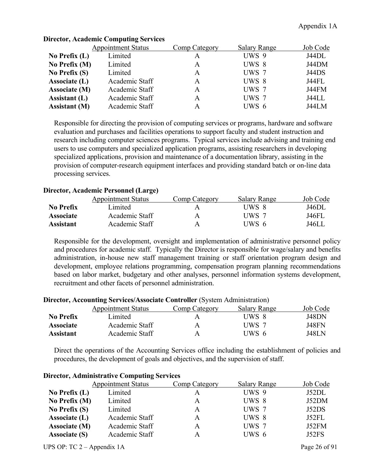|                      | <b>Appointment Status</b> | Comp Category | <b>Salary Range</b> | Job Code |
|----------------------|---------------------------|---------------|---------------------|----------|
| No Prefix $(L)$      | Limited                   | A             | UWS 9               | J44DL    |
| No Prefix (M)        | Limited                   | A             | UWS 8               | J44DM    |
| No Prefix $(S)$      | Limited                   | A             | UWS 7               | J44DS    |
| Associate (L)        | Academic Staff            | A             | UWS 8               | J44FL    |
| <b>Associate (M)</b> | Academic Staff            | A             | UWS 7               | J44FM    |
| Assistant $(L)$      | Academic Staff            | A             | UWS 7               | J44LL    |
| <b>Assistant</b> (M) | Academic Staff            | А             | UWS 6               | J44LM    |

# **Director, Academic Computing Services**

Responsible for directing the provision of computing services or programs, hardware and software evaluation and purchases and facilities operations to support faculty and student instruction and research including computer sciences programs. Typical services include advising and training end users to use computers and specialized application programs, assisting researchers in developing specialized applications, provision and maintenance of a documentation library, assisting in the provision of computer-research equipment interfaces and providing standard batch or on-line data processing services.

# **Director, Academic Personnel (Large)**

|                  | <b>Appointment Status</b> | Comp Category | Salary Range | Job Code     |
|------------------|---------------------------|---------------|--------------|--------------|
| No Prefix        | imited.                   | А             | UWS 8        | J46DL        |
| <b>Associate</b> | Academic Staff            | Α             | UWS 7        | <b>J46FL</b> |
| Assistant        | Academic Staff            | Α             | UWS 6        | J46LL        |

Responsible for the development, oversight and implementation of administrative personnel policy and procedures for academic staff. Typically the Director is responsible for wage/salary and benefits administration, in-house new staff management training or staff orientation program design and development, employee relations programming, compensation program planning recommendations based on labor market, budgetary and other analyses, personnel information systems development, recruitment and other facets of personnel administration.

## **Director, Accounting Services/Associate Controller** (System Administration)

|                  | <b>Appointment Status</b> | Comp Category | <b>Salary Range</b> | Job Code |
|------------------|---------------------------|---------------|---------------------|----------|
| <b>No Prefix</b> | Limited                   | Α             | UWS 8               | J48DN    |
| <b>Associate</b> | Academic Staff            | A             | UWS 7               | J48FN    |
| <b>Assistant</b> | Academic Staff            | Α             | UWS 6               | J48LN    |

Direct the operations of the Accounting Services office including the establishment of policies and procedures, the development of goals and objectives, and the supervision of staff.

|                      | <b>Appointment Status</b> | Comp Category | <b>Salary Range</b> | Job Code |
|----------------------|---------------------------|---------------|---------------------|----------|
| No Prefix $(L)$      | Limited                   | A             | UWS 9               | J52DL    |
| No Prefix $(M)$      | Limited                   | A             | UWS 8               | J52DM    |
| No Prefix $(S)$      | Limited                   | A             | UWS 7               | J52DS    |
| Associate (L)        | Academic Staff            | A             | UWS 8               | J52FL    |
| Associate (M)        | Academic Staff            | A             | UWS 7               | J52FM    |
| <b>Associate (S)</b> | Academic Staff            | A             | UWS 6               | J52FS    |

### **Director, Administrative Computing Services**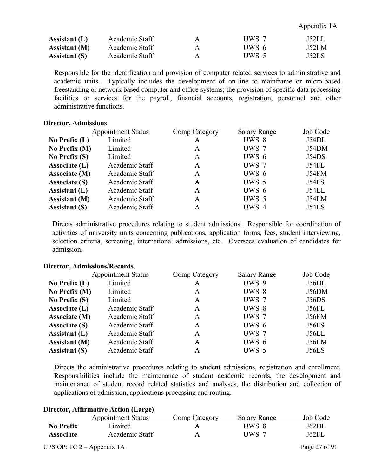Appendix 1A

| Assistant (L)        | Academic Staff | А | UWS 7 | J52LL |
|----------------------|----------------|---|-------|-------|
| <b>Assistant</b> (M) | Academic Staff | Α | UWS 6 | J52LM |
| <b>Assistant</b> (S) | Academic Staff |   | UWS 5 | J52LS |

Responsible for the identification and provision of computer related services to administrative and academic units. Typically includes the development of on-line to mainframe or micro-based freestanding or network based computer and office systems; the provision of specific data processing facilities or services for the payroll, financial accounts, registration, personnel and other administrative functions.

#### **Director, Admissions**

|                      | <b>Appointment Status</b> | Comp Category | <b>Salary Range</b> | Job Code     |
|----------------------|---------------------------|---------------|---------------------|--------------|
| No Prefix $(L)$      | Limited                   | A             | UWS 8               | J54DL        |
| No Prefix (M)        | Limited                   | A             | UWS 7               | J54DM        |
| No Prefix $(S)$      | Limited                   | A             | UWS 6               | J54DS        |
| Associate (L)        | Academic Staff            | A             | UWS 7               | J54FL        |
| Associate (M)        | Academic Staff            | A             | UWS 6               | J54FM        |
| <b>Associate (S)</b> | Academic Staff            | A             | UWS 5               | <b>J54FS</b> |
| Assistant (L)        | Academic Staff            | A             | UWS 6               | J54LL        |
| <b>Assistant</b> (M) | Academic Staff            | A             | UWS 5               | J54LM        |
| <b>Assistant (S)</b> | Academic Staff            | A             | UWS 4               | J54LS        |

Directs administrative procedures relating to student admissions. Responsible for coordination of activities of university units concerning publications, application forms, fees, student interviewing, selection criteria, screening, international admissions, etc. Oversees evaluation of candidates for admission.

### **Director, Admissions/Records**

|                      | <b>Appointment Status</b> | Comp Category | <b>Salary Range</b> | Job Code     |
|----------------------|---------------------------|---------------|---------------------|--------------|
| No Prefix $(L)$      | Limited                   | A             | UWS 9               | J56DL        |
| No Prefix (M)        | Limited                   | A             | UWS 8               | J56DM        |
| No Prefix $(S)$      | Limited                   | A             | UWS 7               | J56DS        |
| Associate (L)        | Academic Staff            | A             | UWS 8               | J56FL        |
| Associate (M)        | Academic Staff            | A             | UWS 7               | J56FM        |
| <b>Associate (S)</b> | Academic Staff            | A             | UWS 6               | <b>J56FS</b> |
| Assistant (L)        | Academic Staff            | A             | UWS 7               | J56LL        |
| <b>Assistant (M)</b> | Academic Staff            | A             | UWS 6               | J56LM        |
| <b>Assistant (S)</b> | Academic Staff            | A             | UWS 5               | <b>J56LS</b> |

Directs the administrative procedures relating to student admissions, registration and enrollment. Responsibilities include the maintenance of student academic records, the development and maintenance of student record related statistics and analyses, the distribution and collection of applications of admission, applications processing and routing.

#### **Director, Affirmative Action (Large)**

|                  | <b>Appointment Status</b> | Comp Category | Salary Range | Job Code |
|------------------|---------------------------|---------------|--------------|----------|
| <b>No Prefix</b> | Limited                   |               | UWS 8        | J62DL    |
| <b>Associate</b> | Academic Staff            |               | UWS 7        | J62FL    |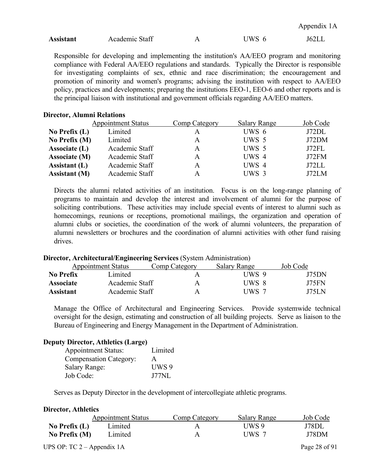| Appendix 1A |  |
|-------------|--|
|-------------|--|

| <b>Assistant</b> | Academic Staff |  | JWS | 162LL |
|------------------|----------------|--|-----|-------|
|------------------|----------------|--|-----|-------|

Responsible for developing and implementing the institution's AA/EEO program and monitoring compliance with Federal AA/EEO regulations and standards. Typically the Director is responsible for investigating complaints of sex, ethnic and race discrimination; the encouragement and promotion of minority and women's programs; advising the institution with respect to AA/EEO policy, practices and developments; preparing the institutions EEO-1, EEO-6 and other reports and is the principal liaison with institutional and government officials regarding AA/EEO matters.

### **Director, Alumni Relations**

|                      | <b>Appointment Status</b> | Comp Category | <b>Salary Range</b> | Job Code |
|----------------------|---------------------------|---------------|---------------------|----------|
| No Prefix $(L)$      | Limited                   | A             | UWS 6               | J72DL    |
| No Prefix (M)        | Limited                   | A             | UWS 5               | J72DM    |
| Associate (L)        | Academic Staff            | A             | UWS 5               | J72FL    |
| Associate (M)        | Academic Staff            | A             | UWS 4               | J72FM    |
| Assistant $(L)$      | Academic Staff            | A             | UWS 4               | J72LL    |
| <b>Assistant</b> (M) | Academic Staff            | A             | UWS 3               | J72LM    |

Directs the alumni related activities of an institution. Focus is on the long-range planning of programs to maintain and develop the interest and involvement of alumni for the purpose of soliciting contributions. These activities may include special events of interest to alumni such as homecomings, reunions or receptions, promotional mailings, the organization and operation of alumni clubs or societies, the coordination of the work of alumni volunteers, the preparation of alumni newsletters or brochures and the coordination of alumni activities with other fund raising drives.

### **Director, Architectural/Engineering Services** (System Administration)

|                  | <b>Appointment Status</b> | Comp Category | Salary Range | Job Code |
|------------------|---------------------------|---------------|--------------|----------|
| No Prefix        | Limited                   | Α             | UWS 9        | J75DN    |
| <b>Associate</b> | Academic Staff            | Α             | UWS 8        | J75FN    |
| Assistant        | Academic Staff            | A             | UWS 7        | J75L N   |

Manage the Office of Architectural and Engineering Services. Provide systemwide technical oversight for the design, estimating and construction of all building projects. Serve as liaison to the Bureau of Engineering and Energy Management in the Department of Administration.

### **Deputy Director, Athletics (Large)**

| <b>Appointment Status:</b>    | Limited |
|-------------------------------|---------|
| <b>Compensation Category:</b> | A       |
| <b>Salary Range:</b>          | UWS 9   |
| Job Code:                     | J77NL   |

Serves as Deputy Director in the development of intercollegiate athletic programs.

## **Director, Athletics**

|                              | <b>Appointment Status</b> | Comp Category | <b>Salary Range</b> | Job Code      |
|------------------------------|---------------------------|---------------|---------------------|---------------|
| No Prefix $(L)$              | Limited                   |               | UWS 9               | J78DL         |
| No Prefix (M)                | Limited                   |               | UWS 7               | J78DM         |
| UPS OP: TC $2 -$ Appendix 1A |                           |               |                     | Page 28 of 91 |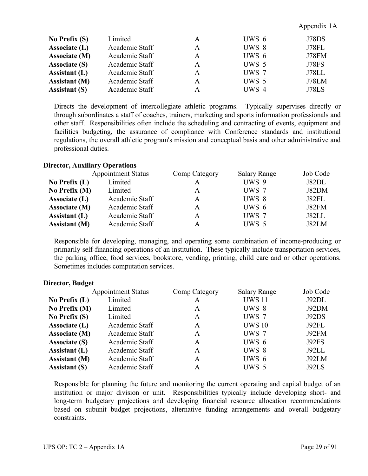# **No Prefix (S)** Limited A UWS 6 J78DS **Associate (L)** Academic Staff A UWS 8 J78FL **Associate (M)** Academic Staff A UWS 6 J78FM **Associate (S)** Academic Staff A UWS 5 J78FS **Assistant (L)** Academic Staff A UWS 7 J78LL **Assistant (M)** Academic Staff A UWS 5 J78LM **Assistant (S) Academic Staff A** UWS 4 J78LS

Directs the development of intercollegiate athletic programs. Typically supervises directly or through subordinates a staff of coaches, trainers, marketing and sports information professionals and other staff. Responsibilities often include the scheduling and contracting of events, equipment and facilities budgeting, the assurance of compliance with Conference standards and institutional regulations, the overall athletic program's mission and conceptual basis and other administrative and professional duties.

# **Director, Auxiliary Operations**

|                      | <b>Appointment Status</b> | Comp Category | <b>Salary Range</b> | Job Code |
|----------------------|---------------------------|---------------|---------------------|----------|
| No Prefix $(L)$      | Limited                   | А             | UWS 9               | J82DL    |
| No Prefix (M)        | Limited                   | A             | UWS 7               | J82DM    |
| Associate (L)        | Academic Staff            | А             | UWS 8               | J82FL    |
| Associate (M)        | Academic Staff            | A             | UWS 6               | J82FM    |
| Assistant $(L)$      | Academic Staff            | А             | UWS 7               | J82LL    |
| <b>Assistant</b> (M) | Academic Staff            | A             | UWS 5               | J82LM    |
|                      |                           |               |                     |          |

Responsible for developing, managing, and operating some combination of income-producing or primarily self-financing operations of an institution. These typically include transportation services, the parking office, food services, bookstore, vending, printing, child care and or other operations. Sometimes includes computation services.

|                      | <b>Appointment Status</b> | Comp Category | <b>Salary Range</b> | Job Code |
|----------------------|---------------------------|---------------|---------------------|----------|
| No Prefix $(L)$      | Limited                   | A             | <b>UWS 11</b>       | J92DL    |
| No Prefix (M)        | Limited                   | A             | UWS 8               | J92DM    |
| No Prefix $(S)$      | Limited                   | A             | UWS 7               | J92DS    |
| Associate (L)        | Academic Staff            | A             | <b>UWS 10</b>       | J92FL    |
| Associate (M)        | Academic Staff            | A             | UWS 7               | J92FM    |
| <b>Associate (S)</b> | Academic Staff            | A             | UWS 6               | J92FS    |
| <b>Assistant</b> (L) | Academic Staff            | A             | UWS 8               | J92LL    |
| <b>Assistant</b> (M) | Academic Staff            | A             | UWS 6               | J92LM    |
| <b>Assistant (S)</b> | Academic Staff            | A             | UWS 5               | J92LS    |
|                      |                           |               |                     |          |

## **Director, Budget**

Responsible for planning the future and monitoring the current operating and capital budget of an institution or major division or unit. Responsibilities typically include developing short- and long-term budgetary projections and developing financial resource allocation recommendations based on subunit budget projections, alternative funding arrangements and overall budgetary constraints.

Appendix 1A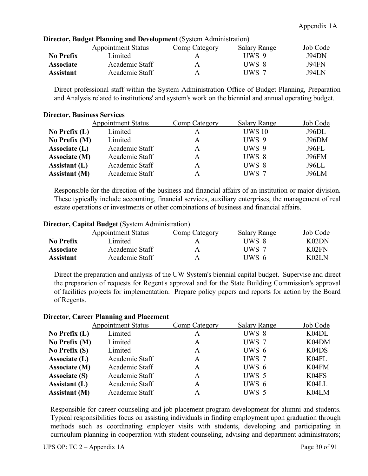|                  | <b>Appointment Status</b> | Comp Category | <b>Salary Range</b> | Job Code |
|------------------|---------------------------|---------------|---------------------|----------|
| <b>No Prefix</b> | Limited                   | A             | UWS 9               | J94DN    |
| <b>Associate</b> | Academic Staff            | А             | UWS 8               | J94FN    |
| <b>Assistant</b> | Academic Staff            | A             | UWS 7               | J94L N   |

## **Director, Budget Planning and Development** (System Administration)

Direct professional staff within the System Administration Office of Budget Planning, Preparation and Analysis related to institutions' and system's work on the biennial and annual operating budget.

### **Director, Business Services**

|                      | <b>Appointment Status</b> | Comp Category | <b>Salary Range</b> | Job Code     |
|----------------------|---------------------------|---------------|---------------------|--------------|
| No Prefix $(L)$      | Limited                   |               | <b>UWS 10</b>       | J96DL        |
| No Prefix (M)        | Limited                   | A             | UWS 9               | J96DM        |
| Associate (L)        | Academic Staff            | A             | UWS 9               | J96FL        |
| Associate (M)        | Academic Staff            | A             | UWS 8               | <b>J96FM</b> |
| Assistant (L)        | Academic Staff            | A             | UWS 8               | J96LL        |
| <b>Assistant</b> (M) | Academic Staff            |               | UWS 7               | J96LM        |

Responsible for the direction of the business and financial affairs of an institution or major division. These typically include accounting, financial services, auxiliary enterprises, the management of real estate operations or investments or other combinations of business and financial affairs.

## **Director, Capital Budget** (System Administration)

|                  | <b>Appointment Status</b> | Comp Category | Salary Range | Job Code |
|------------------|---------------------------|---------------|--------------|----------|
| No Prefix        | imited.                   |               | UWS 8        | K02DN    |
| <b>Associate</b> | Academic Staff            | А             | UWS 7        | K02FN    |
| Assistant        | Academic Staff            | Α             | UWS 6        | K021 N   |

Direct the preparation and analysis of the UW System's biennial capital budget. Supervise and direct the preparation of requests for Regent's approval and for the State Building Commission's approval of facilities projects for implementation. Prepare policy papers and reports for action by the Board of Regents.

|                      | <b>Appointment Status</b> | Comp Category | <b>Salary Range</b> | Job Code                       |
|----------------------|---------------------------|---------------|---------------------|--------------------------------|
| No Prefix $(L)$      | Limited                   | A             | UWS 8               | K04DL                          |
| No Prefix (M)        | Limited                   | A             | UWS 7               | K04DM                          |
| No Prefix $(S)$      | Limited                   | A             | UWS 6               | K <sub>04</sub> D <sub>S</sub> |
| Associate (L)        | Academic Staff            | A             | UWS 7               | K04FL                          |
| Associate (M)        | Academic Staff            | A             | UWS 6               | K04FM                          |
| <b>Associate (S)</b> | Academic Staff            | A             | UWS 5               | K04FS                          |
| Assistant $(L)$      | Academic Staff            | A             | UWS 6               | K04LL                          |
| <b>Assistant</b> (M) | Academic Staff            | A             | UWS 5               | K04LM                          |
|                      |                           |               |                     |                                |

### **Director, Career Planning and Placement**

Responsible for career counseling and job placement program development for alumni and students. Typical responsibilities focus on assisting individuals in finding employment upon graduation through methods such as coordinating employer visits with students, developing and participating in curriculum planning in cooperation with student counseling, advising and department administrators;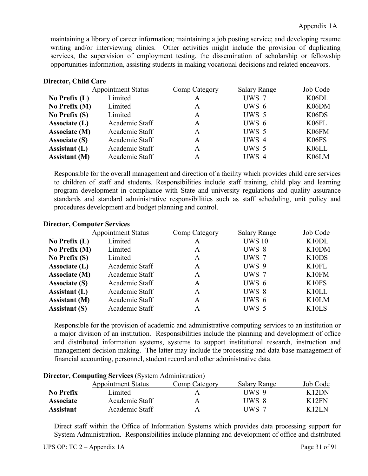maintaining a library of career information; maintaining a job posting service; and developing resume writing and/or interviewing clinics. Other activities might include the provision of duplicating services, the supervision of employment testing, the dissemination of scholarship or fellowship opportunities information, assisting students in making vocational decisions and related endeavors.

## **Director, Child Care**

|                      | <b>Appointment Status</b> | Comp Category | <b>Salary Range</b> | Job Code           |
|----------------------|---------------------------|---------------|---------------------|--------------------|
| No Prefix $(L)$      | Limited                   | A             | UWS 7               | K <sub>06</sub> DL |
| No Prefix $(M)$      | Limited                   | A             | UWS 6               | K06DM              |
| No Prefix $(S)$      | Limited                   | A             | UWS 5               | K <sub>06</sub> DS |
| Associate (L)        | Academic Staff            | A             | UWS 6               | K06FL              |
| <b>Associate (M)</b> | Academic Staff            | A             | UWS 5               | K06FM              |
| <b>Associate (S)</b> | Academic Staff            | A             | UWS 4               | K06FS              |
| Assistant (L)        | Academic Staff            | A             | UWS 5               | K06LL              |
| <b>Assistant (M)</b> | Academic Staff            | А             | UWS 4               | K06LM              |

Responsible for the overall management and direction of a facility which provides child care services to children of staff and students. Responsibilities include staff training, child play and learning program development in compliance with State and university regulations and quality assurance standards and standard administrative responsibilities such as staff scheduling, unit policy and procedures development and budget planning and control.

|                      | <b>Appointment Status</b> | Comp Category | <b>Salary Range</b> | Job Code           |
|----------------------|---------------------------|---------------|---------------------|--------------------|
| No Prefix $(L)$      | Limited                   | A             | <b>UWS 10</b>       | K <sub>10</sub> DL |
| No Prefix (M)        | Limited                   | A             | UWS 8               | K10DM              |
| No Prefix $(S)$      | Limited                   | A             | UWS 7               | K <sub>10</sub> DS |
| Associate (L)        | Academic Staff            | A             | UWS 9               | K <sub>10FL</sub>  |
| Associate (M)        | Academic Staff            | A             | UWS 7               | K10FM              |
| <b>Associate (S)</b> | Academic Staff            | A             | UWS 6               | K10FS              |
| Assistant (L)        | Academic Staff            | A             | UWS 8               | K <sub>10</sub> LL |
| <b>Assistant</b> (M) | Academic Staff            | A             | UWS 6               | K <sub>10</sub> LM |
| <b>Assistant (S)</b> | Academic Staff            | A             | UWS 5               | K <sub>10</sub> LS |

# **Director, Computer Services**

Responsible for the provision of academic and administrative computing services to an institution or a major division of an institution. Responsibilities include the planning and development of office and distributed information systems, systems to support institutional research, instruction and management decision making. The latter may include the processing and data base management of financial accounting, personnel, student record and other administrative data.

| $P_n$ computing bet vices (bysich reditionation) |                           |               |                     |          |
|--------------------------------------------------|---------------------------|---------------|---------------------|----------|
|                                                  | <b>Appointment Status</b> | Comp Category | <b>Salary Range</b> | Job Code |
| <b>No Prefix</b>                                 | Limited                   |               | UWS 9               | K12DN    |
| <b>Associate</b>                                 | Academic Staff            | A             | UWS 8               | K12FN    |
| <b>Assistant</b>                                 | Academic Staff            | A             | UWS 7               | K12LN    |

# **Director, Computing Services** (System Administration)

Direct staff within the Office of Information Systems which provides data processing support for System Administration. Responsibilities include planning and development of office and distributed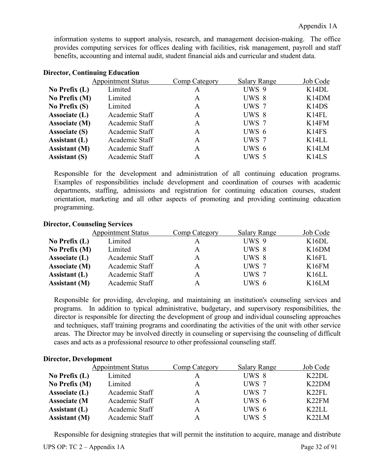information systems to support analysis, research, and management decision-making. The office provides computing services for offices dealing with facilities, risk management, payroll and staff benefits, accounting and internal audit, student financial aids and curricular and student data.

| риссия, социнаше паасанон |                           |               |                     |                                |
|---------------------------|---------------------------|---------------|---------------------|--------------------------------|
|                           | <b>Appointment Status</b> | Comp Category | <b>Salary Range</b> | Job Code                       |
| No Prefix $(L)$           | Limited                   | A             | UWS 9               | K14DL                          |
| No Prefix (M)             | Limited                   | A             | UWS 8               | K <sub>14</sub> DM             |
| No Prefix $(S)$           | Limited                   | A             | UWS 7               | K <sub>14</sub> D <sub>S</sub> |
| Associate (L)             | Academic Staff            | A             | UWS 8               | K <sub>14FL</sub>              |
| Associate (M)             | Academic Staff            | A             | UWS 7               | K14FM                          |
| <b>Associate (S)</b>      | Academic Staff            | A             | UWS 6               | K14FS                          |
| Assistant (L)             | Academic Staff            | A             | UWS 7               | K <sub>14</sub> LL             |
| <b>Assistant</b> (M)      | Academic Staff            | A             | UWS 6               | K <sub>14</sub> LM             |
| <b>Assistant (S)</b>      | Academic Staff            | A             | UWS 5               | K <sub>14</sub> L <sub>S</sub> |
|                           |                           |               |                     |                                |

### **Director, Continuing Education**

Responsible for the development and administration of all continuing education programs. Examples of responsibilities include development and coordination of courses with academic departments, staffing, admissions and registration for continuing education courses, student orientation, marketing and all other aspects of promoting and providing continuing education programming.

## **Director, Counseling Services**

|                      | <b>Appointment Status</b> | Comp Category | <b>Salary Range</b> | Job Code           |
|----------------------|---------------------------|---------------|---------------------|--------------------|
| No Prefix $(L)$      | Limited                   |               | UWS 9               | K16DL              |
| No Prefix (M)        | Limited                   | A             | UWS 8               | K <sub>16</sub> DM |
| Associate (L)        | Academic Staff            | A             | UWS 8               | K <sub>16FL</sub>  |
| Associate (M)        | Academic Staff            | A             | UWS 7               | K16FM              |
| Assistant $(L)$      | Academic Staff            | A             | UWS 7               | K16LL              |
| <b>Assistant</b> (M) | Academic Staff            |               | UWS 6               | K16LM              |

Responsible for providing, developing, and maintaining an institution's counseling services and programs. In addition to typical administrative, budgetary, and supervisory responsibilities, the director is responsible for directing the development of group and individual counseling approaches and techniques, staff training programs and coordinating the activities of the unit with other service areas. The Director may be involved directly in counseling or supervising the counseling of difficult cases and acts as a professional resource to other professional counseling staff.

# **Director, Development** Appointment Status Comp Category Salary Range Job Code  **No Prefix (L)** Limited A UWS 8 K22DL  **No Prefix (M)** Limited A UWS 7 K22DM **Associate (L)** Academic Staff A UWS 7 K22FL Associate (M Academic Staff A UWS 6 K22FM Assistant (L) Academic Staff A UWS 6 K22LL **Assistant (M)** Academic Staff A UWS 5 K22LM

Responsible for designing strategies that will permit the institution to acquire, manage and distribute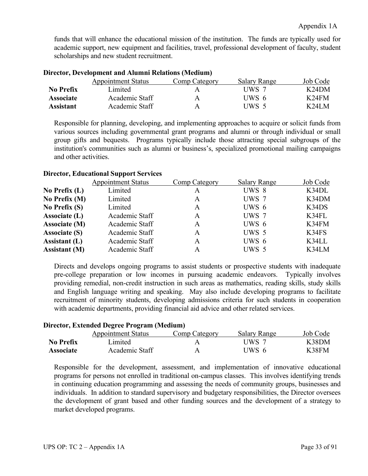funds that will enhance the educational mission of the institution. The funds are typically used for academic support, new equipment and facilities, travel, professional development of faculty, student scholarships and new student recruitment.

| ри ссеот, ретердиене ана тианин теспеноня (глеананг) |                           |               |                     |          |
|------------------------------------------------------|---------------------------|---------------|---------------------|----------|
|                                                      | <b>Appointment Status</b> | Comp Category | <b>Salary Range</b> | Job Code |
| No Prefix                                            | Limited                   |               | UWS 7               | K24DM    |
| <b>Associate</b>                                     | Academic Staff            | A             | UWS 6               | K24FM    |
| <b>Assistant</b>                                     | Academic Staff            | A             | UWS 5               | K24LM    |

## **Director, Development and Alumni Relations (Medium)**

Responsible for planning, developing, and implementing approaches to acquire or solicit funds from various sources including governmental grant programs and alumni or through individual or small group gifts and bequests. Programs typically include those attracting special subgroups of the institution's communities such as alumni or business's, specialized promotional mailing campaigns and other activities.

## **Director, Educational Support Services**

|                      | <b>Appointment Status</b> | Comp Category | <b>Salary Range</b> | Job Code |
|----------------------|---------------------------|---------------|---------------------|----------|
| No Prefix $(L)$      | Limited                   | A             | UWS 8               | K34DL    |
| No Prefix (M)        | Limited                   | A             | UWS 7               | K34DM    |
| No Prefix $(S)$      | Limited                   | A             | $UWS_6$             | K34DS    |
| Associate (L)        | Academic Staff            | A             | UWS 7               | K34FL    |
| Associate (M)        | Academic Staff            | A             | UWS 6               | K34FM    |
| <b>Associate (S)</b> | Academic Staff            | A             | UWS 5               | K34FS    |
| Assistant (L)        | Academic Staff            | A             | $UWS_6$             | K34LL    |
| <b>Assistant</b> (M) | Academic Staff            | A             | UWS 5               | K34LM    |

Directs and develops ongoing programs to assist students or prospective students with inadequate pre-college preparation or low incomes in pursuing academic endeavors. Typically involves providing remedial, non-credit instruction in such areas as mathematics, reading skills, study skills and English language writing and speaking. May also include developing programs to facilitate recruitment of minority students, developing admissions criteria for such students in cooperation with academic departments, providing financial aid advice and other related services.

## **Director, Extended Degree Program (Medium)**

|                  | <b>Appointment Status</b> | Comp Category | Salary Range | Job Code |
|------------------|---------------------------|---------------|--------------|----------|
| <b>No Prefix</b> | imited                    |               | UWS 7        | K38DM    |
| <b>Associate</b> | Academic Staff            |               | UWS 6        | K38FM    |

Responsible for the development, assessment, and implementation of innovative educational programs for persons not enrolled in traditional on-campus classes. This involves identifying trends in continuing education programming and assessing the needs of community groups, businesses and individuals. In addition to standard supervisory and budgetary responsibilities, the Director oversees the development of grant based and other funding sources and the development of a strategy to market developed programs.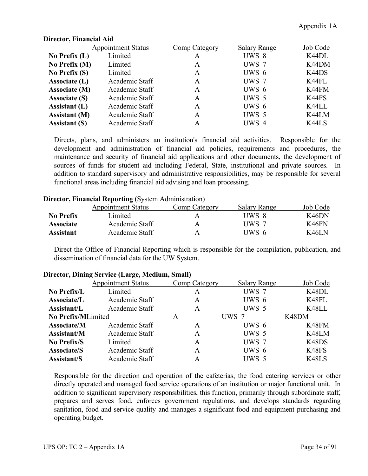|                      | <b>Appointment Status</b> | Comp Category | <b>Salary Range</b> | Job Code |
|----------------------|---------------------------|---------------|---------------------|----------|
| No Prefix $(L)$      | Limited                   | А             | UWS 8               | K44DL    |
| No Prefix (M)        | Limited                   | A             | UWS 7               | K44DM    |
| No Prefix $(S)$      | Limited                   | A             | UWS 6               | K44DS    |
| Associate (L)        | Academic Staff            | A             | UWS 7               | K44FL    |
| Associate (M)        | Academic Staff            | A             | UWS 6               | K44FM    |
| <b>Associate (S)</b> | Academic Staff            | A             | UWS 5               | K44FS    |
| Assistant (L)        | Academic Staff            | A             | UWS 6               | K44LL    |
| <b>Assistant</b> (M) | Academic Staff            | A             | UWS 5               | K44LM    |
| <b>Assistant (S)</b> | Academic Staff            | A             | UWS 4               | K44LS    |

## **Director, Financial Aid**

Directs, plans, and administers an institution's financial aid activities. Responsible for the development and administration of financial aid policies, requirements and procedures, the maintenance and security of financial aid applications and other documents, the development of sources of funds for student aid including Federal, State, institutional and private sources. In addition to standard supervisory and administrative responsibilities, may be responsible for several functional areas including financial aid advising and loan processing.

### **Director, Financial Reporting** (System Administration)

|                  | <b>Appointment Status</b> | Comp Category | <b>Salary Range</b> | Job Code |
|------------------|---------------------------|---------------|---------------------|----------|
| No Prefix        | amited                    |               | UWS 8               | K46DN    |
| <b>Associate</b> | Academic Staff            | A             | UWS 7               | K46FN    |
| <b>Assistant</b> | Academic Staff            | A             | UWS 6               | K46LN    |

Direct the Office of Financial Reporting which is responsible for the compilation, publication, and dissemination of financial data for the UW System.

|                    | <b>Appointment Status</b> | Comp Category | <b>Salary Range</b> | Job Code |
|--------------------|---------------------------|---------------|---------------------|----------|
| No Prefix/L        | Limited                   | A             | UWS 7               | K48DL    |
| <b>Associate/L</b> | Academic Staff            | A             | UWS 6               | K48FL    |
| Assistant/L        | Academic Staff            | A             | UWS 5               | K48LL    |
| No Prefix/MLimited |                           | A             | UWS 7               | K48DM    |
| <b>Associate/M</b> | Academic Staff            | A             | UWS 6               | K48FM    |
| Assistant/M        | Academic Staff            | A             | UWS 5               | K48LM    |
| No Prefix/S        | Limited                   | A             | UWS 7               | K48DS    |
| <b>Associate/S</b> | Academic Staff            | A             | UWS 6               | K48FS    |
| <b>Assistant/S</b> | Academic Staff            | A             | UWS 5               | K48LS    |
|                    |                           |               |                     |          |

### **Director, Dining Service (Large, Medium, Small)**

Responsible for the direction and operation of the cafeterias, the food catering services or other directly operated and managed food service operations of an institution or major functional unit. In addition to significant supervisory responsibilities, this function, primarily through subordinate staff, prepares and serves food, enforces government regulations, and develops standards regarding sanitation, food and service quality and manages a significant food and equipment purchasing and operating budget.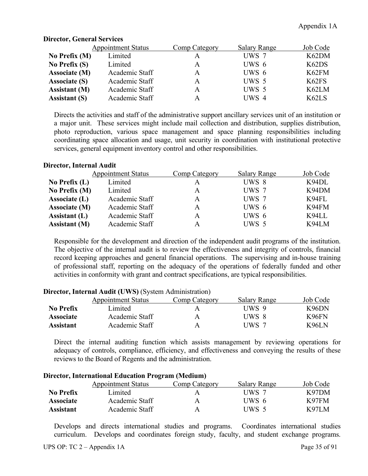|                      | <b>Appointment Status</b> | <b>Comp Category</b> | <b>Salary Range</b> | Job Code |
|----------------------|---------------------------|----------------------|---------------------|----------|
| No Prefix $(M)$      | Limited                   |                      | UWS 7               | K62DM    |
| No Prefix $(S)$      | Limited                   | A                    | UWS 6               | K62DS    |
| Associate (M)        | Academic Staff            | A                    | UWS 6               | K62FM    |
| <b>Associate (S)</b> | Academic Staff            | A                    | UWS 5               | K62FS    |
| <b>Assistant (M)</b> | Academic Staff            | A                    | UWS 5               | K62LM    |
| <b>Assistant (S)</b> | Academic Staff            |                      | UWS 4               | K62LS    |

## **Director, General Services**

Directs the activities and staff of the administrative support ancillary services unit of an institution or a major unit. These services might include mail collection and distribution, supplies distribution, photo reproduction, various space management and space planning responsibilities including coordinating space allocation and usage, unit security in coordination with institutional protective services, general equipment inventory control and other responsibilities.

## **Director, Internal Audit**

|                      | <b>Appointment Status</b> | Comp Category | <b>Salary Range</b> | Job Code |
|----------------------|---------------------------|---------------|---------------------|----------|
| No Prefix $(L)$      | Limited                   | A             | UWS 8               | K94DL    |
| No Prefix (M)        | Limited                   | A             | UWS 7               | K94DM    |
| Associate (L)        | Academic Staff            | A             | UWS 7               | K94FL    |
| Associate (M)        | Academic Staff            | A             | UWS 6               | K94FM    |
| Assistant $(L)$      | Academic Staff            | A             | UWS 6               | K94LL    |
| <b>Assistant</b> (M) | Academic Staff            | А             | UWS 5               | K94LM    |
|                      |                           |               |                     |          |

Responsible for the development and direction of the independent audit programs of the institution. The objective of the internal audit is to review the effectiveness and integrity of controls, financial record keeping approaches and general financial operations. The supervising and in-house training of professional staff, reporting on the adequacy of the operations of federally funded and other activities in conformity with grant and contract specifications, are typical responsibilities.

|                  | <b>Appointment Status</b> | Comp Category | <b>Salary Range</b> | Job Code |
|------------------|---------------------------|---------------|---------------------|----------|
| <b>No Prefix</b> | Limited                   | А             | UWS 9               | K96DN    |
| <b>Associate</b> | Academic Staff            | А             | UWS 8               | K96FN    |
| <b>Assistant</b> | Academic Staff            | А             | UWS 7               | K96LN    |

### **Director, Internal Audit (UWS)** (System Administration)

Direct the internal auditing function which assists management by reviewing operations for adequacy of controls, compliance, efficiency, and effectiveness and conveying the results of these reviews to the Board of Regents and the administration.

### **Director, International Education Program (Medium)** Appointment Status Comp Category Salary Range Job Code **No Prefix** Limited **A** UWS 7 K97DM **Associate** Academic Staff A UWS 6 K97FM

Develops and directs international studies and programs. Coordinates international studies curriculum. Develops and coordinates foreign study, faculty, and student exchange programs.

**Assistant** Academic Staff A UWS 5 K97LM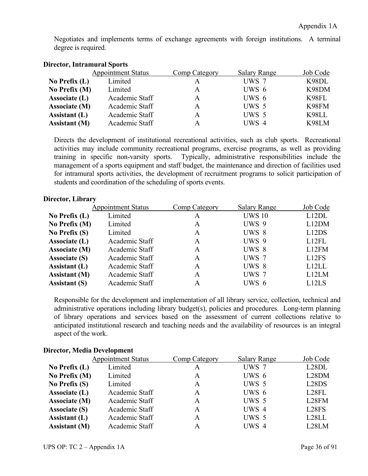| $\sim$ 11 00001, 21101 William William $\sim$ $\sim$ 0100 |                           |               |                     |          |  |
|-----------------------------------------------------------|---------------------------|---------------|---------------------|----------|--|
|                                                           | <b>Appointment Status</b> | Comp Category | <b>Salary Range</b> | Job Code |  |
| No Prefix $(L)$                                           | Limited                   | A             | UWS 7               | K98DL    |  |
| No Prefix (M)                                             | Limited                   | A             | UWS 6               | K98DM    |  |
| Associate (L)                                             | Academic Staff            | A             | UWS 6               | K98FL    |  |
| Associate (M)                                             | Academic Staff            | A             | UWS 5               | K98FM    |  |
| Assistant (L)                                             | Academic Staff            | A             | UWS 5               | K98LL    |  |
| <b>Assistant (M)</b>                                      | Academic Staff            | A             | UWS 4               | K98LM    |  |
|                                                           |                           |               |                     |          |  |

Negotiates and implements terms of exchange agreements with foreign institutions. A terminal degree is required.

# **Director, Intramural Sports**

Directs the development of institutional recreational activities, such as club sports. Recreational activities may include community recreational programs, exercise programs, as well as providing training in specific non-varsity sports. Typically, administrative responsibilities include the management of a sports equipment and staff budget, the maintenance and direction of facilities used for intramural sports activities, the development of recruitment programs to solicit participation of students and coordination of the scheduling of sports events.

### **Director, Library**

|                      | <b>Appointment Status</b> | Comp Category | <b>Salary Range</b> | Job Code                       |
|----------------------|---------------------------|---------------|---------------------|--------------------------------|
| No Prefix $(L)$      | Limited                   | A             | <b>UWS 10</b>       | L12DL                          |
| No Prefix (M)        | Limited                   | A             | UWS 9               | L12DM                          |
| No Prefix $(S)$      | Limited                   | A             | UWS 8               | L12DS                          |
| Associate (L)        | Academic Staff            | A             | UWS 9               | L12FL                          |
| Associate (M)        | Academic Staff            | A             | UWS 8               | L12FM                          |
| <b>Associate (S)</b> | Academic Staff            | A             | UWS 7               | L12FS                          |
| Assistant (L)        | Academic Staff            | A             | UWS 8               | L12LL                          |
| <b>Assistant</b> (M) | Academic Staff            | A             | UWS 7               | L12LM                          |
| <b>Assistant (S)</b> | Academic Staff            | A             | UWS 6               | L <sub>12</sub> L <sub>S</sub> |

Responsible for the development and implementation of all library service, collection, technical and administrative operations including library budget(s), policies and procedures. Long-term planning of library operations and services based on the assessment of current collections relative to anticipated institutional research and teaching needs and the availability of resources is an integral aspect of the work.

### **Director, Media Development**

|                      | <b>Appointment Status</b> | Comp Category | <b>Salary Range</b> | Job Code                       |
|----------------------|---------------------------|---------------|---------------------|--------------------------------|
| No Prefix $(L)$      | Limited                   | A             | UWS 7               | L28DL                          |
| No Prefix (M)        | Limited                   | A             | UWS 6               | L28DM                          |
| No Prefix $(S)$      | Limited                   | A             | UWS 5               | L <sub>28</sub> D <sub>S</sub> |
| Associate (L)        | Academic Staff            | A             | UWS 6               | L <sub>28</sub> FL             |
| Associate (M)        | Academic Staff            | A             | UWS 5               | L28FM                          |
| <b>Associate (S)</b> | Academic Staff            | A             | UWS 4               | L <sub>28</sub> FS             |
| Assistant $(L)$      | Academic Staff            | A             | UWS 5               | L28LL                          |
| <b>Assistant</b> (M) | Academic Staff            | A             | UWS 4               | L <sub>28</sub> LM             |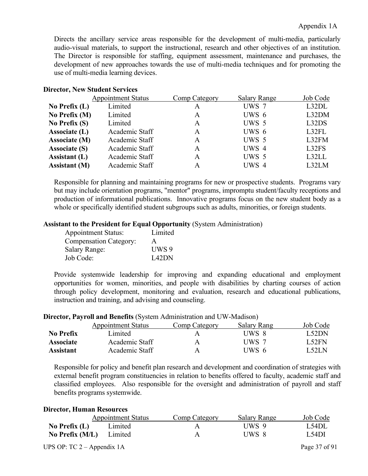Directs the ancillary service areas responsible for the development of multi-media, particularly audio-visual materials, to support the instructional, research and other objectives of an institution. The Director is responsible for staffing, equipment assessment, maintenance and purchases, the development of new approaches towards the use of multi-media techniques and for promoting the use of multi-media learning devices.

### **Director, New Student Services**

|                      | <b>Appointment Status</b> | Comp Category | <b>Salary Range</b> | Job Code |
|----------------------|---------------------------|---------------|---------------------|----------|
| No Prefix $(L)$      | Limited                   | A             | UWS 7               | L32DL    |
| No Prefix (M)        | Limited                   | A             | UWS 6               | L32DM    |
| No Prefix $(S)$      | Limited                   | A             | UWS 5               | L32DS    |
| Associate (L)        | Academic Staff            | A             | UWS 6               | L32FL    |
| <b>Associate (M)</b> | Academic Staff            | A             | UWS 5               | L32FM    |
| <b>Associate (S)</b> | Academic Staff            | A             | UWS 4               | L32FS    |
| Assistant (L)        | Academic Staff            | A             | UWS 5               | L32LL    |
| <b>Assistant (M)</b> | Academic Staff            | А             | UWS 4               | L32LM    |

Responsible for planning and maintaining programs for new or prospective students. Programs vary but may include orientation programs, "mentor" programs, impromptu student/faculty receptions and production of informational publications. Innovative programs focus on the new student body as a whole or specifically identified student subgroups such as adults, minorities, or foreign students.

# **Assistant to the President for Equal Opportunity** (System Administration)

| <b>Appointment Status:</b>    | Limited |
|-------------------------------|---------|
| <b>Compensation Category:</b> | A       |
| <b>Salary Range:</b>          | UWS 9   |
| Job Code:                     | L42DN   |

Provide systemwide leadership for improving and expanding educational and employment opportunities for women, minorities, and people with disabilities by charting courses of action through policy development, monitoring and evaluation, research and educational publications, instruction and training, and advising and counseling.

|                  | $\mathcal{L}$ received and $\mathcal{L}$ represents the potential results and $\mathcal{L}$ is a required for $\mathcal{L}$ |               |             |              |
|------------------|-----------------------------------------------------------------------------------------------------------------------------|---------------|-------------|--------------|
|                  | <b>Appointment Status</b>                                                                                                   | Comp Category | Salary Rang | Job Code     |
| No Prefix        | Limited                                                                                                                     | Α             | UWS 8       | L52DN        |
| <b>Associate</b> | Academic Staff                                                                                                              | A             | UWS 7       | <b>L52FN</b> |
| <b>Assistant</b> | Academic Staff                                                                                                              | А             | UWS 6       | L52LN        |

# **Director, Payroll and Benefits** (System Administration and UW-Madison)

Responsible for policy and benefit plan research and development and coordination of strategies with external benefit program constituencies in relation to benefits offered to faculty, academic staff and classified employees. Also responsible for the oversight and administration of payroll and staff benefits programs systemwide.

#### **Director, Human Resources**

|                              | <b>Appointment Status</b> | Comp Category | <b>Salary Range</b> | Job Code      |
|------------------------------|---------------------------|---------------|---------------------|---------------|
| No Prefix $(L)$              | Limited                   |               | UWS 9               | L54DL         |
| No Prefix $(M/L)$            | Limited                   | А             | UWS 8               | L54DI         |
| UPS OP: TC $2 -$ Appendix 1A |                           |               |                     | Page 37 of 91 |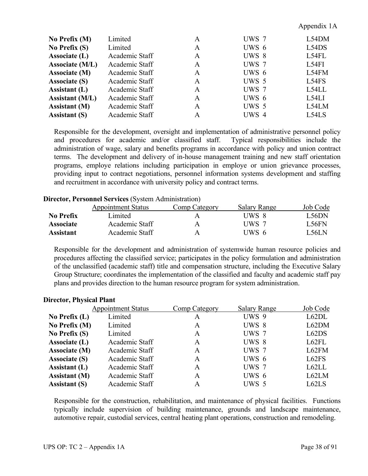### Appendix 1A

| No Prefix $(M)$        | Limited        | A | UWS 7 | L54DM |
|------------------------|----------------|---|-------|-------|
| No Prefix $(S)$        | Limited        | A | UWS 6 | L54DS |
| Associate (L)          | Academic Staff | A | UWS 8 | L54FL |
| Associate (M/L)        | Academic Staff | A | UWS 7 | L54FI |
| Associate (M)          | Academic Staff | A | UWS 6 | L54FM |
| <b>Associate (S)</b>   | Academic Staff | A | UWS 5 | L54FS |
| Assistant (L)          | Academic Staff | A | UWS 7 | L54LL |
| <b>Assistant (M/L)</b> | Academic Staff | A | UWS 6 | L54LI |
| <b>Assistant</b> (M)   | Academic Staff | A | UWS 5 | L54LM |
| <b>Assistant (S)</b>   | Academic Staff | А | UWS 4 | L54LS |

Responsible for the development, oversight and implementation of administrative personnel policy and procedures for academic and/or classified staff. Typical responsibilities include the administration of wage, salary and benefits programs in accordance with policy and union contract terms. The development and delivery of in-house management training and new staff orientation programs, employe relations including participation in employe or union grievance processes, providing input to contract negotiations, personnel information systems development and staffing and recruitment in accordance with university policy and contract terms.

#### **Director, Personnel Services** (System Administration)

|                  | <b>Appointment Status</b> | Comp Category | Salary Range | Job Code     |
|------------------|---------------------------|---------------|--------------|--------------|
| No Prefix        | Limited                   | A             | UWS 8        | L56DN        |
| <b>Associate</b> | Academic Staff            | A             | UWS 7        | <b>L56FN</b> |
| <b>Assistant</b> | Academic Staff            | Α             | UWS 6        | L56LN        |

Responsible for the development and administration of systemwide human resource policies and procedures affecting the classified service; participates in the policy formulation and administration of the unclassified (academic staff) title and compensation structure, including the Executive Salary Group Structure; coordinates the implementation of the classified and faculty and academic staff pay plans and provides direction to the human resource program for system administration.

|                      | <b>Appointment Status</b> | Comp Category | <b>Salary Range</b> | Job Code |
|----------------------|---------------------------|---------------|---------------------|----------|
| No Prefix $(L)$      | Limited                   | A             | UWS 9               | L62DL    |
| No Prefix (M)        | Limited                   | A             | UWS 8               | L62DM    |
| No Prefix $(S)$      | Limited                   | A             | UWS 7               | L62DS    |
| Associate (L)        | Academic Staff            | A             | UWS 8               | L62FL    |
| Associate (M)        | Academic Staff            | A             | UWS 7               | L62FM    |
| <b>Associate (S)</b> | Academic Staff            | A             | UWS 6               | L62FS    |
| Assistant (L)        | Academic Staff            | A             | UWS 7               | L62LL    |
| <b>Assistant</b> (M) | Academic Staff            | A             | UWS 6               | L62LM    |
| <b>Assistant (S)</b> | Academic Staff            | A             | UWS 5               | L62LS    |
|                      |                           |               |                     |          |

#### **Director, Physical Plant**

Responsible for the construction, rehabilitation, and maintenance of physical facilities. Functions typically include supervision of building maintenance, grounds and landscape maintenance, automotive repair, custodial services, central heating plant operations, construction and remodeling.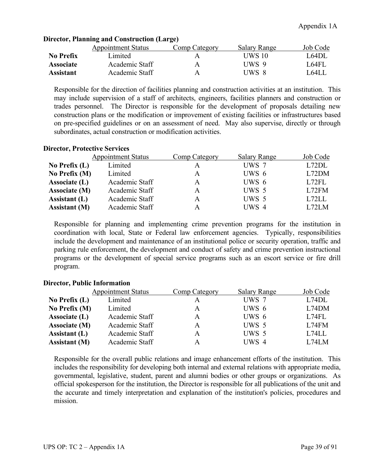|                  | <b>Appointment Status</b> | Comp Category | Salary Range | Job Code     |
|------------------|---------------------------|---------------|--------------|--------------|
| No Prefix        | imited.                   | А             | UWS 10       | <b>L64DL</b> |
| <b>Associate</b> | Academic Staff            | A             | UWS 9        | L64FL        |
| Assistant        | Academic Staff            | A             | UWS 8        | L64LI        |

# **Director, Planning and Construction (Large)**

Responsible for the direction of facilities planning and construction activities at an institution. This may include supervision of a staff of architects, engineers, facilities planners and construction or trades personnel. The Director is responsible for the development of proposals detailing new construction plans or the modification or improvement of existing facilities or infrastructures based on pre-specified guidelines or on an assessment of need. May also supervise, directly or through subordinates, actual construction or modification activities.

# **Director, Protective Services**

|                      | <b>Appointment Status</b> | <b>Comp Category</b> | <b>Salary Range</b> | Job Code |
|----------------------|---------------------------|----------------------|---------------------|----------|
| No Prefix $(L)$      | Limited                   |                      | UWS 7               | L72DL    |
| No Prefix $(M)$      | Limited                   | A                    | UWS 6               | L72DM    |
| Associate (L)        | Academic Staff            | A                    | UWS 6               | L72FL    |
| Associate (M)        | Academic Staff            | A                    | UWS 5               | L72FM    |
| Assistant $(L)$      | Academic Staff            | A                    | UWS 5               | L72LL    |
| <b>Assistant</b> (M) | Academic Staff            |                      | UWS 4               | L72LM    |

Responsible for planning and implementing crime prevention programs for the institution in coordination with local, State or Federal law enforcement agencies. Typically, responsibilities include the development and maintenance of an institutional police or security operation, traffic and parking rule enforcement, the development and conduct of safety and crime prevention instructional programs or the development of special service programs such as an escort service or fire drill program.

# **Director, Public Information**

|                      | <b>Appointment Status</b> | Comp Category | <b>Salary Range</b> | Job Code |
|----------------------|---------------------------|---------------|---------------------|----------|
| No Prefix $(L)$      | Limited                   |               | UWS 7               | L74DL    |
| No Prefix $(M)$      | Limited                   | A             | UWS 6               | L74DM    |
| Associate (L)        | Academic Staff            | A             | UWS 6               | L74FL    |
| Associate (M)        | Academic Staff            | A             | UWS 5               | L74FM    |
| Assistant $(L)$      | Academic Staff            | A             | UWS 5               | L74LL    |
| <b>Assistant</b> (M) | Academic Staff            | A             | UWS 4               | L74LM    |

Responsible for the overall public relations and image enhancement efforts of the institution. This includes the responsibility for developing both internal and external relations with appropriate media, governmental, legislative, student, parent and alumni bodies or other groups or organizations. As official spokesperson for the institution, the Director is responsible for all publications of the unit and the accurate and timely interpretation and explanation of the institution's policies, procedures and mission.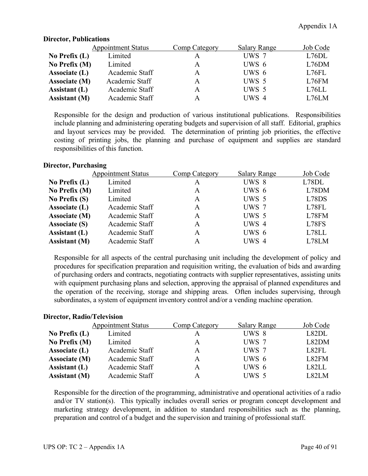|                      | <b>Appointment Status</b> | Comp Category | <b>Salary Range</b> | Job Code |
|----------------------|---------------------------|---------------|---------------------|----------|
| No Prefix $(L)$      | Limited                   | А             | UWS 7               | L76DL    |
| No Prefix (M)        | Limited                   | A             | UWS 6               | L76DM    |
| Associate (L)        | Academic Staff            | A             | UWS 6               | L76FL    |
| Associate (M)        | Academic Staff            | A             | UWS 5               | L76FM    |
| Assistant $(L)$      | Academic Staff            | A             | UWS 5               | L76LL    |
| <b>Assistant (M)</b> | Academic Staff            |               | UWS 4               | L76LM    |
|                      |                           |               |                     |          |

#### **Director, Publications**

Responsible for the design and production of various institutional publications. Responsibilities include planning and administering operating budgets and supervision of all staff. Editorial, graphics and layout services may be provided. The determination of printing job priorities, the effective costing of printing jobs, the planning and purchase of equipment and supplies are standard responsibilities of this function.

# **Director, Purchasing**

|                      | <b>Appointment Status</b> | Comp Category | <b>Salary Range</b> | Job Code |
|----------------------|---------------------------|---------------|---------------------|----------|
| No Prefix $(L)$      | Limited                   | A             | UWS 8               | L78DL    |
| No Prefix (M)        | Limited                   | A             | UWS 6               | L78DM    |
| No Prefix $(S)$      | Limited                   | A             | UWS 5               | L78DS    |
| Associate (L)        | Academic Staff            | A             | UWS 7               | L78FL    |
| Associate (M)        | Academic Staff            | A             | UWS 5               | L78FM    |
| <b>Associate (S)</b> | Academic Staff            | A             | UWS 4               | L78FS    |
| Assistant (L)        | Academic Staff            | A             | UWS 6               | L78LL    |
| <b>Assistant</b> (M) | Academic Staff            | A             | UWS 4               | L78LM    |

Responsible for all aspects of the central purchasing unit including the development of policy and procedures for specification preparation and requisition writing, the evaluation of bids and awarding of purchasing orders and contracts, negotiating contracts with supplier representatives, assisting units with equipment purchasing plans and selection, approving the appraisal of planned expenditures and the operation of the receiving, storage and shipping areas. Often includes supervising, through subordinates, a system of equipment inventory control and/or a vending machine operation.

# **Director, Radio/Television**

|                      | <b>Appointment Status</b> | Comp Category | <b>Salary Range</b> | Job Code |
|----------------------|---------------------------|---------------|---------------------|----------|
| No Prefix $(L)$      | Limited                   | A             | UWS 8               | L82DL    |
| No Prefix (M)        | Limited                   | A             | UWS 7               | L82DM    |
| Associate $(L)$      | Academic Staff            | A             | UWS 7               | L82FL    |
| Associate (M)        | Academic Staff            | A             | $UWS_6$             | L82FM    |
| Assistant $(L)$      | Academic Staff            | A             | UWS 6               | L82LL    |
| <b>Assistant (M)</b> | Academic Staff            | А             | UWS 5               | L82LM    |

Responsible for the direction of the programming, administrative and operational activities of a radio and/or TV station(s). This typically includes overall series or program concept development and marketing strategy development, in addition to standard responsibilities such as the planning, preparation and control of a budget and the supervision and training of professional staff.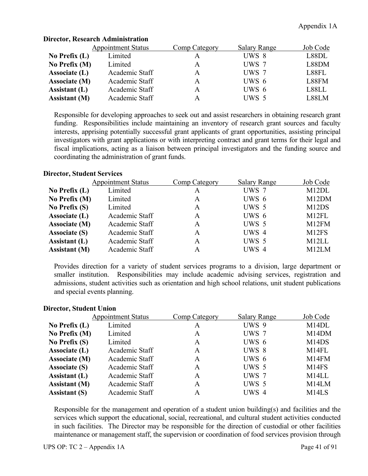|                      | <b>Appointment Status</b> | Comp Category | <b>Salary Range</b> | Job Code |
|----------------------|---------------------------|---------------|---------------------|----------|
| No Prefix $(L)$      | Limited                   |               | UWS 8               | L88DL    |
| No Prefix $(M)$      | Limited                   | A             | UWS 7               | L88DM    |
| Associate (L)        | Academic Staff            | A             | UWS 7               | L88FL    |
| Associate (M)        | Academic Staff            | A             | $UWS_6$             | L88FM    |
| Assistant $(L)$      | Academic Staff            | A             | UWS 6               | L88LL    |
| <b>Assistant</b> (M) | Academic Staff            |               | UWS 5               | L88LM    |

### **Director, Research Administration**

Responsible for developing approaches to seek out and assist researchers in obtaining research grant funding. Responsibilities include maintaining an inventory of research grant sources and faculty interests, apprising potentially successful grant applicants of grant opportunities, assisting principal investigators with grant applications or with interpreting contract and grant terms for their legal and fiscal implications, acting as a liaison between principal investigators and the funding source and coordinating the administration of grant funds.

# **Director, Student Services**

|                      | <b>Appointment Status</b> | Comp Category | <b>Salary Range</b> | Job Code                       |
|----------------------|---------------------------|---------------|---------------------|--------------------------------|
| No Prefix $(L)$      | Limited                   | A             | UWS 7               | M12DL                          |
| No Prefix (M)        | Limited                   | A             | UWS 6               | M12DM                          |
| No Prefix $(S)$      | Limited                   | A             | UWS 5               | M <sub>12</sub> D <sub>S</sub> |
| Associate (L)        | Academic Staff            | A             | UWS 6               | M12FL                          |
| Associate (M)        | Academic Staff            | A             | UWS 5               | M12FM                          |
| <b>Associate (S)</b> | Academic Staff            | A             | UWS 4               | M <sub>12FS</sub>              |
| Assistant (L)        | Academic Staff            | A             | UWS 5               | M <sub>12</sub> LL             |
| <b>Assistant (M)</b> | Academic Staff            | А             | UWS 4               | M <sub>12</sub> LM             |

Provides direction for a variety of student services programs to a division, large department or smaller institution. Responsibilities may include academic advising services, registration and admissions, student activities such as orientation and high school relations, unit student publications and special events planning.

# **Director, Student Union**

|                      | <b>Appointment Status</b> | Comp Category | <b>Salary Range</b> | Job Code                       |
|----------------------|---------------------------|---------------|---------------------|--------------------------------|
| No Prefix $(L)$      | Limited                   | А             | UWS 9               | M <sub>14</sub> DL             |
| No Prefix (M)        | Limited                   | A             | UWS 7               | M14DM                          |
| No Prefix $(S)$      | Limited                   | A             | UWS 6               | M <sub>14</sub> D <sub>S</sub> |
| Associate (L)        | Academic Staff            | A             | UWS 8               | M14FL                          |
| Associate (M)        | Academic Staff            | A             | UWS 6               | M14FM                          |
| <b>Associate (S)</b> | Academic Staff            | A             | UWS 5               | M <sub>14FS</sub>              |
| Assistant (L)        | Academic Staff            | A             | UWS 7               | M14LL                          |
| <b>Assistant (M)</b> | Academic Staff            | A             | UWS 5               | M14LM                          |
| <b>Assistant (S)</b> | Academic Staff            | A             | UWS 4               | M <sub>14</sub> LS             |

Responsible for the management and operation of a student union building(s) and facilities and the services which support the educational, social, recreational, and cultural student activities conducted in such facilities. The Director may be responsible for the direction of custodial or other facilities maintenance or management staff, the supervision or coordination of food services provision through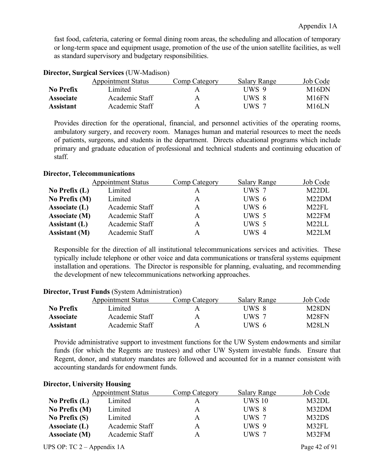fast food, cafeteria, catering or formal dining room areas, the scheduling and allocation of temporary or long-term space and equipment usage, promotion of the use of the union satellite facilities, as well as standard supervisory and budgetary responsibilities.

|                  | <b>Appointment Status</b> | Comp Category | <b>Salary Range</b> | Job Code |
|------------------|---------------------------|---------------|---------------------|----------|
| No Prefix        | Limited                   | A             | UWS 9               | M16DN    |
| <b>Associate</b> | Academic Staff            | A             | UWS 8               | M16FN    |
| <b>Assistant</b> | Academic Staff            | A             | UWS 7               | M16LN    |

# **Director, Surgical Services** (UW-Madison)

Provides direction for the operational, financial, and personnel activities of the operating rooms, ambulatory surgery, and recovery room. Manages human and material resources to meet the needs of patients, surgeons, and students in the department. Directs educational programs which include primary and graduate education of professional and technical students and continuing education of staff.

# **Director, Telecommunications**

|                      | <b>Appointment Status</b> | Comp Category | <b>Salary Range</b> | Job Code           |
|----------------------|---------------------------|---------------|---------------------|--------------------|
| No Prefix $(L)$      | Limited                   |               | UWS 7               | M <sub>22</sub> DL |
| No Prefix $(M)$      | Limited                   | A             | UWS 6               | M <sub>22</sub> DM |
| Associate (L)        | Academic Staff            | A             | UWS 6               | M22FL              |
| Associate (M)        | Academic Staff            | A             | UWS 5               | M22FM              |
| Assistant $(L)$      | Academic Staff            | A             | UWS 5               | M <sub>22</sub> LL |
| <b>Assistant</b> (M) | Academic Staff            |               | UWS 4               | M <sub>22</sub> LM |

Responsible for the direction of all institutional telecommunications services and activities. These typically include telephone or other voice and data communications or transferal systems equipment installation and operations. The Director is responsible for planning, evaluating, and recommending the development of new telecommunications networking approaches.

|                  | <b>Appointment Status</b> | Comp Category | <b>Salary Range</b> | Job Code     |
|------------------|---------------------------|---------------|---------------------|--------------|
| No Prefix        | Limited                   |               | UWS 8               | M28DN        |
| <b>Associate</b> | Academic Staff            | А             | UWS 7               | M28FN        |
| Assistant        | Academic Staff            | А             | UWS 6               | <b>M28LN</b> |

# **Director, Trust Funds** (System Administration)

Provide administrative support to investment functions for the UW System endowments and similar funds (for which the Regents are trustees) and other UW System investable funds. Ensure that Regent, donor, and statutory mandates are followed and accounted for in a manner consistent with accounting standards for endowment funds.

|                 | <b>Appointment Status</b> | <b>Comp Category</b> | <b>Salary Range</b> | Job Code |
|-----------------|---------------------------|----------------------|---------------------|----------|
| No Prefix $(L)$ | Limited                   |                      | <b>UWS 10</b>       | M32DL    |
| No Prefix (M)   | Limited                   | A                    | UWS 8               | M32DM    |
| No Prefix $(S)$ | Limited                   | A                    | UWS 7               | M32DS    |
| Associate $(L)$ | Academic Staff            | A                    | UWS 9               | M32FL    |
| Associate (M)   | Academic Staff            | A                    | UWS 7               | M32FM    |
|                 |                           |                      |                     |          |

# **Director, University Housing**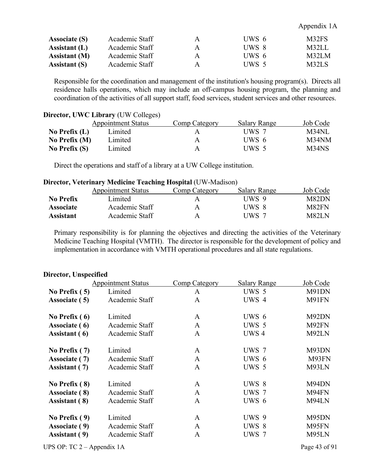#### Appendix 1A

| <b>Associate (S)</b> | Academic Staff | A | UWS 6 | M32FS |
|----------------------|----------------|---|-------|-------|
| Assistant $(L)$      | Academic Staff | A | UWS 8 | M32LL |
| <b>Assistant</b> (M) | Academic Staff | A | UWS 6 | M32LM |
| <b>Assistant (S)</b> | Academic Staff | Α | UWS 5 | M32LS |

Responsible for the coordination and management of the institution's housing program(s). Directs all residence halls operations, which may include an off-campus housing program, the planning and coordination of the activities of all support staff, food services, student services and other resources.

#### **Director, UWC Library** (UW Colleges)

|                 | <b>Appointment Status</b> | Comp Category | <b>Salary Range</b> | Job Code |
|-----------------|---------------------------|---------------|---------------------|----------|
| No Prefix $(L)$ | Limited                   |               | UWS 7               | $M34$ NL |
| No Prefix $(M)$ | Limited                   | A             | UWS 6               | M34NM    |
| No Prefix $(S)$ | Limited                   |               | UWS 5               | M34NS    |

Direct the operations and staff of a library at a UW College institution.

#### **Director, Veterinary Medicine Teaching Hospital** (UW-Madison)

|                  | <b>Appointment Status</b> | Comp Category | <b>Salary Range</b> | Job Code |
|------------------|---------------------------|---------------|---------------------|----------|
| No Prefix        | Limited                   |               | UWS 9               | M82DN    |
| <b>Associate</b> | Academic Staff            |               | UWS 8               | M82FN    |
| <b>Assistant</b> | Academic Staff            | A             | UWS 7               | M82LN    |

Primary responsibility is for planning the objectives and directing the activities of the Veterinary Medicine Teaching Hospital (VMTH). The director is responsible for the development of policy and implementation in accordance with VMTH operational procedures and all state regulations.

| ри ссоту спярс  |                           |                      |                     |          |
|-----------------|---------------------------|----------------------|---------------------|----------|
|                 | <b>Appointment Status</b> | <b>Comp Category</b> | <b>Salary Range</b> | Job Code |
| No Prefix $(5)$ | Limited                   | A                    | UWS 5               | M91DN    |
| Associate (5)   | Academic Staff            | $\mathbf{A}$         | UWS 4               | M91FN    |
| No Prefix $(6)$ | Limited                   | A                    | UWS 6               | M92DN    |
| Associate (6)   | Academic Staff            | $\mathbf{A}$         | UWS 5               | M92FN    |
| Assistant (6)   | Academic Staff            | $\mathbf{A}$         | UWS <sub>4</sub>    | M92LN    |
| No Prefix $(7)$ | Limited                   | A                    | UWS 7               | M93DN    |
| Associate (7)   | Academic Staff            | $\mathbf{A}$         | UWS 6               | M93FN    |
| Assistant (7)   | Academic Staff            | A                    | UWS 5               | M93LN    |
| No Prefix (8)   | Limited                   | A                    | UWS 8               | M94DN    |
| Associate (8)   | Academic Staff            | A                    | UWS 7               | M94FN    |
| Assistant (8)   | Academic Staff            | A                    | UWS 6               | M94LN    |
| No Prefix $(9)$ | Limited                   | $\mathbf{A}$         | UWS 9               | M95DN    |
| Associate (9)   | Academic Staff            | A                    | UWS 8               | M95FN    |
| Assistant (9)   | Academic Staff            | $\mathbf{A}$         | UWS 7               | M95LN    |
|                 |                           |                      |                     |          |

# **Director, Unspecified**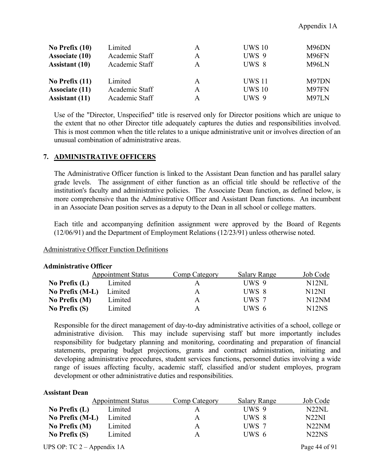| No Prefix $(10)$      | Limited        | A | <b>UWS 10</b> | M96DN |
|-----------------------|----------------|---|---------------|-------|
| <b>Associate (10)</b> | Academic Staff | A | UWS 9         | M96FN |
| <b>Assistant</b> (10) | Academic Staff | A | UWS 8         | M96LN |
| No Prefix $(11)$      | Limited        | A | <b>UWS 11</b> | M97DN |
| <b>Associate (11)</b> | Academic Staff | A | <b>UWS 10</b> | M97FN |
| <b>Assistant</b> (11) | Academic Staff | A | UWS 9         | M97LN |

Use of the "Director, Unspecified" title is reserved only for Director positions which are unique to the extent that no other Director title adequately captures the duties and responsibilities involved. This is most common when the title relates to a unique administrative unit or involves direction of an unusual combination of administrative areas.

# **7. ADMINISTRATIVE OFFICERS**

The Administrative Officer function is linked to the Assistant Dean function and has parallel salary grade levels. The assignment of either function as an official title should be reflective of the institution's faculty and administrative policies. The Associate Dean function, as defined below, is more comprehensive than the Administrative Officer and Assistant Dean functions. An incumbent in an Associate Dean position serves as a deputy to the Dean in all school or college matters.

Each title and accompanying definition assignment were approved by the Board of Regents (12/06/91) and the Department of Employment Relations (12/23/91) unless otherwise noted.

# Administrative Officer Function Definitions

| n mandan active of the co |                           |               |                     |                    |
|---------------------------|---------------------------|---------------|---------------------|--------------------|
|                           | <b>Appointment Status</b> | Comp Category | <b>Salary Range</b> | Job Code           |
| No Prefix $(L)$           | Limited                   | А             | UWS 9               | N12NL              |
| No Prefix (M-L)           | Limited                   | A             | UWS 8               | N12NI              |
| No Prefix $(M)$           | Limited                   | A             | UWS 7               | N <sub>12</sub> NM |
| No Prefix $(S)$           | Limited                   | A             | UWS 6               | N <sub>12</sub> NS |

#### **Administrative Officer**

Responsible for the direct management of day-to-day administrative activities of a school, college or administrative division. This may include supervising staff but more importantly includes responsibility for budgetary planning and monitoring, coordinating and preparation of financial statements, preparing budget projections, grants and contract administration, initiating and developing administrative procedures, student services functions, personnel duties involving a wide range of issues affecting faculty, academic staff, classified and/or student employes, program development or other administrative duties and responsibilities.

#### **Assistant Dean**

|                 | <b>Appointment Status</b> | Comp Category | <b>Salary Range</b> | Job Code                       |
|-----------------|---------------------------|---------------|---------------------|--------------------------------|
| No Prefix $(L)$ | Limited                   |               | UWS 9               | N22NL                          |
| No Prefix (M-L) | Limited                   | A             | UWS 8               | N <sub>22</sub> NI             |
| No Prefix $(M)$ | Limited                   | A             | UWS 7               | N <sub>22</sub> N <sub>M</sub> |
| No Prefix $(S)$ | Limited                   | A             | UWS 6               | N <sub>22</sub> N <sub>S</sub> |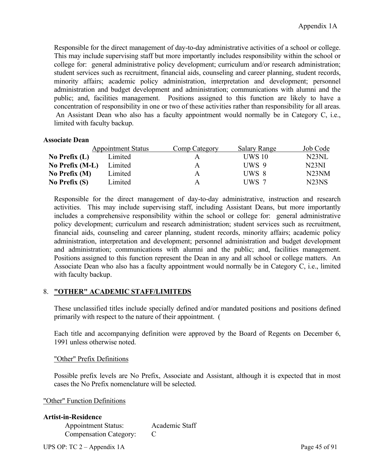Responsible for the direct management of day-to-day administrative activities of a school or college. This may include supervising staff but more importantly includes responsibility within the school or college for: general administrative policy development; curriculum and/or research administration; student services such as recruitment, financial aids, counseling and career planning, student records, minority affairs; academic policy administration, interpretation and development; personnel administration and budget development and administration; communications with alumni and the public; and, facilities management. Positions assigned to this function are likely to have a concentration of responsibility in one or two of these activities rather than responsibility for all areas. An Assistant Dean who also has a faculty appointment would normally be in Category C, i.e., limited with faculty backup.

# **Associate Dean**

|                 | <b>Appointment Status</b> | Comp Category | <b>Salary Range</b> | Job Code                       |
|-----------------|---------------------------|---------------|---------------------|--------------------------------|
| No Prefix $(L)$ | Limited                   |               | <b>UWS 10</b>       | N23NL                          |
| No Prefix (M-L) | Limited                   | А             | UWS 9               | N23NI                          |
| No Prefix $(M)$ | Limited                   | A             | UWS 8               | N23NM                          |
| No Prefix $(S)$ | Limited                   | A             | UWS 7               | N <sub>23</sub> N <sub>S</sub> |

Responsible for the direct management of day-to-day administrative, instruction and research activities. This may include supervising staff, including Assistant Deans, but more importantly includes a comprehensive responsibility within the school or college for: general administrative policy development; curriculum and research administration; student services such as recruitment, financial aids, counseling and career planning, student records, minority affairs; academic policy administration, interpretation and development; personnel administration and budget development and administration; communications with alumni and the public; and, facilities management. Positions assigned to this function represent the Dean in any and all school or college matters. An Associate Dean who also has a faculty appointment would normally be in Category C, i.e., limited with faculty backup.

# 8. **"OTHER" ACADEMIC STAFF/LIMITEDS**

These unclassified titles include specially defined and/or mandated positions and positions defined primarily with respect to the nature of their appointment. (

Each title and accompanying definition were approved by the Board of Regents on December 6, 1991 unless otherwise noted.

# "Other" Prefix Definitions

Possible prefix levels are No Prefix, Associate and Assistant, although it is expected that in most cases the No Prefix nomenclature will be selected.

"Other" Function Definitions

| Academic Staff |
|----------------|
|                |
|                |

UPS OP: TC 2 – Appendix 1A Page 45 of 91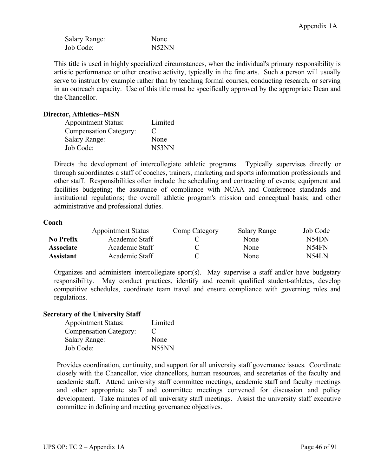| <b>Salary Range:</b> | None  |
|----------------------|-------|
| Job Code:            | N52NN |

This title is used in highly specialized circumstances, when the individual's primary responsibility is artistic performance or other creative activity, typically in the fine arts. Such a person will usually serve to instruct by example rather than by teaching formal courses, conducting research, or serving in an outreach capacity. Use of this title must be specifically approved by the appropriate Dean and the Chancellor.

# **Director, Athletics--MSN**

| <b>Appointment Status:</b>    | Limited     |
|-------------------------------|-------------|
| <b>Compensation Category:</b> | $\mathbf C$ |
| <b>Salary Range:</b>          | None        |
| Job Code:                     | N53NN       |

Directs the development of intercollegiate athletic programs. Typically supervises directly or through subordinates a staff of coaches, trainers, marketing and sports information professionals and other staff. Responsibilities often include the scheduling and contracting of events; equipment and facilities budgeting; the assurance of compliance with NCAA and Conference standards and institutional regulations; the overall athletic program's mission and conceptual basis; and other administrative and professional duties.

# **Coach**

|                  | <b>Appointment Status</b> | Comp Category | Salary Range | Job Code |
|------------------|---------------------------|---------------|--------------|----------|
| No Prefix        | Academic Staff            |               | None         | N54DN    |
| <b>Associate</b> | Academic Staff            |               | None         | N54FN    |
| Assistant        | Academic Staff            |               | None         | N54LN    |

Organizes and administers intercollegiate sport(s). May supervise a staff and/or have budgetary responsibility. May conduct practices, identify and recruit qualified student-athletes, develop competitive schedules, coordinate team travel and ensure compliance with governing rules and regulations.

# **Secretary of the University Staff**

| <b>Appointment Status:</b>    | Limited |
|-------------------------------|---------|
| <b>Compensation Category:</b> | €       |
| <b>Salary Range:</b>          | None    |
| Job Code:                     | N55NN   |

Provides coordination, continuity, and support for all university staff governance issues. Coordinate closely with the Chancellor, vice chancellors, human resources, and secretaries of the faculty and academic staff. Attend university staff committee meetings, academic staff and faculty meetings and other appropriate staff and committee meetings convened for discussion and policy development. Take minutes of all university staff meetings. Assist the university staff executive committee in defining and meeting governance objectives.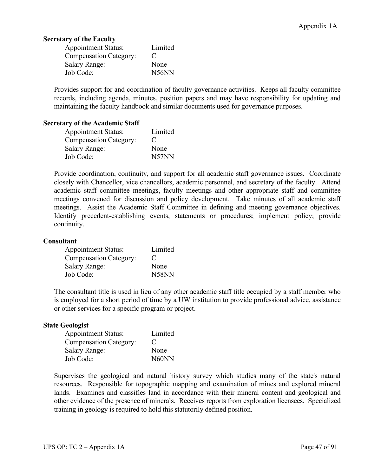# **Secretary of the Faculty**

| <b>Appointment Status:</b>    | Limited                        |
|-------------------------------|--------------------------------|
| <b>Compensation Category:</b> | $\mathbf C$                    |
| <b>Salary Range:</b>          | None                           |
| Job Code:                     | N <sub>56</sub> N <sub>N</sub> |

Provides support for and coordination of faculty governance activities. Keeps all faculty committee records, including agenda, minutes, position papers and may have responsibility for updating and maintaining the faculty handbook and similar documents used for governance purposes.

# **Secretary of the Academic Staff**

| <b>Appointment Status:</b>    | Limited |
|-------------------------------|---------|
| <b>Compensation Category:</b> | €       |
| <b>Salary Range:</b>          | None    |
| Job Code:                     | N57NN   |

Provide coordination, continuity, and support for all academic staff governance issues. Coordinate closely with Chancellor, vice chancellors, academic personnel, and secretary of the faculty. Attend academic staff committee meetings, faculty meetings and other appropriate staff and committee meetings convened for discussion and policy development. Take minutes of all academic staff meetings. Assist the Academic Staff Committee in defining and meeting governance objectives. Identify precedent-establishing events, statements or procedures; implement policy; provide continuity.

# **Consultant**

| <b>Appointment Status:</b>    | Limited |
|-------------------------------|---------|
| <b>Compensation Category:</b> | €       |
| <b>Salary Range:</b>          | None    |
| Job Code:                     | N58NN   |

The consultant title is used in lieu of any other academic staff title occupied by a staff member who is employed for a short period of time by a UW institution to provide professional advice, assistance or other services for a specific program or project.

#### **State Geologist**

| <b>Appointment Status:</b>    | Limited     |
|-------------------------------|-------------|
| <b>Compensation Category:</b> | $\mathbf C$ |
| <b>Salary Range:</b>          | None        |
| Job Code:                     | N60NN       |

Supervises the geological and natural history survey which studies many of the state's natural resources. Responsible for topographic mapping and examination of mines and explored mineral lands. Examines and classifies land in accordance with their mineral content and geological and other evidence of the presence of minerals. Receives reports from exploration licensees. Specialized training in geology is required to hold this statutorily defined position.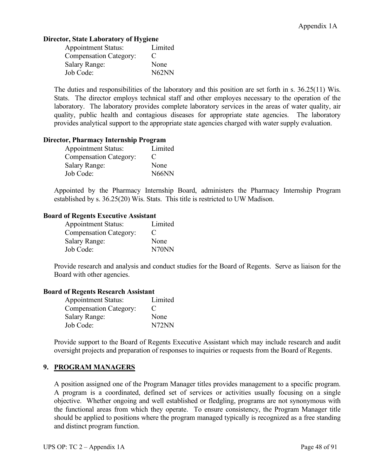# **Director, State Laboratory of Hygiene**

| <b>Appointment Status:</b>    | Limited     |
|-------------------------------|-------------|
| <b>Compensation Category:</b> | $\mathbf C$ |
| <b>Salary Range:</b>          | None        |
| Job Code:                     | N62NN       |

The duties and responsibilities of the laboratory and this position are set forth in s. 36.25(11) Wis. Stats. The director employs technical staff and other employes necessary to the operation of the laboratory. The laboratory provides complete laboratory services in the areas of water quality, air quality, public health and contagious diseases for appropriate state agencies. The laboratory provides analytical support to the appropriate state agencies charged with water supply evaluation.

# **Director, Pharmacy Internship Program**

| <b>Appointment Status:</b>    | Limited                        |
|-------------------------------|--------------------------------|
| <b>Compensation Category:</b> | €                              |
| <b>Salary Range:</b>          | None                           |
| Job Code:                     | N <sub>66</sub> N <sub>N</sub> |

Appointed by the Pharmacy Internship Board, administers the Pharmacy Internship Program established by s. 36.25(20) Wis. Stats. This title is restricted to UW Madison.

# **Board of Regents Executive Assistant**

| <b>Appointment Status:</b>    | Limited     |
|-------------------------------|-------------|
| <b>Compensation Category:</b> | $\mathbf C$ |
| <b>Salary Range:</b>          | None        |
| Job Code:                     | N70NN       |

Provide research and analysis and conduct studies for the Board of Regents. Serve as liaison for the Board with other agencies.

# **Board of Regents Research Assistant**

| <b>Appointment Status:</b>    | Limited     |
|-------------------------------|-------------|
| <b>Compensation Category:</b> | $\mathbf C$ |
| <b>Salary Range:</b>          | None        |
| Job Code:                     | N72NN       |

Provide support to the Board of Regents Executive Assistant which may include research and audit oversight projects and preparation of responses to inquiries or requests from the Board of Regents.

# **9. PROGRAM MANAGERS**

A position assigned one of the Program Manager titles provides management to a specific program. A program is a coordinated, defined set of services or activities usually focusing on a single objective. Whether ongoing and well established or fledgling, programs are not synonymous with the functional areas from which they operate. To ensure consistency, the Program Manager title should be applied to positions where the program managed typically is recognized as a free standing and distinct program function.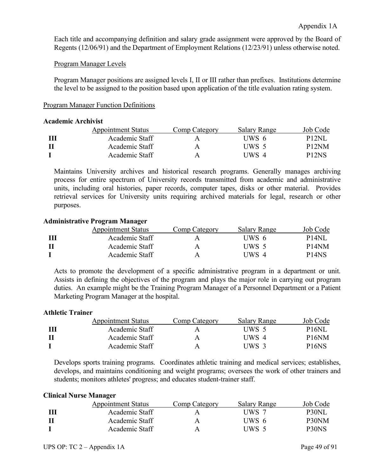Each title and accompanying definition and salary grade assignment were approved by the Board of Regents (12/06/91) and the Department of Employment Relations (12/23/91) unless otherwise noted.

### Program Manager Levels

Program Manager positions are assigned levels I, II or III rather than prefixes. Institutions determine the level to be assigned to the position based upon application of the title evaluation rating system.

### Program Manager Function Definitions

#### **Academic Archivist**

| <b>Appointment Status</b> | Comp Category | <b>Salary Range</b> | Job Code           |
|---------------------------|---------------|---------------------|--------------------|
| Academic Staff            |               | UWS 6               | P <sub>12</sub> NI |
| Academic Staff            | A             | UWS 5               | P <sub>12</sub> NM |
| Academic Staff            |               | UWS 4               | P <sub>12NS</sub>  |

Maintains University archives and historical research programs. Generally manages archiving process for entire spectrum of University records transmitted from academic and administrative units, including oral histories, paper records, computer tapes, disks or other material. Provides retrieval services for University units requiring archived materials for legal, research or other purposes.

### **Administrative Program Manager**

| <b>Appointment Status</b> | Comp Category | Salary Range | Job Code           |
|---------------------------|---------------|--------------|--------------------|
| Academic Staff            |               | UWS 6        | <b>P14NL</b>       |
| Academic Staff            | А             | UWS 5        | P <sub>14</sub> NM |
| Academic Staff            | A             | UWS 4        | P <sub>14NS</sub>  |

Acts to promote the development of a specific administrative program in a department or unit. Assists in defining the objectives of the program and plays the major role in carrying out program duties. An example might be the Training Program Manager of a Personnel Department or a Patient Marketing Program Manager at the hospital.

#### **Athletic Trainer**

| <b>Appointment Status</b> | Comp Category | Salary Range | Job Code                       |
|---------------------------|---------------|--------------|--------------------------------|
| Academic Staff            |               | UWS 5        | <b>P16NL</b>                   |
| Academic Staff            |               | UWS 4        | P <sub>16</sub> NM             |
| Academic Staff            |               | UWS 3        | P <sub>16</sub> N <sub>S</sub> |

Develops sports training programs. Coordinates athletic training and medical services; establishes, develops, and maintains conditioning and weight programs; oversees the work of other trainers and students; monitors athletes' progress; and educates student-trainer staff.

#### **Clinical Nurse Manager**

| <b>Appointment Status</b> | Comp Category | Salary Range | Job Code |
|---------------------------|---------------|--------------|----------|
| Academic Staff            |               | UWS 7        | P30NL    |
| Academic Staff            | A             | UWS 6        | P30NM    |
| Academic Staff            |               | UWS 5        | P30NS    |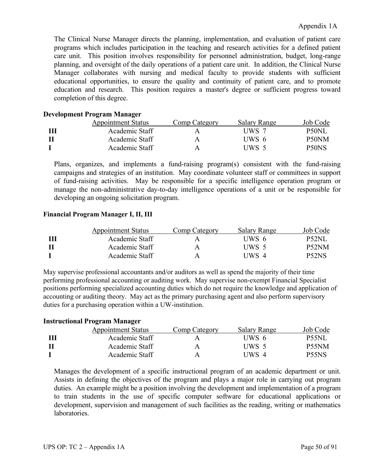The Clinical Nurse Manager directs the planning, implementation, and evaluation of patient care programs which includes participation in the teaching and research activities for a defined patient care unit. This position involves responsibility for personnel administration, budget, long-range planning, and oversight of the daily operations of a patient care unit. In addition, the Clinical Nurse Manager collaborates with nursing and medical faculty to provide students with sufficient educational opportunities, to ensure the quality and continuity of patient care, and to promote education and research. This position requires a master's degree or sufficient progress toward completion of this degree.

# **Development Program Manager**

| <b>Appointment Status</b> | Comp Category | Salary Range | Job Code |
|---------------------------|---------------|--------------|----------|
| Academic Staff            |               | UWS 7        | P50NL    |
| Academic Staff            | A             | UWS 6        | P50NM    |
| Academic Staff            | A             | UWS 5        | P50NS    |

Plans, organizes, and implements a fund-raising program(s) consistent with the fund-raising campaigns and strategies of an institution. May coordinate volunteer staff or committees in support of fund-raising activities. May be responsible for a specific intelligence operation program or manage the non-administrative day-to-day intelligence operations of a unit or be responsible for developing an ongoing solicitation program.

# **Financial Program Manager I, II, III**

| <b>Appointment Status</b> | Comp Category | Salary Range | Job Code           |
|---------------------------|---------------|--------------|--------------------|
| Academic Staff            | A             | UWS 6        | <b>P52NL</b>       |
| Academic Staff            | A             | UWS 5        | P <sub>52</sub> NM |
| Academic Staff            | А             | UWS 4        | P52NS              |

May supervise professional accountants and/or auditors as well as spend the majority of their time performing professional accounting or auditing work. May supervise non-exempt Financial Specialist positions performing specialized accounting duties which do not require the knowledge and application of accounting or auditing theory. May act as the primary purchasing agent and also perform supervisory duties for a purchasing operation within a UW-institution.

# **Instructional Program Manager**

| <b>Appointment Status</b> | Comp Category | Salary Range | Job Code           |
|---------------------------|---------------|--------------|--------------------|
| Academic Staff            |               | UWS 6        | <b>P55NL</b>       |
| Academic Staff            |               | UWS 5        | P <sub>55</sub> NM |
| Academic Staff            | A             | UWS 4        | P55NS              |

Manages the development of a specific instructional program of an academic department or unit. Assists in defining the objectives of the program and plays a major role in carrying out program duties. An example might be a position involving the development and implementation of a program to train students in the use of specific computer software for educational applications or development, supervision and management of such facilities as the reading, writing or mathematics laboratories.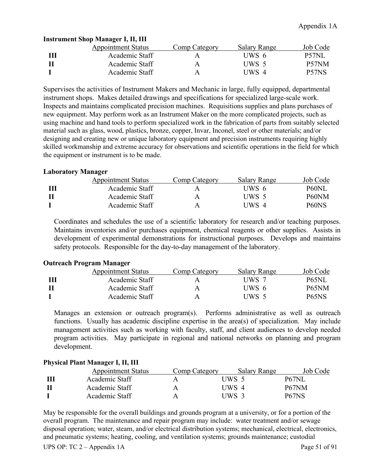| <b>Appointment Status</b> | Comp Category | <b>Salary Range</b> | Job Code |
|---------------------------|---------------|---------------------|----------|
| Academic Staff            |               | UWS 6               | P57NL    |
| Academic Staff            | Ą             | UWS 5               | P57NM    |
| Academic Staff            |               | UWS 4               | P57NS    |
|                           |               |                     |          |

# **Instrument Shop Manager I, II, III**

Supervises the activities of Instrument Makers and Mechanic in large, fully equipped, departmental instrument shops. Makes detailed drawings and specifications for specialized large-scale work. Inspects and maintains complicated precision machines. Requisitions supplies and plans purchases of new equipment. May perform work as an Instrument Maker on the more complicated projects, such as using machine and hand tools to perform specialized work in the fabrication of parts from suitably selected material such as glass, wood, plastics, bronze, copper, Invar, Inconel, steel or other materials; and/or designing and creating new or unique laboratory equipment and precision instruments requiring highly skilled workmanship and extreme accuracy for observations and scientific operations in the field for which the equipment or instrument is to be made.

# **Laboratory Manager**

| <b>Appointment Status</b> | Comp Category | Salary Range | Job Code           |
|---------------------------|---------------|--------------|--------------------|
| Academic Staff            | А             | UWS 6        | P60NL              |
| Academic Staff            | Ą             | UWS 5        | P60NM              |
| Academic Staff            | А             | UWS 4        | P <sub>60</sub> NS |
|                           |               |              |                    |

Coordinates and schedules the use of a scientific laboratory for research and/or teaching purposes. Maintains inventories and/or purchases equipment, chemical reagents or other supplies. Assists in development of experimental demonstrations for instructional purposes. Develops and maintains safety protocols. Responsible for the day-to-day management of the laboratory.

# **Outreach Program Manager**

| <b>Appointment Status</b> | Comp Category | Salary Range | Job Code                       |
|---------------------------|---------------|--------------|--------------------------------|
| Academic Staff            |               | UWS 7        | <b>P65NL</b>                   |
| Academic Staff            | А             | UWS 6        | P <sub>65</sub> NM             |
| Academic Staff            | A             | UWS 5        | P <sub>65</sub> N <sub>S</sub> |

Manages an extension or outreach program(s). Performs administrative as well as outreach functions. Usually has academic discipline expertise in the area(s) of specialization. May include management activities such as working with faculty, staff, and client audiences to develop needed program activities. May participate in regional and national networks on planning and program development.

# **Physical Plant Manager I, II, III**

| <b>Appointment Status</b> | Comp Category | Salary Range | Job Code           |
|---------------------------|---------------|--------------|--------------------|
| Academic Staff            |               | UWS 5        | <b>P67NL</b>       |
| Academic Staff            | Α             | UWS 4        | P67NM              |
| Academic Staff            |               | UWS 3        | P <sub>67</sub> NS |

May be responsible for the overall buildings and grounds program at a university, or for a portion of the overall program. The maintenance and repair program may include: water treatment and/or sewage disposal operation; water, steam, and/or electrical distribution systems; mechanical, electrical, electronics, and pneumatic systems; heating, cooling, and ventilation systems; grounds maintenance; custodial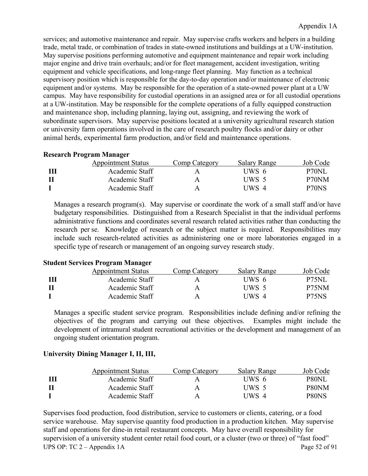services; and automotive maintenance and repair. May supervise crafts workers and helpers in a building trade, metal trade, or combination of trades in state-owned institutions and buildings at a UW-institution. May supervise positions performing automotive and equipment maintenance and repair work including major engine and drive train overhauls; and/or for fleet management, accident investigation, writing equipment and vehicle specifications, and long-range fleet planning. May function as a technical supervisory position which is responsible for the day-to-day operation and/or maintenance of electronic equipment and/or systems. May be responsible for the operation of a state-owned power plant at a UW campus. May have responsibility for custodial operations in an assigned area or for all custodial operations at a UW-institution. May be responsible for the complete operations of a fully equipped construction and maintenance shop, including planning, laying out, assigning, and reviewing the work of subordinate supervisors. May supervise positions located at a university agricultural research station or university farm operations involved in the care of research poultry flocks and/or dairy or other animal herds, experimental farm production, and/or field and maintenance operations.

# **Research Program Manager**

| <b>Appointment Status</b> | Comp Category | Salary Range | Job Code     |
|---------------------------|---------------|--------------|--------------|
| Academic Staff            |               | UWS 6        | <b>P70NL</b> |
| Academic Staff            | A             | UWS 5        | P70NM        |
| Academic Staff            | A             | UWS 4        | P70NS        |

Manages a research program(s). May supervise or coordinate the work of a small staff and/or have budgetary responsibilities. Distinguished from a Research Specialist in that the individual performs administrative functions and coordinates several research related activities rather than conducting the research per se. Knowledge of research or the subject matter is required. Responsibilities may include such research-related activities as administering one or more laboratories engaged in a specific type of research or management of an ongoing survey research study.

# **Student Services Program Manager**

| <b>Appointment Status</b> | Comp Category | Salary Range | Job Code                       |
|---------------------------|---------------|--------------|--------------------------------|
| Academic Staff            |               | UWS 6        | <b>P75NL</b>                   |
| Academic Staff            | Ą             | UWS 5        | P <sub>75</sub> NM             |
| Academic Staff            | А             | UWS 4        | P <sub>75</sub> N <sub>S</sub> |

Manages a specific student service program. Responsibilities include defining and/or refining the objectives of the program and carrying out these objectives. Examples might include the development of intramural student recreational activities or the development and management of an ongoing student orientation program.

# **University Dining Manager I, II, III,**

| <b>Appointment Status</b> | Comp Category | Salary Range     | Job Code      |
|---------------------------|---------------|------------------|---------------|
| Academic Staff            |               | UWS 6            | P80NL         |
| Academic Staff            | A             | UWS <sub>5</sub> | P80NM         |
| Academic Staff            | A             | UWS 4            | <b>P</b> 80NS |

UPS OP: TC 2 – Appendix 1A Page 52 of 91 Supervises food production, food distribution, service to customers or clients, catering, or a food service warehouse. May supervise quantity food production in a production kitchen. May supervise staff and operations for dine-in retail restaurant concepts. May have overall responsibility for supervision of a university student center retail food court, or a cluster (two or three) of "fast food"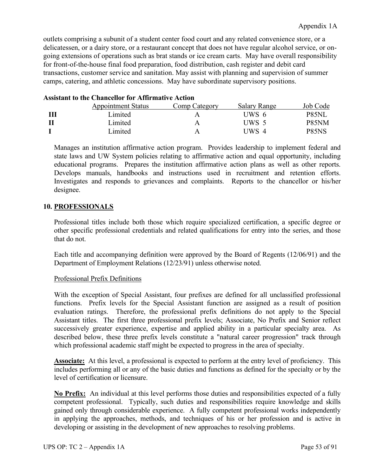outlets comprising a subunit of a student center food court and any related convenience store, or a delicatessen, or a dairy store, or a restaurant concept that does not have regular alcohol service, or ongoing extensions of operations such as brat stands or ice cream carts. May have overall responsibility for front-of-the-house final food preparation, food distribution, cash register and debit card transactions, customer service and sanitation. May assist with planning and supervision of summer camps, catering, and athletic concessions. May have subordinate supervisory positions.

| <b>Appointment Status</b> | Comp Category | <b>Salary Range</b> | Job Code                       |
|---------------------------|---------------|---------------------|--------------------------------|
| Limited                   |               | UWS 6               | <b>P85NL</b>                   |
| Limited                   | Α             | UWS 5               | P85NM                          |
| imited                    | А             | UWS 4               | P <sub>85</sub> N <sub>S</sub> |

# **Assistant to the Chancellor for Affirmative Action**

Manages an institution affirmative action program. Provides leadership to implement federal and state laws and UW System policies relating to affirmative action and equal opportunity, including educational programs. Prepares the institution affirmative action plans as well as other reports. Develops manuals, handbooks and instructions used in recruitment and retention efforts. Investigates and responds to grievances and complaints. Reports to the chancellor or his/her designee.

# **10. PROFESSIONALS**

Professional titles include both those which require specialized certification, a specific degree or other specific professional credentials and related qualifications for entry into the series, and those that do not.

Each title and accompanying definition were approved by the Board of Regents (12/06/91) and the Department of Employment Relations (12/23/91) unless otherwise noted.

# Professional Prefix Definitions

With the exception of Special Assistant, four prefixes are defined for all unclassified professional functions. Prefix levels for the Special Assistant function are assigned as a result of position evaluation ratings. Therefore, the professional prefix definitions do not apply to the Special Assistant titles. The first three professional prefix levels; Associate, No Prefix and Senior reflect successively greater experience, expertise and applied ability in a particular specialty area. As described below, these three prefix levels constitute a "natural career progression" track through which professional academic staff might be expected to progress in the area of specialty.

**Associate:** At this level, a professional is expected to perform at the entry level of proficiency. This includes performing all or any of the basic duties and functions as defined for the specialty or by the level of certification or licensure.

**No Prefix:** An individual at this level performs those duties and responsibilities expected of a fully competent professional. Typically, such duties and responsibilities require knowledge and skills gained only through considerable experience. A fully competent professional works independently in applying the approaches, methods, and techniques of his or her profession and is active in developing or assisting in the development of new approaches to resolving problems.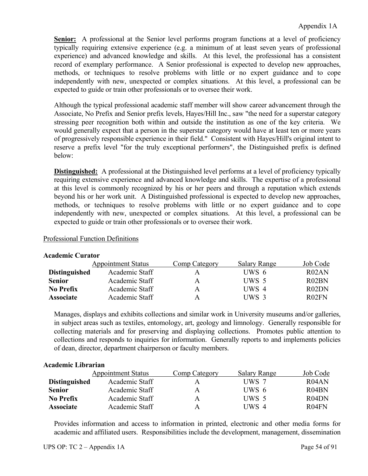**Senior:** A professional at the Senior level performs program functions at a level of proficiency typically requiring extensive experience (e.g. a minimum of at least seven years of professional experience) and advanced knowledge and skills. At this level, the professional has a consistent record of exemplary performance. A Senior professional is expected to develop new approaches, methods, or techniques to resolve problems with little or no expert guidance and to cope independently with new, unexpected or complex situations. At this level, a professional can be expected to guide or train other professionals or to oversee their work.

Although the typical professional academic staff member will show career advancement through the Associate, No Prefix and Senior prefix levels, Hayes/Hill Inc., saw "the need for a superstar category stressing peer recognition both within and outside the institution as one of the key criteria. We would generally expect that a person in the superstar category would have at least ten or more years of progressively responsible experience in their field." Consistent with Hayes/Hill's original intent to reserve a prefix level "for the truly exceptional performers", the Distinguished prefix is defined below:

**Distinguished:** A professional at the Distinguished level performs at a level of proficiency typically requiring extensive experience and advanced knowledge and skills. The expertise of a professional at this level is commonly recognized by his or her peers and through a reputation which extends beyond his or her work unit. A Distinguished professional is expected to develop new approaches, methods, or techniques to resolve problems with little or no expert guidance and to cope independently with new, unexpected or complex situations. At this level, a professional can be expected to guide or train other professionals or to oversee their work.

# Professional Function Definitions

# **Academic Curator**

|                      | <b>Appointment Status</b> | Comp Category | <b>Salary Range</b> | Job Code                       |
|----------------------|---------------------------|---------------|---------------------|--------------------------------|
| <b>Distinguished</b> | Academic Staff            | А             | UWS 6               | R02AN                          |
| <b>Senior</b>        | Academic Staff            | А             | UWS 5               | R <sub>0</sub> 2 <sub>BN</sub> |
| <b>No Prefix</b>     | Academic Staff            | А             | UWS 4               | R <sub>0</sub> 2DN             |
| <b>Associate</b>     | Academic Staff            | А             | UWS 3               | R <sub>02</sub> FN             |

Manages, displays and exhibits collections and similar work in University museums and/or galleries, in subject areas such as textiles, entomology, art, geology and limnology. Generally responsible for collecting materials and for preserving and displaying collections. Promotes public attention to collections and responds to inquiries for information. Generally reports to and implements policies of dean, director, department chairperson or faculty members.

# **Academic Librarian**

|                      | <b>Appointment Status</b> | Comp Category | Salary Range | Job Code                       |
|----------------------|---------------------------|---------------|--------------|--------------------------------|
| <b>Distinguished</b> | Academic Staff            | A             | UWS 7        | R04AN                          |
| <b>Senior</b>        | Academic Staff            | A             | UWS 6        | R <sub>04</sub> BN             |
| No Prefix            | Academic Staff            | A             | UWS 5        | R <sub>04</sub> D <sub>N</sub> |
| <b>Associate</b>     | Academic Staff            | A             | UWS 4        | R <sub>04</sub> FN             |

Provides information and access to information in printed, electronic and other media forms for academic and affiliated users. Responsibilities include the development, management, dissemination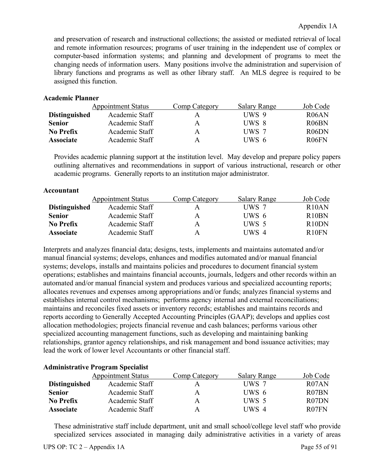and preservation of research and instructional collections; the assisted or mediated retrieval of local and remote information resources; programs of user training in the independent use of complex or computer-based information systems; and planning and development of programs to meet the changing needs of information users. Many positions involve the administration and supervision of library functions and programs as well as other library staff. An MLS degree is required to be assigned this function.

# **Academic Planner**

| <b>Appointment Status</b>              | Comp Category | <b>Salary Range</b> | Job Code           |
|----------------------------------------|---------------|---------------------|--------------------|
| Academic Staff<br><b>Distinguished</b> |               | UWS 9               | R <sub>06</sub> AN |
| Academic Staff                         | A             | UWS 8               | R <sub>06</sub> BN |
| Academic Staff                         | А             | UWS 7               | R <sub>06</sub> DN |
| Academic Staff                         | Α             | UWS 6               | R <sub>06</sub> FN |
|                                        |               |                     |                    |

Provides academic planning support at the institution level. May develop and prepare policy papers outlining alternatives and recommendations in support of various instructional, research or other academic programs. Generally reports to an institution major administrator.

# **Accountant**

|                      | <b>Appointment Status</b> | Comp Category | <b>Salary Range</b> | Job Code                       |
|----------------------|---------------------------|---------------|---------------------|--------------------------------|
| <b>Distinguished</b> | Academic Staff            | A             | UWS 7               | R10AN                          |
| <b>Senior</b>        | Academic Staff            | A             | UWS 6               | R <sub>10</sub> BN             |
| No Prefix            | Academic Staff            | A             | UWS 5               | R <sub>10</sub> D <sub>N</sub> |
| <b>Associate</b>     | Academic Staff            | A             | UWS 4               | R10FN                          |

Interprets and analyzes financial data; designs, tests, implements and maintains automated and/or manual financial systems; develops, enhances and modifies automated and/or manual financial systems; develops, installs and maintains policies and procedures to document financial system operations; establishes and maintains financial accounts, journals, ledgers and other records within an automated and/or manual financial system and produces various and specialized accounting reports; allocates revenues and expenses among appropriations and/or funds; analyzes financial systems and establishes internal control mechanisms; performs agency internal and external reconciliations; maintains and reconciles fixed assets or inventory records; establishes and maintains records and reports according to Generally Accepted Accounting Principles (GAAP); develops and applies cost allocation methodologies; projects financial revenue and cash balances; performs various other specialized accounting management functions, such as developing and maintaining banking relationships, grantor agency relationships, and risk management and bond issuance activities; may lead the work of lower level Accountants or other financial staff.

# **Administrative Program Specialist** Appointment Status Comp Category Salary Range Job Code **Distinguished** Academic Staff A UWS 7 R07AN **Senior** Academic Staff A UWS 6 R07BN **No Prefix** Academic Staff A UWS 5 R07DN **Associate** Academic Staff A UWS 4 R07FN

These administrative staff include department, unit and small school/college level staff who provide specialized services associated in managing daily administrative activities in a variety of areas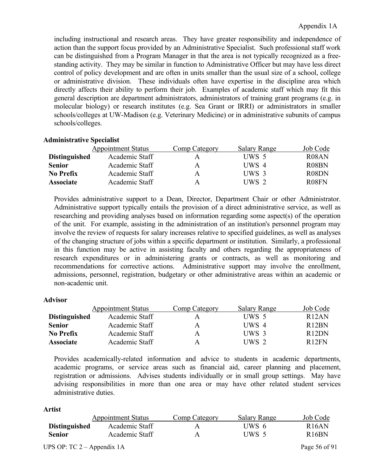including instructional and research areas. They have greater responsibility and independence of action than the support focus provided by an Administrative Specialist. Such professional staff work can be distinguished from a Program Manager in that the area is not typically recognized as a freestanding activity. They may be similar in function to Administrative Officer but may have less direct control of policy development and are often in units smaller than the usual size of a school, college or administrative division. These individuals often have expertise in the discipline area which directly affects their ability to perform their job. Examples of academic staff which may fit this general description are department administrators, administrators of training grant programs (e.g. in molecular biology) or research institutes (e.g. Sea Grant or IRRI) or administrators in smaller schools/colleges at UW-Madison (e.g. Veterinary Medicine) or in administrative subunits of campus schools/colleges.

# **Administrative Specialist**

|                      | <b>Appointment Status</b> | Comp Category | Salary Range | Job Code           |
|----------------------|---------------------------|---------------|--------------|--------------------|
| <b>Distinguished</b> | Academic Staff            | А             | UWS 5        | R <sub>08</sub> AN |
| <b>Senior</b>        | Academic Staff            | Α             | UWS 4        | R08BN              |
| <b>No Prefix</b>     | Academic Staff            | A             | UWS 3        | R08DN              |
| <b>Associate</b>     | Academic Staff            | A             | UWS 2        | R <sub>08</sub> FN |

Provides administrative support to a Dean, Director, Department Chair or other Administrator. Administrative support typically entails the provision of a direct administrative service, as well as researching and providing analyses based on information regarding some aspect(s) of the operation of the unit. For example, assisting in the administration of an institution's personnel program may involve the review of requests for salary increases relative to specified guidelines, as well as analyses of the changing structure of jobs within a specific department or institution. Similarly, a professional in this function may be active in assisting faculty and others regarding the appropriateness of research expenditures or in administering grants or contracts, as well as monitoring and recommendations for corrective actions. Administrative support may involve the enrollment, admissions, personnel, registration, budgetary or other administrative areas within an academic or non-academic unit.

# **Advisor**

|                      | <b>Appointment Status</b> | Comp Category | <b>Salary Range</b> | Job Code           |
|----------------------|---------------------------|---------------|---------------------|--------------------|
| <b>Distinguished</b> | Academic Staff            |               | UWS 5               | R12AN              |
| <b>Senior</b>        | Academic Staff            | A             | UWS 4               | R <sub>12</sub> BN |
| <b>No Prefix</b>     | Academic Staff            | A             | UWS 3               | R12DN              |
| <b>Associate</b>     | Academic Staff            | A             | UWS 2               | R12FN              |

Provides academically-related information and advice to students in academic departments, academic programs, or service areas such as financial aid, career planning and placement, registration or admissions. Advises students individually or in small group settings. May have advising responsibilities in more than one area or may have other related student services administrative duties.

#### **Artist**

|                      | <b>Appointment Status</b> | Comp Category | Salary Range | Job Code           |
|----------------------|---------------------------|---------------|--------------|--------------------|
| <b>Distinguished</b> | Academic Staff            | А             | UWS 6        | R <sub>16</sub> AN |
| Senior               | Academic Staff            | А             | UWS 5        | R <sub>16</sub> BN |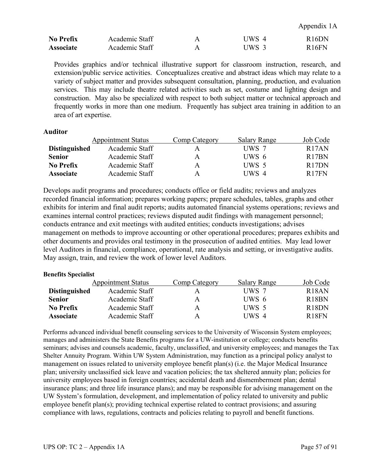Appendix 1A

| <b>No Prefix</b> | Academic Staff | TWS 4   | R16DN        |
|------------------|----------------|---------|--------------|
| <b>Associate</b> | Academic Staff | $JWS$ 3 | <b>R16FN</b> |

Provides graphics and/or technical illustrative support for classroom instruction, research, and extension/public service activities. Conceptualizes creative and abstract ideas which may relate to a variety of subject matter and provides subsequent consultation, planning, production, and evaluation services. This may include theatre related activities such as set, costume and lighting design and construction. May also be specialized with respect to both subject matter or technical approach and frequently works in more than one medium. Frequently has subject area training in addition to an area of art expertise.

#### **Auditor**

|                      | <b>Appointment Status</b> | Comp Category | Salary Range | Job Code           |
|----------------------|---------------------------|---------------|--------------|--------------------|
| <b>Distinguished</b> | Academic Staff            | А             | UWS 7        | R <sub>17</sub> AN |
| <b>Senior</b>        | Academic Staff            | A             | UWS 6        | R <sub>17</sub> BN |
| <b>No Prefix</b>     | Academic Staff            | A             | UWS 5        | R <sub>17</sub> DN |
| <b>Associate</b>     | Academic Staff            | A             | UWS 4        | R <sub>17FN</sub>  |

Develops audit programs and procedures; conducts office or field audits; reviews and analyzes recorded financial information; prepares working papers; prepare schedules, tables, graphs and other exhibits for interim and final audit reports; audits automated financial systems operations; reviews and examines internal control practices; reviews disputed audit findings with management personnel; conducts entrance and exit meetings with audited entities; conducts investigations; advises management on methods to improve accounting or other operational procedures; prepares exhibits and other documents and provides oral testimony in the prosecution of audited entities. May lead lower level Auditors in financial, compliance, operational, rate analysis and setting, or investigative audits. May assign, train, and review the work of lower level Auditors.

#### **Benefits Specialist**

|                      | <b>Appointment Status</b> | Comp Category | <b>Salary Range</b> | Job Code           |
|----------------------|---------------------------|---------------|---------------------|--------------------|
| <b>Distinguished</b> | Academic Staff            | А             | UWS 7               | R <sub>18</sub> AN |
| <b>Senior</b>        | Academic Staff            | A             | UWS 6               | R <sub>18</sub> BN |
| <b>No Prefix</b>     | Academic Staff            | A             | UWS 5               | R <sub>18</sub> DN |
| <b>Associate</b>     | Academic Staff            | A             | UWS 4               | R <sub>18</sub> FN |

Performs advanced individual benefit counseling services to the University of Wisconsin System employees; manages and administers the State Benefits programs for a UW-institution or college; conducts benefits seminars; advises and counsels academic, faculty, unclassified, and university employees; and manages the Tax Shelter Annuity Program. Within UW System Administration, may function as a principal policy analyst to management on issues related to university employee benefit plan(s) (i.e. the Major Medical Insurance plan; university unclassified sick leave and vacation policies; the tax sheltered annuity plan; policies for university employees based in foreign countries; accidental death and dismemberment plan; dental insurance plans; and three life insurance plans); and may be responsible for advising management on the UW System's formulation, development, and implementation of policy related to university and public employee benefit plan(s); providing technical expertise related to contract provisions; and assuring compliance with laws, regulations, contracts and policies relating to payroll and benefit functions.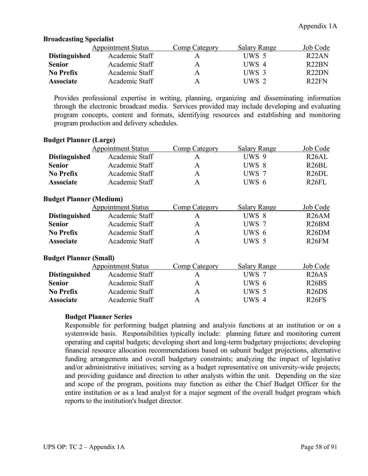# **Broadcasting Specialist**

|                      | <b>Appointment Status</b> | <b>Comp Category</b> | <b>Salary Range</b> | Job Code           |
|----------------------|---------------------------|----------------------|---------------------|--------------------|
| <b>Distinguished</b> | Academic Staff            | A                    | UWS 5               | R22AN              |
| <b>Senior</b>        | Academic Staff            | A                    | UWS 4               | R <sub>22</sub> BN |
| No Prefix            | Academic Staff            | A                    | UWS 3               | R <sub>22</sub> DN |
| <b>Associate</b>     | Academic Staff            | A                    | UWS 2               | R <sub>22</sub> FN |

Provides professional expertise in writing, planning, organizing and disseminating information through the electronic broadcast media. Services provided may include developing and evaluating program concepts, content and formats, identifying resources and establishing and monitoring program production and delivery schedules.

# **Budget Planner (Large)**

|                      | <b>Appointment Status</b> | Comp Category | <b>Salary Range</b> | Job Code           |
|----------------------|---------------------------|---------------|---------------------|--------------------|
| <b>Distinguished</b> | Academic Staff            | А             | UWS 9               | R <sub>26</sub> AL |
| <b>Senior</b>        | Academic Staff            | A             | UWS 8               | R <sub>26</sub> BL |
| <b>No Prefix</b>     | Academic Staff            | A             | UWS 7               | R <sub>26</sub> DL |
| <b>Associate</b>     | Academic Staff            | A             | UWS 6               | R <sub>26FL</sub>  |

### **Budget Planner (Medium)**

|                      | <b>Appointment Status</b> | Comp Category | <b>Salary Range</b> | Job Code           |
|----------------------|---------------------------|---------------|---------------------|--------------------|
| <b>Distinguished</b> | Academic Staff            |               | UWS 8               | R26AM              |
| <b>Senior</b>        | Academic Staff            | A             | UWS 7               | R <sub>26</sub> BM |
| <b>No Prefix</b>     | Academic Staff            | Α             | UWS 6               | R <sub>26</sub> DM |
| <b>Associate</b>     | Academic Staff            | А             | UWS 5               | R <sub>26</sub> FM |

# **Budget Planner (Small)**

|                      | <b>Appointment Status</b> | Comp Category | <b>Salary Range</b> | Job Code           |
|----------------------|---------------------------|---------------|---------------------|--------------------|
| <b>Distinguished</b> | Academic Staff            |               | UWS 7               | R <sub>26</sub> AS |
| <b>Senior</b>        | Academic Staff            | A             | UWS 6               | R26BS              |
| No Prefix            | Academic Staff            | A             | UWS 5               | R26DS              |
| <b>Associate</b>     | Academic Staff            | A             | UWS 4               | R <sub>26</sub> FS |

#### **Budget Planner Series**

Responsible for performing budget planning and analysis functions at an institution or on a systemwide basis. Responsibilities typically include: planning future and monitoring current operating and capital budgets; developing short and long-term budgetary projections; developing financial resource allocation recommendations based on subunit budget projections, alternative funding arrangements and overall budgetary constraints; analyzing the impact of legislative and/or administrative initiatives; serving as a budget representative on university-wide projects; and providing guidance and direction to other analysts within the unit. Depending on the size and scope of the program, positions may function as either the Chief Budget Officer for the entire institution or as a lead analyst for a major segment of the overall budget program which reports to the institution's budget director.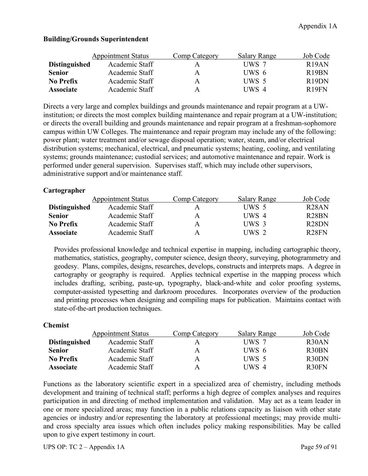|                      | <b>Appointment Status</b> | <b>Comp Category</b> | <b>Salary Range</b> | Job Code           |
|----------------------|---------------------------|----------------------|---------------------|--------------------|
| <b>Distinguished</b> | Academic Staff            | A                    | UWS 7               | R19AN              |
| <b>Senior</b>        | Academic Staff            | A                    | UWS 6               | R <sub>19</sub> BN |
| <b>No Prefix</b>     | Academic Staff            | A                    | UWS 5               | R <sub>19</sub> DN |
| <b>Associate</b>     | Academic Staff            | A                    | UWS 4               | R19FN              |

# **Building/Grounds Superintendent**

Directs a very large and complex buildings and grounds maintenance and repair program at a UWinstitution; or directs the most complex building maintenance and repair program at a UW-institution; or directs the overall building and grounds maintenance and repair program at a freshman-sophomore campus within UW Colleges. The maintenance and repair program may include any of the following: power plant; water treatment and/or sewage disposal operation; water, steam, and/or electrical distribution systems; mechanical, electrical, and pneumatic systems; heating, cooling, and ventilating systems; grounds maintenance; custodial services; and automotive maintenance and repair. Work is performed under general supervision. Supervises staff, which may include other supervisors, administrative support and/or maintenance staff.

# **Cartographer**

|                      | <b>Appointment Status</b> | Comp Category | <b>Salary Range</b> | Job Code           |
|----------------------|---------------------------|---------------|---------------------|--------------------|
| <b>Distinguished</b> | Academic Staff            | А             | UWS 5               | R <sub>28</sub> AN |
| <b>Senior</b>        | Academic Staff            | A             | UWS 4               | R <sub>28</sub> BN |
| No Prefix            | Academic Staff            | A             | UWS 3               | R <sub>28</sub> DN |
| <b>Associate</b>     | Academic Staff            | A             | UWS 2               | R <sub>28</sub> FN |

Provides professional knowledge and technical expertise in mapping, including cartographic theory, mathematics, statistics, geography, computer science, design theory, surveying, photogrammetry and geodesy. Plans, compiles, designs, researches, develops, constructs and interprets maps. A degree in cartography or geography is required. Applies technical expertise in the mapping process which includes drafting, scribing, paste-up, typography, black-and-white and color proofing systems, computer-assisted typesetting and darkroom procedures. Incorporates overview of the production and printing processes when designing and compiling maps for publication. Maintains contact with state-of-the-art production techniques.

# **Chemist**

|                      | <b>Appointment Status</b> | Comp Category | <b>Salary Range</b> | Job Code           |
|----------------------|---------------------------|---------------|---------------------|--------------------|
| <b>Distinguished</b> | Academic Staff            | А             | UWS 7               | R <sub>30</sub> AN |
| <b>Senior</b>        | Academic Staff            | A             | UWS 6               | R <sub>30</sub> BN |
| <b>No Prefix</b>     | Academic Staff            | A             | UWS 5               | R <sub>30</sub> DN |
| <b>Associate</b>     | Academic Staff            | A             | UWS 4               | R <sub>30</sub> FN |

Functions as the laboratory scientific expert in a specialized area of chemistry, including methods development and training of technical staff; performs a high degree of complex analyses and requires participation in and directing of method implementation and validation. May act as a team leader in one or more specialized areas; may function in a public relations capacity as liaison with other state agencies or industry and/or representing the laboratory at professional meetings; may provide multiand cross specialty area issues which often includes policy making responsibilities. May be called upon to give expert testimony in court.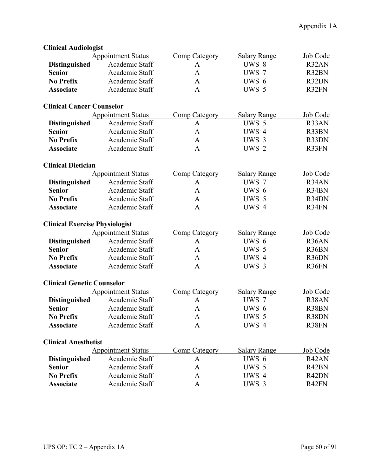| UHIICAI AUUI0I0gist                   |                           |                      |                     |          |
|---------------------------------------|---------------------------|----------------------|---------------------|----------|
|                                       | <b>Appointment Status</b> | <b>Comp Category</b> | <b>Salary Range</b> | Job Code |
| <b>Distinguished</b>                  | Academic Staff            | A                    | UWS 8               | R32AN    |
| <b>Senior</b>                         | Academic Staff            | A                    | UWS 7               | R32BN    |
| <b>No Prefix</b>                      | Academic Staff            | $\mathbf{A}$         | UWS 6               | R32DN    |
| <b>Associate</b>                      | Academic Staff            | $\mathbf{A}$         | UWS 5               | R32FN    |
| <b>Clinical Cancer Counselor</b>      |                           |                      |                     |          |
|                                       | <b>Appointment Status</b> | <b>Comp Category</b> | <b>Salary Range</b> | Job Code |
| <b>Distinguished</b>                  | Academic Staff            | A                    | UWS 5               | R33AN    |
| <b>Senior</b>                         | Academic Staff            | $\mathbf{A}$         | UWS 4               | R33BN    |
| <b>No Prefix</b>                      | Academic Staff            | $\mathbf{A}$         | UWS 3               | R33DN    |
| <b>Associate</b>                      | Academic Staff            | $\mathbf{A}$         | UWS 2               | R33FN    |
| <b>Clinical Dietician</b>             |                           |                      |                     |          |
|                                       | <b>Appointment Status</b> | <b>Comp Category</b> | <b>Salary Range</b> | Job Code |
| <b>Distinguished</b>                  | Academic Staff            | $\mathbf{A}$         | UWS 7               | R34AN    |
| <b>Senior</b>                         | Academic Staff            | $\mathbf{A}$         | UWS 6               | R34BN    |
| <b>No Prefix</b>                      | Academic Staff            | $\mathbf{A}$         | UWS 5               | R34DN    |
| <b>Associate</b>                      | Academic Staff            | $\mathbf{A}$         | UWS 4               | R34FN    |
| <b>Clinical Exercise Physiologist</b> |                           |                      |                     |          |
|                                       | <b>Appointment Status</b> | <b>Comp Category</b> | <b>Salary Range</b> | Job Code |
| <b>Distinguished</b>                  | Academic Staff            | A                    | UWS 6               | R36AN    |
| <b>Senior</b>                         | Academic Staff            | $\mathbf{A}$         | UWS 5               | R36BN    |
| <b>No Prefix</b>                      | Academic Staff            | $\mathbf{A}$         | UWS 4               | R36DN    |
| <b>Associate</b>                      | Academic Staff            | $\mathbf{A}$         | UWS 3               | R36FN    |
| <b>Clinical Genetic Counselor</b>     |                           |                      |                     |          |
|                                       | <b>Appointment Status</b> | <b>Comp Category</b> | <b>Salary Range</b> | Job Code |
| <b>Distinguished</b>                  | Academic Staff            | A                    | UWS 7               | R38AN    |
| <b>Senior</b>                         | Academic Staff            | $\mathbf{A}$         | UWS 6               | R38BN    |
| <b>No Prefix</b>                      | Academic Staff            | $\mathbf{A}$         | UWS 5               | R38DN    |
| <b>Associate</b>                      | Academic Staff            | A                    | UWS 4               | R38FN    |
| <b>Clinical Anesthetist</b>           |                           |                      |                     |          |
|                                       | <b>Appointment Status</b> | <b>Comp Category</b> | <b>Salary Range</b> | Job Code |
| <b>Distinguished</b>                  | Academic Staff            | A                    | UWS 6               | R42AN    |
| <b>Senior</b>                         | Academic Staff            | A                    | UWS 5               | R42BN    |
| No Prefix                             | Academic Staff            | A                    | UWS 4               | R42DN    |
| <b>Associate</b>                      | Academic Staff            | A                    | UWS 3               | R42FN    |
|                                       |                           |                      |                     |          |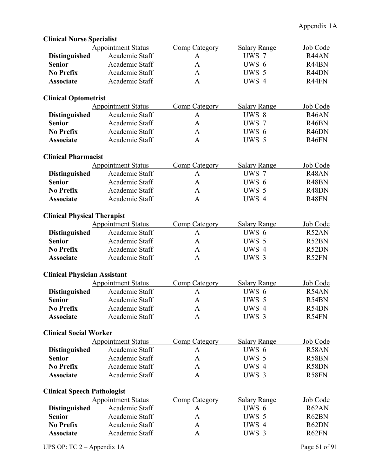| <b>Clinical Nurse Specialist</b>    |                           |                      |                     |                    |
|-------------------------------------|---------------------------|----------------------|---------------------|--------------------|
|                                     | <b>Appointment Status</b> | Comp Category        | <b>Salary Range</b> | Job Code           |
| <b>Distinguished</b>                | Academic Staff            | A                    | UWS 7               | R44AN              |
| <b>Senior</b>                       | Academic Staff            | $\mathbf{A}$         | UWS 6               | R44BN              |
| <b>No Prefix</b>                    | Academic Staff            | $\mathbf{A}$         | UWS 5               | R44DN              |
| <b>Associate</b>                    | Academic Staff            | A                    | UWS 4               | R44FN              |
| <b>Clinical Optometrist</b>         |                           |                      |                     |                    |
|                                     | <b>Appointment Status</b> | <b>Comp Category</b> | <b>Salary Range</b> | Job Code           |
| <b>Distinguished</b>                | Academic Staff            | $\mathbf{A}$         | UWS 8               | R <sub>46</sub> AN |
| <b>Senior</b>                       | Academic Staff            | $\mathbf{A}$         | UWS 7               | R <sub>46</sub> BN |
| <b>No Prefix</b>                    | Academic Staff            | $\mathbf{A}$         | UWS 6               | R <sub>46</sub> DN |
| <b>Associate</b>                    | Academic Staff            | $\mathbf{A}$         | UWS 5               | R <sub>46</sub> FN |
| <b>Clinical Pharmacist</b>          |                           |                      |                     |                    |
|                                     | <b>Appointment Status</b> | <b>Comp Category</b> | <b>Salary Range</b> | Job Code           |
| <b>Distinguished</b>                | Academic Staff            | A                    | UWS 7               | R48AN              |
| <b>Senior</b>                       | Academic Staff            | $\mathbf{A}$         | UWS 6               | R48BN              |
| <b>No Prefix</b>                    | Academic Staff            | A                    | UWS 5               | R48DN              |
| <b>Associate</b>                    | Academic Staff            | $\mathbf{A}$         | UWS 4               | R48FN              |
| <b>Clinical Physical Therapist</b>  |                           |                      |                     |                    |
|                                     | <b>Appointment Status</b> | <b>Comp Category</b> | <b>Salary Range</b> | Job Code           |
| <b>Distinguished</b>                | Academic Staff            | A                    | UWS 6               | R52AN              |
| <b>Senior</b>                       | Academic Staff            | $\mathbf{A}$         | UWS 5               | R52BN              |
| <b>No Prefix</b>                    | Academic Staff            | $\mathbf{A}$         | UWS 4               | R52DN              |
| <b>Associate</b>                    | Academic Staff            | A                    | UWS 3               | R52FN              |
| <b>Clinical Physician Assistant</b> |                           |                      |                     |                    |
|                                     | <b>Appointment Status</b> | <b>Comp Category</b> | <b>Salary Range</b> | Job Code           |
| <b>Distinguished</b>                | Academic Staff            | A                    | UWS 6               | R54AN              |
| <b>Senior</b>                       | Academic Staff            | A                    | UWS 5               | R54BN              |
| No Prefix                           | Academic Staff            | A                    | UWS 4               | R54DN              |
| <b>Associate</b>                    | Academic Staff            | $\mathbf{A}$         | UWS 3               | R54FN              |
| <b>Clinical Social Worker</b>       |                           |                      |                     |                    |
|                                     | <b>Appointment Status</b> | Comp Category        | <b>Salary Range</b> | Job Code           |
| <b>Distinguished</b>                | Academic Staff            | A                    | UWS 6               | R58AN              |
| <b>Senior</b>                       | Academic Staff            | $\mathbf{A}$         | UWS 5               | R58BN              |
| <b>No Prefix</b>                    | Academic Staff            | A                    | UWS 4               | R58DN              |
| <b>Associate</b>                    | Academic Staff            | A                    | UWS 3               | R58FN              |
| <b>Clinical Speech Pathologist</b>  |                           |                      |                     |                    |
|                                     | <b>Appointment Status</b> | <b>Comp Category</b> | <b>Salary Range</b> | Job Code           |
| <b>Distinguished</b>                | Academic Staff            | A                    | UWS 6               | R62AN              |
| <b>Senior</b>                       | Academic Staff            | A                    | UWS 5               | R62BN              |
| <b>No Prefix</b>                    | Academic Staff            | A                    | UWS 4               | R62DN              |
| <b>Associate</b>                    | Academic Staff            | A                    | UWS 3               | R62FN              |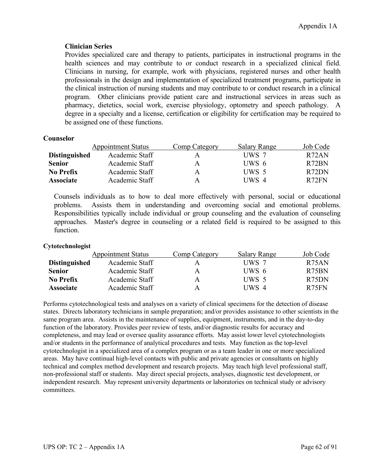# **Clinician Series**

Provides specialized care and therapy to patients, participates in instructional programs in the health sciences and may contribute to or conduct research in a specialized clinical field. Clinicians in nursing, for example, work with physicians, registered nurses and other health professionals in the design and implementation of specialized treatment programs, participate in the clinical instruction of nursing students and may contribute to or conduct research in a clinical program. Other clinicians provide patient care and instructional services in areas such as pharmacy, dietetics, social work, exercise physiology, optometry and speech pathology. A degree in a specialty and a license, certification or eligibility for certification may be required to be assigned one of these functions.

# **Counselor**

|                      | <b>Appointment Status</b> | Comp Category | <b>Salary Range</b> | Job Code           |
|----------------------|---------------------------|---------------|---------------------|--------------------|
| <b>Distinguished</b> | Academic Staff            | A             | UWS 7               | R <sub>72</sub> AN |
| <b>Senior</b>        | Academic Staff            | A             | UWS 6               | R <sub>72</sub> BN |
| No Prefix            | Academic Staff            | A             | UWS 5               | R <sub>72</sub> DN |
| <b>Associate</b>     | Academic Staff            | A             | UWS 4               | R72FN              |

Counsels individuals as to how to deal more effectively with personal, social or educational problems. Assists them in understanding and overcoming social and emotional problems. Responsibilities typically include individual or group counseling and the evaluation of counseling approaches. Master's degree in counseling or a related field is required to be assigned to this function.

# **Cytotechnologist**

|                      | <b>Appointment Status</b> | Comp Category | <b>Salary Range</b> | Job Code           |
|----------------------|---------------------------|---------------|---------------------|--------------------|
| <b>Distinguished</b> | Academic Staff            | А             | UWS 7               | R <sub>75</sub> AN |
| <b>Senior</b>        | Academic Staff            | A             | UWS 6               | R <sub>75</sub> BN |
| <b>No Prefix</b>     | Academic Staff            | A             | UWS 5               | R <sub>75</sub> DN |
| <b>Associate</b>     | Academic Staff            | A             | UWS 4               | R <sub>75</sub> FN |

Performs cytotechnological tests and analyses on a variety of clinical specimens for the detection of disease states. Directs laboratory technicians in sample preparation; and/or provides assistance to other scientists in the same program area. Assists in the maintenance of supplies, equipment, instruments, and in the day-to-day function of the laboratory. Provides peer review of tests, and/or diagnostic results for accuracy and completeness, and may lead or oversee quality assurance efforts. May assist lower level cytotechnologists and/or students in the performance of analytical procedures and tests. May function as the top-level cytotechnologist in a specialized area of a complex program or as a team leader in one or more specialized areas. May have continual high-level contacts with public and private agencies or consultants on highly technical and complex method development and research projects. May teach high level professional staff, non-professional staff or students. May direct special projects, analyses, diagnostic test development, or independent research. May represent university departments or laboratories on technical study or advisory committees.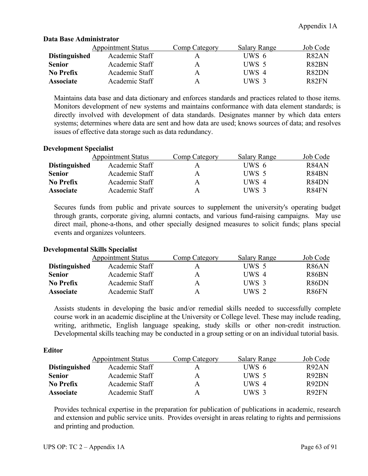|                      | <b>Appointment Status</b> | Comp Category | <b>Salary Range</b> | Job Code           |
|----------------------|---------------------------|---------------|---------------------|--------------------|
| <b>Distinguished</b> | Academic Staff            | A             | UWS 6               | R <sub>82</sub> AN |
| <b>Senior</b>        | Academic Staff            | A             | UWS 5               | R82BN              |
| <b>No Prefix</b>     | Academic Staff            | A             | UWS 4               | R82DN              |
| <b>Associate</b>     | Academic Staff            | A             | UWS 3               | R <sub>82</sub> FN |

# **Data Base Administrator**

Maintains data base and data dictionary and enforces standards and practices related to those items. Monitors development of new systems and maintains conformance with data element standards; is directly involved with development of data standards. Designates manner by which data enters systems; determines where data are sent and how data are used; knows sources of data; and resolves issues of effective data storage such as data redundancy.

# **Development Specialist**

|                      | <b>Appointment Status</b> | Comp Category | <b>Salary Range</b> | Job Code                       |
|----------------------|---------------------------|---------------|---------------------|--------------------------------|
| <b>Distinguished</b> | Academic Staff            |               | UWS 6               | R <sub>84</sub> AN             |
| <b>Senior</b>        | Academic Staff            | A             | UWS 5               | R <sub>84</sub> BN             |
| No Prefix            | Academic Staff            | A             | UWS 4               | R <sub>84</sub> D <sub>N</sub> |
| <b>Associate</b>     | Academic Staff            | A             | UWS 3               | R84FN                          |

Secures funds from public and private sources to supplement the university's operating budget through grants, corporate giving, alumni contacts, and various fund-raising campaigns. May use direct mail, phone-a-thons, and other specially designed measures to solicit funds; plans special events and organizes volunteers.

# **Developmental Skills Specialist**

|                      | <b>Appointment Status</b> | Comp Category | <b>Salary Range</b> | Job Code           |
|----------------------|---------------------------|---------------|---------------------|--------------------|
| <b>Distinguished</b> | Academic Staff            |               | UWS 5               | R <sub>86</sub> AN |
| <b>Senior</b>        | Academic Staff            | A             | UWS 4               | R86BN              |
| No Prefix            | Academic Staff            | A             | UWS 3               | R <sub>86</sub> DN |
| <b>Associate</b>     | Academic Staff            | A             | UWS 2               | R <sub>86</sub> FN |

Assists students in developing the basic and/or remedial skills needed to successfully complete course work in an academic discipline at the University or College level. These may include reading, writing, arithmetic, English language speaking, study skills or other non-credit instruction. Developmental skills teaching may be conducted in a group setting or on an individual tutorial basis.

# **Editor**

|                      | <b>Appointment Status</b> | Comp Category | <b>Salary Range</b> | Job Code |
|----------------------|---------------------------|---------------|---------------------|----------|
| <b>Distinguished</b> | Academic Staff            | A             | UWS 6               | R92AN    |
| <b>Senior</b>        | Academic Staff            | A             | UWS 5               | R92BN    |
| No Prefix            | Academic Staff            | A             | UWS 4               | R92DN    |
| <b>Associate</b>     | Academic Staff            | A             | UWS 3               | R92FN    |

Provides technical expertise in the preparation for publication of publications in academic, research and extension and public service units. Provides oversight in areas relating to rights and permissions and printing and production.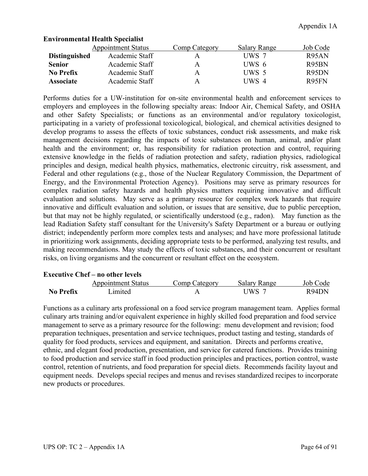|                      | <b>Appointment Status</b> | Comp Category | <b>Salary Range</b> | Job Code           |
|----------------------|---------------------------|---------------|---------------------|--------------------|
| <b>Distinguished</b> | Academic Staff            | A             | UWS 7               | R <sub>95</sub> AN |
| <b>Senior</b>        | Academic Staff            | A             | UWS 6               | R95BN              |
| <b>No Prefix</b>     | Academic Staff            | A             | UWS 5               | R95DN              |
| <b>Associate</b>     | Academic Staff            | A             | UWS 4               | R95FN              |

# **Environmental Health Specialist**

Performs duties for a UW-institution for on-site environmental health and enforcement services to employers and employees in the following specialty areas: Indoor Air, Chemical Safety, and OSHA and other Safety Specialists; or functions as an environmental and/or regulatory toxicologist, participating in a variety of professional toxicological, biological, and chemical activities designed to develop programs to assess the effects of toxic substances, conduct risk assessments, and make risk management decisions regarding the impacts of toxic substances on human, animal, and/or plant health and the environment; or, has responsibility for radiation protection and control, requiring extensive knowledge in the fields of radiation protection and safety, radiation physics, radiological principles and design, medical health physics, mathematics, electronic circuitry, risk assessment, and Federal and other regulations (e.g., those of the Nuclear Regulatory Commission, the Department of Energy, and the Environmental Protection Agency). Positions may serve as primary resources for complex radiation safety hazards and health physics matters requiring innovative and difficult evaluation and solutions. May serve as a primary resource for complex work hazards that require innovative and difficult evaluation and solution, or issues that are sensitive, due to public perception, but that may not be highly regulated, or scientifically understood (e.g., radon). May function as the lead Radiation Safety staff consultant for the University's Safety Department or a bureau or outlying district; independently perform more complex tests and analyses; and have more professional latitude in prioritizing work assignments, deciding appropriate tests to be performed, analyzing test results, and making recommendations. May study the effects of toxic substances, and their concurrent or resultant risks, on living organisms and the concurrent or resultant effect on the ecosystem.

# **Executive Chef – no other levels**

|           | <b>Appointment Status</b> | Comp Category | Salary Range | Job Code |
|-----------|---------------------------|---------------|--------------|----------|
| No Prefix | Imited                    |               | UWS-         | R94DN    |

Functions as a culinary arts professional on a food service program management team. Applies formal culinary arts training and/or equivalent experience in highly skilled food preparation and food service management to serve as a primary resource for the following: menu development and revision; food preparation techniques, presentation and service techniques, product tasting and testing, standards of quality for food products, services and equipment, and sanitation. Directs and performs creative, ethnic, and elegant food production, presentation, and service for catered functions. Provides training to food production and service staff in food production principles and practices, portion control, waste control, retention of nutrients, and food preparation for special diets. Recommends facility layout and equipment needs. Develops special recipes and menus and revises standardized recipes to incorporate new products or procedures.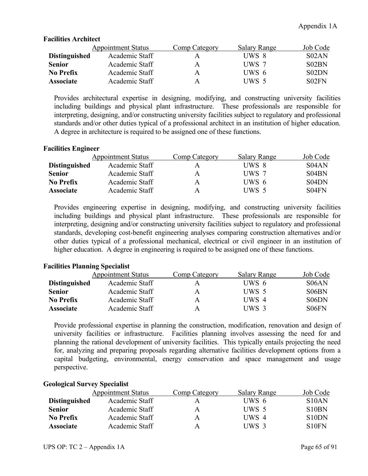# **Facilities Architect**

|                      | <b>Appointment Status</b> | Comp Category | <b>Salary Range</b> | Job Code                       |
|----------------------|---------------------------|---------------|---------------------|--------------------------------|
| <b>Distinguished</b> | Academic Staff            |               | UWS 8               | SO2AN                          |
| <b>Senior</b>        | Academic Staff            | A             | UWS 7               | S <sub>0</sub> 2 <sub>BN</sub> |
| No Prefix            | Academic Staff            | A             | UWS 6               | S02DN                          |
| <b>Associate</b>     | Academic Staff            | A             | UWS 5               | S02FN                          |

Provides architectural expertise in designing, modifying, and constructing university facilities including buildings and physical plant infrastructure. These professionals are responsible for interpreting, designing, and/or constructing university facilities subject to regulatory and professional standards and/or other duties typical of a professional architect in an institution of higher education. A degree in architecture is required to be assigned one of these functions.

# **Facilities Engineer**

|                      | <b>Appointment Status</b> | Comp Category | <b>Salary Range</b> | Job Code                       |
|----------------------|---------------------------|---------------|---------------------|--------------------------------|
| <b>Distinguished</b> | Academic Staff            |               | UWS 8               | S04AN                          |
| <b>Senior</b>        | Academic Staff            | A             | UWS 7               | S <sub>04</sub> BN             |
| No Prefix            | Academic Staff            | A             | UWS 6               | S <sub>04</sub> D <sub>N</sub> |
| <b>Associate</b>     | Academic Staff            | А             | UWS 5               | S04FN                          |

Provides engineering expertise in designing, modifying, and constructing university facilities including buildings and physical plant infrastructure. These professionals are responsible for interpreting, designing and/or constructing university facilities subject to regulatory and professional standards, developing cost-benefit engineering analyses comparing construction alternatives and/or other duties typical of a professional mechanical, electrical or civil engineer in an institution of higher education. A degree in engineering is required to be assigned one of these functions.

# **Facilities Planning Specialist**

|                      | <b>Appointment Status</b> | Comp Category | <b>Salary Range</b> | Job Code           |
|----------------------|---------------------------|---------------|---------------------|--------------------|
| <b>Distinguished</b> | Academic Staff            | А             | UWS 6               | S <sub>06</sub> AN |
| <b>Senior</b>        | Academic Staff            | А             | UWS 5               | S <sub>06</sub> BN |
| No Prefix            | Academic Staff            | Α             | UWS 4               | S06DN              |
| <b>Associate</b>     | Academic Staff            | А             | UWS 3               | S06FN              |

Provide professional expertise in planning the construction, modification, renovation and design of university facilities or infrastructure. Facilities planning involves assessing the need for and planning the rational development of university facilities. This typically entails projecting the need for, analyzing and preparing proposals regarding alternative facilities development options from a capital budgeting, environmental, energy conservation and space management and usage perspective.

# **Geological Survey Specialist**

|                      | <b>Appointment Status</b> | Comp Category | Salary Range | Job Code                       |
|----------------------|---------------------------|---------------|--------------|--------------------------------|
| <b>Distinguished</b> | Academic Staff            |               | UWS 6        | S10AN                          |
| <b>Senior</b>        | Academic Staff            | A             | UWS 5        | S <sub>10</sub> B <sub>N</sub> |
| <b>No Prefix</b>     | Academic Staff            | A             | UWS 4        | S <sub>10</sub> D <sub>N</sub> |
| <b>Associate</b>     | Academic Staff            | A             | UWS 3        | S <sub>10</sub> FN             |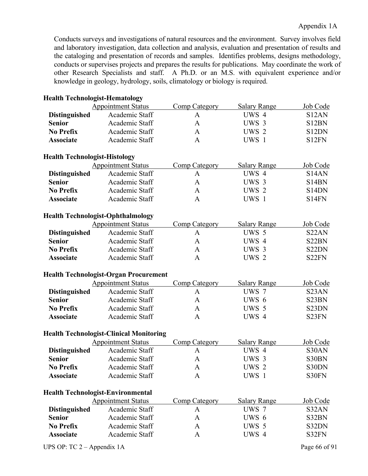Conducts surveys and investigations of natural resources and the environment. Survey involves field and laboratory investigation, data collection and analysis, evaluation and presentation of results and the cataloging and presentation of records and samples. Identifies problems, designs methodology, conducts or supervises projects and prepares the results for publications. May coordinate the work of other Research Specialists and staff. A Ph.D. or an M.S. with equivalent experience and/or knowledge in geology, hydrology, soils, climatology or biology is required.

| <b>Health Technologist-Hematology</b>    |                                                |                      |                     |                                |
|------------------------------------------|------------------------------------------------|----------------------|---------------------|--------------------------------|
|                                          | <b>Appointment Status</b>                      | <b>Comp Category</b> | <b>Salary Range</b> | Job Code                       |
| <b>Distinguished</b>                     | Academic Staff                                 | A                    | UWS 4               | S <sub>12</sub> AN             |
| <b>Senior</b>                            | Academic Staff                                 | $\mathbf{A}$         | UWS 3               | S12BN                          |
| <b>No Prefix</b>                         | Academic Staff                                 | $\mathbf{A}$         | UWS 2               | S12DN                          |
| <b>Associate</b>                         | Academic Staff                                 | $\mathbf{A}$         | UWS 1               | S12FN                          |
| <b>Health Technologist-Histology</b>     |                                                |                      |                     |                                |
|                                          | <b>Appointment Status</b>                      | <b>Comp Category</b> | <b>Salary Range</b> | Job Code                       |
| <b>Distinguished</b>                     | Academic Staff                                 | A                    | UWS 4               | S <sub>14</sub> AN             |
| <b>Senior</b>                            | Academic Staff                                 | $\mathbf{A}$         | UWS 3               | S <sub>14</sub> BN             |
| <b>No Prefix</b>                         | Academic Staff                                 | $\mathbf{A}$         | UWS 2               | S <sub>14</sub> D <sub>N</sub> |
| <b>Associate</b>                         | Academic Staff                                 | $\mathbf{A}$         | UWS 1               | S <sub>14FN</sub>              |
| <b>Health Technologist-Ophthalmology</b> |                                                |                      |                     |                                |
|                                          | <b>Appointment Status</b>                      | Comp Category        | <b>Salary Range</b> | Job Code                       |
| <b>Distinguished</b>                     | Academic Staff                                 | $\mathbf{A}$         | UWS 5               | S <sub>22</sub> AN             |
| <b>Senior</b>                            | Academic Staff                                 | $\mathbf{A}$         | UWS 4               | S22BN                          |
| <b>No Prefix</b>                         | Academic Staff                                 | A                    | UWS 3               | S22DN                          |
| <b>Associate</b>                         | Academic Staff                                 | $\mathbf{A}$         | UWS <sub>2</sub>    | S22FN                          |
|                                          | <b>Health Technologist-Organ Procurement</b>   |                      |                     |                                |
|                                          | <b>Appointment Status</b>                      | <b>Comp Category</b> | <b>Salary Range</b> | Job Code                       |
| <b>Distinguished</b>                     | Academic Staff                                 | A                    | UWS 7               | S <sub>23</sub> AN             |
| <b>Senior</b>                            | Academic Staff                                 | A                    | UWS 6               | S23BN                          |
| <b>No Prefix</b>                         | Academic Staff                                 | $\mathbf{A}$         | UWS 5               | S <sub>23</sub> DN             |
| <b>Associate</b>                         | Academic Staff                                 | $\mathbf{A}$         | UWS 4               | S23FN                          |
|                                          | <b>Health Technologist-Clinical Monitoring</b> |                      |                     |                                |
|                                          | <b>Appointment Status</b>                      | <b>Comp Category</b> | <b>Salary Range</b> | Job Code                       |
| <b>Distinguished</b>                     | Academic Staff                                 | A                    | UWS 4               | S30AN                          |
| <b>Senior</b>                            | Academic Staff                                 | A                    | UWS 3               | S30BN                          |
| <b>No Prefix</b>                         | Academic Staff                                 | A                    | UWS 2               | S30DN                          |
| <b>Associate</b>                         | Academic Staff                                 | A                    | UWS 1               | S30FN                          |
| <b>Health Technologist-Environmental</b> |                                                |                      |                     |                                |
|                                          | <b>Appointment Status</b>                      | <b>Comp Category</b> | <b>Salary Range</b> | Job Code                       |
| <b>Distinguished</b>                     | Academic Staff                                 | A                    | UWS 7               | S32AN                          |
| <b>Senior</b>                            | Academic Staff                                 | A                    | UWS 6               | S32BN                          |
| <b>No Prefix</b>                         | Academic Staff                                 | A                    | UWS 5               | S32DN                          |
| <b>Associate</b>                         | Academic Staff                                 | $\mathbf{A}$         | UWS 4               | S32FN                          |
| UPS OP: TC $2 -$ Appendix 1A             |                                                |                      |                     | Page 66 of 91                  |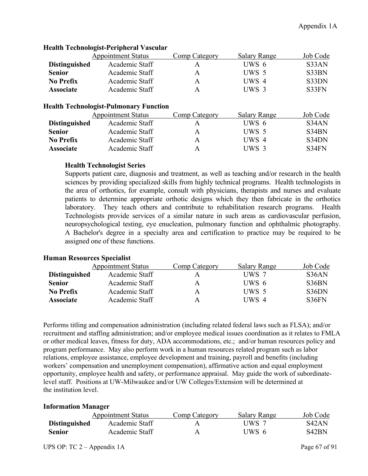|                      | <b>Appointment Status</b> | Comp Category | <b>Salary Range</b> | Job Code |
|----------------------|---------------------------|---------------|---------------------|----------|
| <b>Distinguished</b> | Academic Staff            |               | UWS 6               | S33AN    |
| <b>Senior</b>        | Academic Staff            | Α             | UWS 5               | S33BN    |
| <b>No Prefix</b>     | Academic Staff            | А             | UWS 4               | S33DN    |
| <b>Associate</b>     | Academic Staff            | А             | UWS 3               | S33FN    |
|                      |                           |               |                     |          |

# **Health Technologist-Peripheral Vascular**

### **Health Technologist-Pulmonary Function**

|                      | <b>Appointment Status</b> | Comp Category | <b>Salary Range</b> | Job Code           |
|----------------------|---------------------------|---------------|---------------------|--------------------|
| <b>Distinguished</b> | Academic Staff            |               | UWS 6               | S <sub>34</sub> AN |
| <b>Senior</b>        | Academic Staff            | А             | UWS 5               | S34BN              |
| No Prefix            | Academic Staff            | А             | UWS 4               | S34DN              |
| <b>Associate</b>     | Academic Staff            | А             | UWS 3               | S34FN              |

# **Health Technologist Series**

Supports patient care, diagnosis and treatment, as well as teaching and/or research in the health sciences by providing specialized skills from highly technical programs. Health technologists in the area of orthotics, for example, consult with physicians, therapists and nurses and evaluate patients to determine appropriate orthotic designs which they then fabricate in the orthotics laboratory. They teach others and contribute to rehabilitation research programs. Health Technologists provide services of a similar nature in such areas as cardiovascular perfusion, neuropsychological testing, eye enucleation, pulmonary function and ophthalmic photography. A Bachelor's degree in a specialty area and certification to practice may be required to be assigned one of these functions.

# **Human Resources Specialist**

|                      | <b>Appointment Status</b> | <b>Comp Category</b> | <b>Salary Range</b> | Job Code           |
|----------------------|---------------------------|----------------------|---------------------|--------------------|
| <b>Distinguished</b> | Academic Staff            |                      | UWS 7               | S <sub>36</sub> AN |
| <b>Senior</b>        | Academic Staff            | A                    | UWS 6               | S36BN              |
| No Prefix            | Academic Staff            | А                    | UWS 5               | S36DN              |
| <b>Associate</b>     | Academic Staff            | А                    | UWS 4               | S36FN              |

Performs titling and compensation administration (including related federal laws such as FLSA); and/or recruitment and staffing administration; and/or employee medical issues coordination as it relates to FMLA or other medical leaves, fitness for duty, ADA accommodations, etc.; and/or human resources policy and program performance. May also perform work in a human resources related program such as labor relations, employee assistance, employee development and training, payroll and benefits (including workers' compensation and unemployment compensation), affirmative action and equal employment opportunity, employee health and safety, or performance appraisal. May guide the work of subordinatelevel staff. Positions at UW-Milwaukee and/or UW Colleges/Extension will be determined at the institution level.

# **Information Manager**

|                      | <b>Appointment Status</b> | Comp Category | <b>Salary Range</b> | Job Code           |
|----------------------|---------------------------|---------------|---------------------|--------------------|
| <b>Distinguished</b> | Academic Staff            |               | UWS 7               | S <sub>42</sub> AN |
| <b>Senior</b>        | Academic Staff            |               | UWS 6               | S42BN              |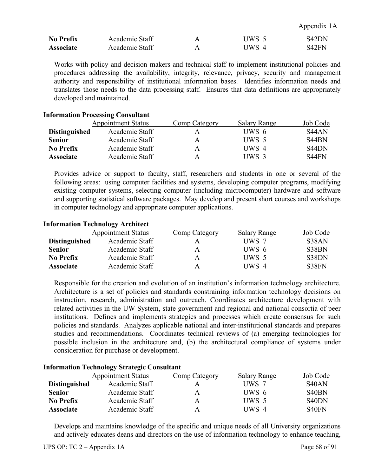Appendix 1A

| <b>No Prefix</b> | Academic Staff |   | IIWS 5 | S <sub>42</sub> DN |
|------------------|----------------|---|--------|--------------------|
| <b>Associate</b> | Academic Staff | А | UWS 4  | S42FN              |

Works with policy and decision makers and technical staff to implement institutional policies and procedures addressing the availability, integrity, relevance, privacy, security and management authority and responsibility of institutional information bases. Identifies information needs and translates those needs to the data processing staff. Ensures that data definitions are appropriately developed and maintained.

#### **Information Processing Consultant**

|                      | <b>Appointment Status</b> | Comp Category | <b>Salary Range</b> | Job Code                       |
|----------------------|---------------------------|---------------|---------------------|--------------------------------|
| <b>Distinguished</b> | Academic Staff            | А             | UWS 6               | S <sub>44</sub> AN             |
| <b>Senior</b>        | Academic Staff            | A             | UWS 5               | S <sub>44</sub> BN             |
| No Prefix            | Academic Staff            | A             | UWS 4               | S <sub>44</sub> D <sub>N</sub> |
| <b>Associate</b>     | Academic Staff            | Α             | UWS 3               | S44FN                          |

Provides advice or support to faculty, staff, researchers and students in one or several of the following areas: using computer facilities and systems, developing computer programs, modifying existing computer systems, selecting computer (including microcomputer) hardware and software and supporting statistical software packages. May develop and present short courses and workshops in computer technology and appropriate computer applications.

# **Information Technology Architect**

|                      | <b>Appointment Status</b> | Comp Category | <b>Salary Range</b> | Job Code |
|----------------------|---------------------------|---------------|---------------------|----------|
| <b>Distinguished</b> | Academic Staff            |               | UWS 7               | S38AN    |
| <b>Senior</b>        | Academic Staff            | А             | UWS 6               | S38BN    |
| No Prefix            | Academic Staff            | A             | UWS 5               | S38DN    |
| <b>Associate</b>     | Academic Staff            | А             | UWS 4               | S38FN    |

Responsible for the creation and evolution of an institution's information technology architecture. Architecture is a set of policies and standards constraining information technology decisions on instruction, research, administration and outreach. Coordinates architecture development with related activities in the UW System, state government and regional and national consortia of peer institutions. Defines and implements strategies and processes which create consensus for such policies and standards. Analyzes applicable national and inter-institutional standards and prepares studies and recommendations. Coordinates technical reviews of (a) emerging technologies for possible inclusion in the architecture and, (b) the architectural compliance of systems under consideration for purchase or development.

|                      | <b>Appointment Status</b> | Comp Category | <b>Salary Range</b> | Job Code                       |
|----------------------|---------------------------|---------------|---------------------|--------------------------------|
| <b>Distinguished</b> | Academic Staff            | А             | UWS 7               | S <sub>40</sub> AN             |
| <b>Senior</b>        | Academic Staff            | A             | UWS 6               | S <sub>40</sub> BN             |
| No Prefix            | Academic Staff            | A             | UWS 5               | S <sub>40</sub> D <sub>N</sub> |
| <b>Associate</b>     | Academic Staff            | A             | UWS 4               | S <sub>40</sub> FN             |

#### **Information Technology Strategic Consultant**

Develops and maintains knowledge of the specific and unique needs of all University organizations and actively educates deans and directors on the use of information technology to enhance teaching,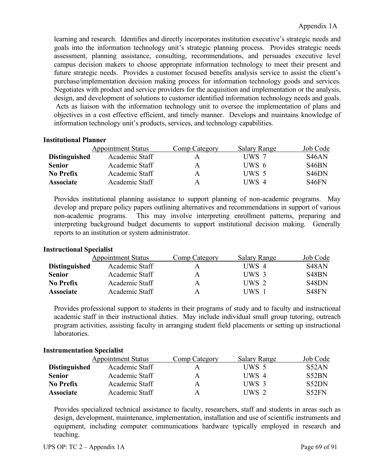learning and research. Identifies and directly incorporates institution executive's strategic needs and goals into the information technology unit's strategic planning process. Provides strategic needs assessment, planning assistance, consulting, recommendations, and persuades executive level campus decision makers to choose appropriate information technology to meet their present and future strategic needs. Provides a customer focused benefits analysis service to assist the client's purchase/implementation decision making process for information technology goods and services. Negotiates with product and service providers for the acquisition and implementation or the analysis, design, and development of solutions to customer identified information technology needs and goals. Acts as liaison with the information technology unit to oversee the implementation of plans and objectives in a cost effective efficient, and timely manner. Develops and maintains knowledge of information technology unit's products, services, and technology capabilities.

# **Institutional Planner**

|                      | <b>Appointment Status</b> | Comp Category | Salary Range | Job Code                       |
|----------------------|---------------------------|---------------|--------------|--------------------------------|
| <b>Distinguished</b> | Academic Staff            | А             | UWS 7        | S <sub>46</sub> AN             |
| <b>Senior</b>        | Academic Staff            | Α             | UWS 6        | S <sub>46</sub> BN             |
| No Prefix            | Academic Staff            | A             | UWS 5        | S <sub>46</sub> D <sub>N</sub> |
| <b>Associate</b>     | Academic Staff            | A             | UWS 4        | S <sub>46</sub> FN             |

Provides institutional planning assistance to support planning of non-academic programs. May develop and prepare policy papers outlining alternatives and recommendations in support of various non-academic programs. This may involve interpreting enrollment patterns, preparing and interpreting background budget documents to support institutional decision making. Generally reports to an institution or system administrator.

# **Instructional Specialist**

|                      | <b>Appointment Status</b> | Comp Category | <b>Salary Range</b> | Job Code           |
|----------------------|---------------------------|---------------|---------------------|--------------------|
| <b>Distinguished</b> | Academic Staff            |               | UWS $4$             | S <sub>48</sub> AN |
| <b>Senior</b>        | Academic Staff            | A             | UWS 3               | S <sub>48</sub> BN |
| No Prefix            | Academic Staff            | A             | UWS 2               | S <sub>48</sub> DN |
| <b>Associate</b>     | Academic Staff            | A             | UWS 1               | S <sub>48</sub> FN |

Provides professional support to students in their programs of study and to faculty and instructional academic staff in their instructional duties. May include individual small group tutoring, outreach program activities, assisting faculty in arranging student field placements or setting up instructional laboratories.

# **Instrumentation Specialist**

|                      | <b>Appointment Status</b> | Comp Category | <b>Salary Range</b> | Job Code |
|----------------------|---------------------------|---------------|---------------------|----------|
| <b>Distinguished</b> | Academic Staff            |               | UWS 5               | S52AN    |
| <b>Senior</b>        | Academic Staff            | А             | $I$ IWS 4           | S52BN    |
| No Prefix            | Academic Staff            | А             | UWS 3               | S52DN    |
| <b>Associate</b>     | Academic Staff            | А             | UWS 2               | S52FN    |

Provides specialized technical assistance to faculty, researchers, staff and students in areas such as design, development, maintenance, implementation, installation and use of scientific instruments and equipment, including computer communications hardware typically employed in research and teaching.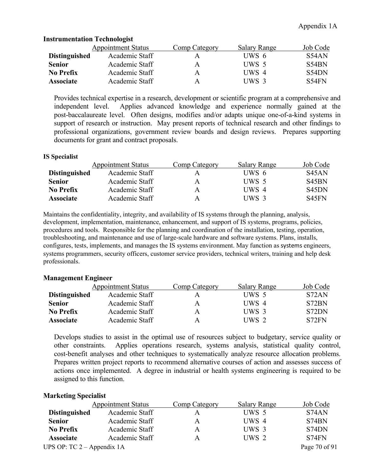|                      | <b>Appointment Status</b> | Comp Category | <b>Salary Range</b> | Job Code |
|----------------------|---------------------------|---------------|---------------------|----------|
| <b>Distinguished</b> | Academic Staff            | A             | UWS 6               | S54AN    |
| <b>Senior</b>        | Academic Staff            | A             | UWS 5               | S54BN    |
| No Prefix            | Academic Staff            | A             | UWS 4               | S54DN    |
| <b>Associate</b>     | Academic Staff            | A             | UWS 3               | S54FN    |

### **Instrumentation Technologist**

Provides technical expertise in a research, development or scientific program at a comprehensive and independent level. Applies advanced knowledge and experience normally gained at the post-baccalaureate level. Often designs, modifies and/or adapts unique one-of-a-kind systems in support of research or instruction. May present reports of technical research and other findings to professional organizations, government review boards and design reviews. Prepares supporting documents for grant and contract proposals.

#### **IS Specialist**

|                      | <b>Appointment Status</b> | Comp Category | <b>Salary Range</b> | Job Code           |
|----------------------|---------------------------|---------------|---------------------|--------------------|
| <b>Distinguished</b> | Academic Staff            | А             | UWS 6               | S <sub>45</sub> AN |
| <b>Senior</b>        | Academic Staff            | А             | UWS 5               | S <sub>45</sub> BN |
| <b>No Prefix</b>     | Academic Staff            | А             | UWS 4               | S <sub>45</sub> DN |
| <b>Associate</b>     | Academic Staff            | А             | UWS 3               | S <sub>45</sub> FN |

Maintains the confidentiality, integrity, and availability of IS systems through the planning, analysis, development, implementation, maintenance, enhancement, and support of IS systems, programs, policies, procedures and tools. Responsible for the planning and coordination of the installation, testing, operation, troubleshooting, and maintenance and use of large-scale hardware and software systems. Plans, installs, configures, tests, implements, and manages the IS systems environment. May function as systems engineers, systems programmers, security officers, customer service providers, technical writers, training and help desk professionals.

# **Management Engineer**

|                      | <b>Appointment Status</b> | Comp Category | <b>Salary Range</b> | Job Code |
|----------------------|---------------------------|---------------|---------------------|----------|
| <b>Distinguished</b> | Academic Staff            | А             | UWS 5               | S72AN    |
| <b>Senior</b>        | Academic Staff            | A             | UWS 4               | S72BN    |
| No Prefix            | Academic Staff            | A             | UWS 3               | S72DN    |
| <b>Associate</b>     | Academic Staff            | A             | UWS 2               | S72FN    |

Develops studies to assist in the optimal use of resources subject to budgetary, service quality or other constraints. Applies operations research, systems analysis, statistical quality control, cost-benefit analyses and other techniques to systematically analyze resource allocation problems. Prepares written project reports to recommend alternative courses of action and assesses success of actions once implemented. A degree in industrial or health systems engineering is required to be assigned to this function.

#### **Marketing Specialist**

|                              | <b>Appointment Status</b> | Comp Category | <b>Salary Range</b> | Job Code      |
|------------------------------|---------------------------|---------------|---------------------|---------------|
| <b>Distinguished</b>         | Academic Staff            |               | UWS 5               | S74AN         |
| <b>Senior</b>                | Academic Staff            | A             | UWS 4               | S74BN         |
| <b>No Prefix</b>             | Academic Staff            | А             | UWS 3               | S74DN         |
| <b>Associate</b>             | Academic Staff            | А             | UWS 2               | S74FN         |
| UPS OP: $TC 2 - Appendix 1A$ |                           |               |                     | Page 70 of 91 |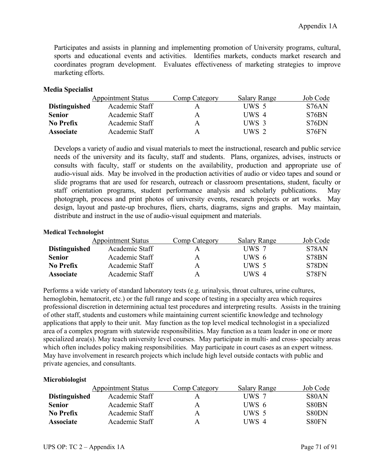Participates and assists in planning and implementing promotion of University programs, cultural, sports and educational events and activities. Identifies markets, conducts market research and coordinates program development. Evaluates effectiveness of marketing strategies to improve marketing efforts.

# **Media Specialist**

|                      | <b>Appointment Status</b> | Comp Category | <b>Salary Range</b> | Job Code |
|----------------------|---------------------------|---------------|---------------------|----------|
| <b>Distinguished</b> | Academic Staff            | А             | UWS 5               | S76AN    |
| <b>Senior</b>        | Academic Staff            | А             | UWS 4               | S76BN    |
| No Prefix            | Academic Staff            | А             | UWS 3               | S76DN    |
| <b>Associate</b>     | Academic Staff            | А             | UWS 2               | S76FN    |

Develops a variety of audio and visual materials to meet the instructional, research and public service needs of the university and its faculty, staff and students. Plans, organizes, advises, instructs or consults with faculty, staff or students on the availability, production and appropriate use of audio-visual aids. May be involved in the production activities of audio or video tapes and sound or slide programs that are used for research, outreach or classroom presentations, student, faculty or staff orientation programs, student performance analysis and scholarly publications. May photograph, process and print photos of university events, research projects or art works. May design, layout and paste-up brochures, fliers, charts, diagrams, signs and graphs. May maintain, distribute and instruct in the use of audio-visual equipment and materials.

### **Medical Technologist**

|                      | <b>Appointment Status</b> | Comp Category | <b>Salary Range</b> | Job Code |
|----------------------|---------------------------|---------------|---------------------|----------|
| <b>Distinguished</b> | Academic Staff            | А             | UWS 7               | S78AN    |
| <b>Senior</b>        | Academic Staff            | A             | UWS 6               | S78BN    |
| <b>No Prefix</b>     | Academic Staff            | Α             | UWS 5               | S78DN    |
| <b>Associate</b>     | Academic Staff            | A             | UWS 4               | S78FN    |

Performs a wide variety of standard laboratory tests (e.g. urinalysis, throat cultures, urine cultures, hemoglobin, hematocrit, etc.) or the full range and scope of testing in a specialty area which requires professional discretion in determining actual test procedures and interpreting results. Assists in the training of other staff, students and customers while maintaining current scientific knowledge and technology applications that apply to their unit. May function as the top level medical technologist in a specialized area of a complex program with statewide responsibilities. May function as a team leader in one or more specialized area(s). May teach university level courses. May participate in multi- and cross- specialty areas which often includes policy making responsibilities. May participate in court cases as an expert witness. May have involvement in research projects which include high level outside contacts with public and private agencies, and consultants.

# **Microbiologist**

|                      | <b>Appointment Status</b> | Comp Category | <b>Salary Range</b> | Job Code |
|----------------------|---------------------------|---------------|---------------------|----------|
| <b>Distinguished</b> | Academic Staff            | А             | UWS 7               | S80AN    |
| <b>Senior</b>        | Academic Staff            | A             | UWS 6               | S80BN    |
| No Prefix            | Academic Staff            | A             | UWS 5               | S80DN    |
| <b>Associate</b>     | Academic Staff            | A             | UWS 4               | S80FN    |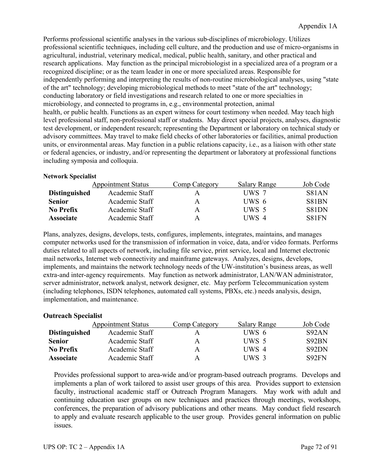Performs professional scientific analyses in the various sub-disciplines of microbiology. Utilizes professional scientific techniques, including cell culture, and the production and use of micro-organisms in agricultural, industrial, veterinary medical, medical, public health, sanitary, and other practical and research applications. May function as the principal microbiologist in a specialized area of a program or a recognized discipline; or as the team leader in one or more specialized areas. Responsible for independently performing and interpreting the results of non-routine microbiological analyses, using "state of the art" technology; developing microbiological methods to meet "state of the art" technology; conducting laboratory or field investigations and research related to one or more specialties in microbiology, and connected to programs in, e.g., environmental protection, animal health, or public health. Functions as an expert witness for court testimony when needed. May teach high level professional staff, non-professional staff or students. May direct special projects, analyses, diagnostic test development, or independent research; representing the Department or laboratory on technical study or advisory committees. May travel to make field checks of other laboratories or facilities, animal production units, or environmental areas. May function in a public relations capacity, i.e., as a liaison with other state or federal agencies, or industry, and/or representing the department or laboratory at professional functions including symposia and colloquia.

### **Network Specialist**

|                      | <b>Appointment Status</b> | Comp Category | <b>Salary Range</b> | Job Code     |
|----------------------|---------------------------|---------------|---------------------|--------------|
| <b>Distinguished</b> | Academic Staff            | А             | UWS 7               | <b>S81AN</b> |
| <b>Senior</b>        | Academic Staff            | А             | UWS 6               | S81BN        |
| No Prefix            | Academic Staff            | Α             | UWS 5               | S81DN        |
| <b>Associate</b>     | Academic Staff            | А             | UWS 4               | S81FN        |

Plans, analyzes, designs, develops, tests, configures, implements, integrates, maintains, and manages computer networks used for the transmission of information in voice, data, and/or video formats. Performs duties related to all aspects of network, including file service, print service, local and Internet electronic mail networks, Internet web connectivity and mainframe gateways. Analyzes, designs, develops, implements, and maintains the network technology needs of the UW-institution's business areas, as well extra-and inter-agency requirements. May function as network administrator, LAN/WAN administrator, server administrator, network analyst, network designer, etc. May perform Telecommunication system (including telephones, ISDN telephones, automated call systems, PBXs, etc.) needs analysis, design, implementation, and maintenance.

# **Outreach Specialist**

|                      | <b>Appointment Status</b> | Comp Category | <b>Salary Range</b> | Job Code |
|----------------------|---------------------------|---------------|---------------------|----------|
| <b>Distinguished</b> | Academic Staff            | А             | UWS 6               | S92AN    |
| <b>Senior</b>        | Academic Staff            | A             | UWS 5               | S92BN    |
| No Prefix            | Academic Staff            | A             | UWS 4               | S92DN    |
| <b>Associate</b>     | Academic Staff            | A             | UWS 3               | S92FN    |

Provides professional support to area-wide and/or program-based outreach programs. Develops and implements a plan of work tailored to assist user groups of this area. Provides support to extension faculty, instructional academic staff or Outreach Program Managers. May work with adult and continuing education user groups on new techniques and practices through meetings, workshops, conferences, the preparation of advisory publications and other means. May conduct field research to apply and evaluate research applicable to the user group. Provides general information on public issues.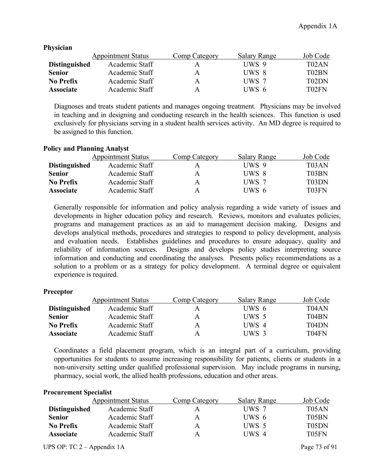|                      | <b>Appointment Status</b> | Comp Category | <b>Salary Range</b> | Job Code           |
|----------------------|---------------------------|---------------|---------------------|--------------------|
| <b>Distinguished</b> | Academic Staff            |               | UWS 9               | T02AN              |
| <b>Senior</b>        | Academic Staff            | A             | UWS 8               | T02BN              |
| <b>No Prefix</b>     | Academic Staff            | A             | UWS 7               | T <sub>0</sub> 2DN |
| <b>Associate</b>     | Academic Staff            | A             | UWS 6               | T02FN              |

**Physician**

Diagnoses and treats student patients and manages ongoing treatment. Physicians may be involved in teaching and in designing and conducting research in the health sciences. This function is used exclusively for physicians serving in a student health services activity. An MD degree is required to be assigned to this function.

## **Policy and Planning Analyst**

|                      | <b>Appointment Status</b> | Comp Category | <b>Salary Range</b> | Job Code           |
|----------------------|---------------------------|---------------|---------------------|--------------------|
| <b>Distinguished</b> | Academic Staff            |               | UWS 9               | T <sub>0</sub> 3AN |
| <b>Senior</b>        | Academic Staff            | А             | UWS 8               | T03BN              |
| No Prefix            | Academic Staff            | А             | UWS 7               | T03DN              |
| <b>Associate</b>     | Academic Staff            | А             | UWS 6               | T <sub>03</sub> FN |

Generally responsible for information and policy analysis regarding a wide variety of issues and developments in higher education policy and research. Reviews, monitors and evaluates policies, programs and management practices as an aid to management decision making. Designs and develops analytical methods, procedures and strategies to respond to policy development, analysis and evaluation needs. Establishes guidelines and procedures to ensure adequacy, quality and reliability of information sources. Designs and develops policy studies interpreting source information and conducting and coordinating the analyses. Presents policy recommendations as a solution to a problem or as a strategy for policy development. A terminal degree or equivalent experience is required.

#### **Preceptor**

|                      | <b>Appointment Status</b> | Comp Category | <b>Salary Range</b> | Job Code                       |
|----------------------|---------------------------|---------------|---------------------|--------------------------------|
| <b>Distinguished</b> | Academic Staff            | A             | UWS 6               | T <sub>04</sub> AN             |
| <b>Senior</b>        | Academic Staff            | A             | UWS 5               | T04BN                          |
| No Prefix            | Academic Staff            | A             | UWS 4               | T <sub>04</sub> D <sub>N</sub> |
| <b>Associate</b>     | Academic Staff            | A             | UWS 3               | T04FN                          |

Coordinates a field placement program, which is an integral part of a curriculum, providing opportunities for students to assume increasing responsibility for patients, clients or students in a non-university setting under qualified professional supervision. May include programs in nursing, pharmacy, social work, the allied health professions, education and other areas.

#### **Procurement Specialist**

|                      | <b>Appointment Status</b> | Comp Category | <b>Salary Range</b> | Job Code           |
|----------------------|---------------------------|---------------|---------------------|--------------------|
| <b>Distinguished</b> | Academic Staff            | A             | UWS 7               | T <sub>05</sub> AN |
| <b>Senior</b>        | Academic Staff            | A             | UWS 6               | T05BN              |
| <b>No Prefix</b>     | Academic Staff            | A             | UWS 5               | T05DN              |
| <b>Associate</b>     | Academic Staff            | A             | UWS 4               | T <sub>05</sub> FN |
|                      |                           |               |                     |                    |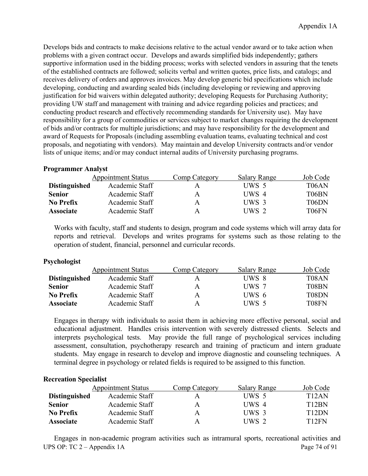Develops bids and contracts to make decisions relative to the actual vendor award or to take action when problems with a given contract occur. Develops and awards simplified bids independently; gathers supportive information used in the bidding process; works with selected vendors in assuring that the tenets of the established contracts are followed; solicits verbal and written quotes, price lists, and catalogs; and receives delivery of orders and approves invoices. May develop generic bid specifications which include developing, conducting and awarding sealed bids (including developing or reviewing and approving justification for bid waivers within delegated authority; developing Requests for Purchasing Authority; providing UW staff and management with training and advice regarding policies and practices; and conducting product research and effectively recommending standards for University use). May have responsibility for a group of commodities or services subject to market changes requiring the development of bids and/or contracts for multiple jurisdictions; and may have responsibility for the development and award of Requests for Proposals (including assembling evaluation teams, evaluating technical and cost proposals, and negotiating with vendors). May maintain and develop University contracts and/or vendor lists of unique items; and/or may conduct internal audits of University purchasing programs.

## **Programmer Analyst**

|                      | <b>Appointment Status</b> | Comp Category | <b>Salary Range</b> | Job Code           |
|----------------------|---------------------------|---------------|---------------------|--------------------|
| <b>Distinguished</b> | Academic Staff            | А             | UWS 5               | T <sub>06</sub> AN |
| <b>Senior</b>        | Academic Staff            | A             | UWS 4               | T <sub>06</sub> BN |
| <b>No Prefix</b>     | Academic Staff            | А             | UWS 3               | T06DN              |
| <b>Associate</b>     | Academic Staff            | А             | UWS 2               | T <sub>06</sub> FN |

Works with faculty, staff and students to design, program and code systems which will array data for reports and retrieval. Develops and writes programs for systems such as those relating to the operation of student, financial, personnel and curricular records.

## **Psychologist**

|                      | <b>Appointment Status</b> | Comp Category | <b>Salary Range</b> | Job Code           |
|----------------------|---------------------------|---------------|---------------------|--------------------|
| <b>Distinguished</b> | Academic Staff            |               | UWS 8               | T <sub>08</sub> AN |
| <b>Senior</b>        | Academic Staff            | A             | UWS 7               | T08BN              |
| No Prefix            | Academic Staff            | A             | UWS 6               | T08DN              |
| <b>Associate</b>     | Academic Staff            | A             | UWS 5               | T08FN              |

Engages in therapy with individuals to assist them in achieving more effective personal, social and educational adjustment. Handles crisis intervention with severely distressed clients. Selects and interprets psychological tests. May provide the full range of psychological services including assessment, consultation, psychotherapy research and training of practicum and intern graduate students. May engage in research to develop and improve diagnostic and counseling techniques. A terminal degree in psychology or related fields is required to be assigned to this function.

## **Recreation Specialist**

|                      | <b>Appointment Status</b> | Comp Category | <b>Salary Range</b> | Job Code           |
|----------------------|---------------------------|---------------|---------------------|--------------------|
| <b>Distinguished</b> | Academic Staff            |               | UWS 5               | T12AN              |
| <b>Senior</b>        | Academic Staff            | A             | UWS 4               | T <sub>12</sub> BN |
| <b>No Prefix</b>     | Academic Staff            | A             | UWS 3               | T <sub>12</sub> DN |
| <b>Associate</b>     | Academic Staff            | A             | $I$ IWS 2           | T <sub>12</sub> FN |

UPS OP: TC 2 – Appendix 1A Page 74 of 91 Engages in non-academic program activities such as intramural sports, recreational activities and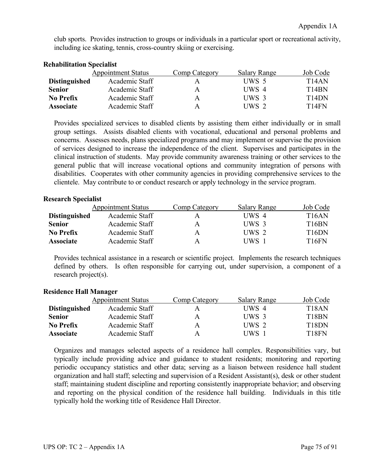club sports. Provides instruction to groups or individuals in a particular sport or recreational activity, including ice skating, tennis, cross-country skiing or exercising.

|                      | <b>Appointment Status</b> | Comp Category | <b>Salary Range</b> | Job Code                       |
|----------------------|---------------------------|---------------|---------------------|--------------------------------|
| <b>Distinguished</b> | Academic Staff            |               | UWS 5               | T <sub>14</sub> AN             |
| <b>Senior</b>        | Academic Staff            | А             | UWS 4               | T <sub>14</sub> BN             |
| No Prefix            | Academic Staff            | A             | UWS 3               | T <sub>14</sub> D <sub>N</sub> |
| <b>Associate</b>     | Academic Staff            | А             | UWS 2               | T <sub>14</sub> FN             |

# **Rehabilitation Specialist**

Provides specialized services to disabled clients by assisting them either individually or in small group settings. Assists disabled clients with vocational, educational and personal problems and concerns. Assesses needs, plans specialized programs and may implement or supervise the provision of services designed to increase the independence of the client. Supervises and participates in the clinical instruction of students. May provide community awareness training or other services to the general public that will increase vocational options and community integration of persons with disabilities. Cooperates with other community agencies in providing comprehensive services to the clientele. May contribute to or conduct research or apply technology in the service program.

# **Research Specialist**

|                      | <b>Appointment Status</b> | Comp Category | <b>Salary Range</b> | Job Code           |
|----------------------|---------------------------|---------------|---------------------|--------------------|
| <b>Distinguished</b> | Academic Staff            |               | UWS 4               | T <sub>16</sub> AN |
| <b>Senior</b>        | Academic Staff            | А             | UWS 3               | T <sub>16</sub> BN |
| No Prefix            | Academic Staff            | А             | UWS 2               | T <sub>16</sub> DN |
| <b>Associate</b>     | Academic Staff            | А             | UWS -               | T <sub>16FN</sub>  |

Provides technical assistance in a research or scientific project. Implements the research techniques defined by others. Is often responsible for carrying out, under supervision, a component of a research project(s).

## **Residence Hall Manager**

|                      | <b>Appointment Status</b> | Comp Category | <b>Salary Range</b> | Job Code           |
|----------------------|---------------------------|---------------|---------------------|--------------------|
| <b>Distinguished</b> | Academic Staff            | А             | UWS 4               | T <sub>18</sub> AN |
| <b>Senior</b>        | Academic Staff            | А             | UWS 3               | T <sub>18</sub> BN |
| No Prefix            | Academic Staff            | А             | UWS 2               | T <sub>18</sub> DN |
| <b>Associate</b>     | Academic Staff            | А             | UWS                 | T <sub>18</sub> FN |

Organizes and manages selected aspects of a residence hall complex. Responsibilities vary, but typically include providing advice and guidance to student residents; monitoring and reporting periodic occupancy statistics and other data; serving as a liaison between residence hall student organization and hall staff; selecting and supervision of a Resident Assistant(s), desk or other student staff; maintaining student discipline and reporting consistently inappropriate behavior; and observing and reporting on the physical condition of the residence hall building. Individuals in this title typically hold the working title of Residence Hall Director.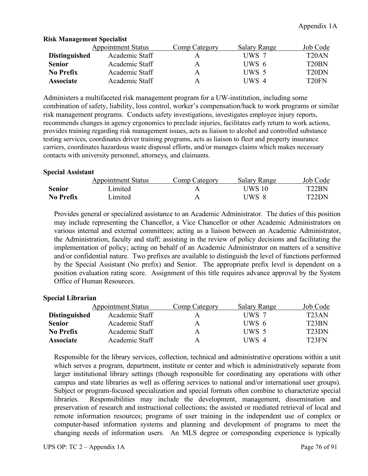|                      | <b>Appointment Status</b> | Comp Category | <b>Salary Range</b> | Job Code           |
|----------------------|---------------------------|---------------|---------------------|--------------------|
| <b>Distinguished</b> | Academic Staff            |               | UWS 7               | T20AN              |
| <b>Senior</b>        | Academic Staff            | A             | UWS 6               | T20BN              |
| <b>No Prefix</b>     | Academic Staff            | A             | UWS 5               | T <sub>20</sub> DN |
| <b>Associate</b>     | Academic Staff            | A             | UWS 4               | T <sub>20</sub> FN |

## **Risk Management Specialist**

Administers a multifaceted risk management program for a UW-institution, including some combination of safety, liability, loss control, worker's compensation/back to work programs or similar risk management programs. Conducts safety investigations, investigates employee injury reports, recommends changes in agency ergonomics to preclude injuries, facilitates early return to work actions, provides training regarding risk management issues, acts as liaison to alcohol and controlled substance testing services, coordinates driver training programs, acts as liaison to fleet and property insurance carriers, coordinates hazardous waste disposal efforts, and/or manages claims which makes necessary contacts with university personnel, attorneys, and claimants.

#### **Special Assistant**

|                  | <b>Appointment Status</b> | Comp Category | <b>Salary Range</b> | Job Code           |
|------------------|---------------------------|---------------|---------------------|--------------------|
| <b>Senior</b>    | _imited                   |               | UWS 10              | T <sub>22</sub> BN |
| <b>No Prefix</b> | Limited                   |               | UWS 8               | T <sub>22</sub> DN |

Provides general or specialized assistance to an Academic Administrator. The duties of this position may include representing the Chancellor, a Vice Chancellor or other Academic Administrators on various internal and external committees; acting as a liaison between an Academic Administrator, the Administration, faculty and staff; assisting in the review of policy decisions and facilitating the implementation of policy; acting on behalf of an Academic Administrator on matters of a sensitive and/or confidential nature. Two prefixes are available to distinguish the level of functions performed by the Special Assistant (No prefix) and Senior. The appropriate prefix level is dependent on a position evaluation rating score. Assignment of this title requires advance approval by the System Office of Human Resources.

## **Special Librarian**

|                      | <b>Appointment Status</b> | Comp Category | <b>Salary Range</b> | Job Code           |
|----------------------|---------------------------|---------------|---------------------|--------------------|
| <b>Distinguished</b> | Academic Staff            |               | UWS 7               | T <sub>23</sub> AN |
| <b>Senior</b>        | Academic Staff            | A             | UWS 6               | T <sub>23</sub> BN |
| <b>No Prefix</b>     | Academic Staff            | A             | UWS 5               | T23DN              |
| <b>Associate</b>     | Academic Staff            | A             | UWS 4               | T23FN              |

Responsible for the library services, collection, technical and administrative operations within a unit which serves a program, department, institute or center and which is administratively separate from larger institutional library settings (though responsible for coordinating any operations with other campus and state libraries as well as offering services to national and/or international user groups). Subject or program-focused specialization and special formats often combine to characterize special libraries. Responsibilities may include the development, management, dissemination and preservation of research and instructional collections; the assisted or mediated retrieval of local and remote information resources; programs of user training in the independent use of complex or computer-based information systems and planning and development of programs to meet the changing needs of information users. An MLS degree or corresponding experience is typically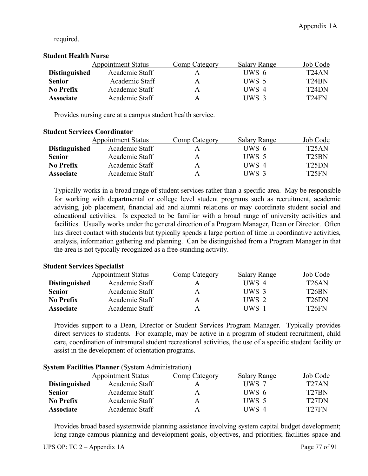required.

# **Student Health Nurse**

|                      | <b>Appointment Status</b> | Comp Category | <b>Salary Range</b> | Job Code           |
|----------------------|---------------------------|---------------|---------------------|--------------------|
| <b>Distinguished</b> | Academic Staff            | А             | UWS 6               | T24AN              |
| <b>Senior</b>        | Academic Staff            | A             | UWS 5               | T <sub>24</sub> BN |
| <b>No Prefix</b>     | Academic Staff            | A             | UWS 4               | T <sub>24</sub> DN |
| <b>Associate</b>     | Academic Staff            | А             | UWS 3               | T <sub>24</sub> FN |

Provides nursing care at a campus student health service.

# **Student Services Coordinator** Appointment Status Comp Category Salary Range Job Code **Distinguished** Academic Staff A UWS 6 T25AN **Senior** Academic Staff A UWS 5 T25BN **No Prefix** Academic Staff A UWS 4 T25DN **Associate** Academic Staff A UWS 3 T25FN

Typically works in a broad range of student services rather than a specific area. May be responsible for working with departmental or college level student programs such as recruitment, academic advising, job placement, financial aid and alumni relations or may coordinate student social and educational activities. Is expected to be familiar with a broad range of university activities and facilities. Usually works under the general direction of a Program Manager, Dean or Director. Often has direct contact with students but typically spends a large portion of time in coordinative activities, analysis, information gathering and planning. Can be distinguished from a Program Manager in that the area is not typically recognized as a free-standing activity.

# **Student Services Specialist**

|                      | <b>Appointment Status</b> | Comp Category | <b>Salary Range</b> | Job Code           |
|----------------------|---------------------------|---------------|---------------------|--------------------|
| <b>Distinguished</b> | Academic Staff            | А             | UWS 4               | T <sub>26</sub> AN |
| <b>Senior</b>        | Academic Staff            | А             | UWS 3               | T <sub>26</sub> BN |
| No Prefix            | Academic Staff            | Α             | UWS 2               | T <sub>26</sub> DN |
| <b>Associate</b>     | Academic Staff            | А             | UWS                 | T <sub>26</sub> FN |

Provides support to a Dean, Director or Student Services Program Manager. Typically provides direct services to students. For example, may be active in a program of student recruitment, child care, coordination of intramural student recreational activities, the use of a specific student facility or assist in the development of orientation programs.

|                      | <b>Appointment Status</b> | Comp Category | <b>Salary Range</b> | Job Code           |
|----------------------|---------------------------|---------------|---------------------|--------------------|
| <b>Distinguished</b> | Academic Staff            |               | UWS 7               | T <sub>27</sub> AN |
| <b>Senior</b>        | Academic Staff            | A             | UWS 6               | T <sub>27</sub> BN |
| No Prefix            | Academic Staff            | A             | UWS 5               | T <sub>27</sub> DN |
| <b>Associate</b>     | Academic Staff            | A             | UWS 4               | T <sub>27</sub> FN |

## **System Facilities Planner** (System Administration)

Provides broad based systemwide planning assistance involving system capital budget development; long range campus planning and development goals, objectives, and priorities; facilities space and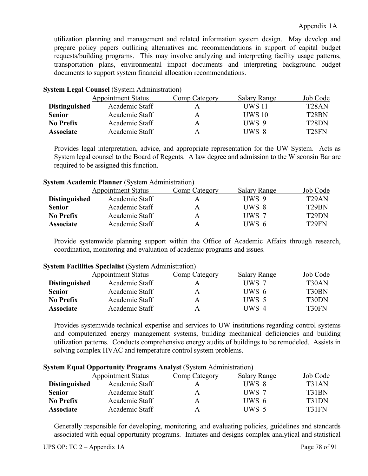utilization planning and management and related information system design. May develop and prepare policy papers outlining alternatives and recommendations in support of capital budget requests/building programs. This may involve analyzing and interpreting facility usage patterns, transportation plans, environmental impact documents and interpreting background budget documents to support system financial allocation recommendations.

## **System Legal Counsel** (System Administration)

|                      | <b>Appointment Status</b> | Comp Category | <b>Salary Range</b> | Job Code           |
|----------------------|---------------------------|---------------|---------------------|--------------------|
| <b>Distinguished</b> | Academic Staff            | A             | UWS 11              | T <sub>28</sub> AN |
| <b>Senior</b>        | Academic Staff            | А             | <b>UWS 10</b>       | T <sub>28</sub> BN |
| <b>No Prefix</b>     | Academic Staff            | А             | UWS 9               | T <sub>28</sub> DN |
| <b>Associate</b>     | Academic Staff            | А             | UWS 8               | T <sub>28</sub> FN |

Provides legal interpretation, advice, and appropriate representation for the UW System. Acts as System legal counsel to the Board of Regents. A law degree and admission to the Wisconsin Bar are required to be assigned this function.

## **System Academic Planner** (System Administration)

|                      | <b>Appointment Status</b> | Comp Category | <b>Salary Range</b> | Job Code           |
|----------------------|---------------------------|---------------|---------------------|--------------------|
| <b>Distinguished</b> | Academic Staff            | А             | UWS 9               | T <sub>29</sub> AN |
| <b>Senior</b>        | Academic Staff            | A             | UWS 8               | T <sub>29</sub> BN |
| No Prefix            | Academic Staff            | A             | UWS 7               | T <sub>29</sub> DN |
| <b>Associate</b>     | Academic Staff            | A             | UWS 6               | T <sub>29</sub> FN |

Provide systemwide planning support within the Office of Academic Affairs through research, coordination, monitoring and evaluation of academic programs and issues.

|                      | <b>Appointment Status</b> | Comp Category | <b>Salary Range</b> | Job Code           |
|----------------------|---------------------------|---------------|---------------------|--------------------|
| <b>Distinguished</b> | Academic Staff            |               | UWS 7               | T <sub>30</sub> AN |
| <b>Senior</b>        | Academic Staff            | Α             | UWS 6               | T <sub>30</sub> BN |
| No Prefix            | Academic Staff            | А             | UWS 5               | T30DN              |
| <b>Associate</b>     | Academic Staff            | А             | UWS 4               | T30FN              |

#### **System Facilities Specialist** (System Administration)

Provides systemwide technical expertise and services to UW institutions regarding control systems and computerized energy management systems, building mechanical deficiencies and building utilization patterns. Conducts comprehensive energy audits of buildings to be remodeled. Assists in solving complex HVAC and temperature control system problems.

|                      | <b>Appointment Status</b> | Comp Category | <b>Salary Range</b> | Job Code |
|----------------------|---------------------------|---------------|---------------------|----------|
| <b>Distinguished</b> | Academic Staff            |               | UWS 8               | T31AN    |
| <b>Senior</b>        | Academic Staff            | A             | UWS 7               | T31BN    |
| <b>No Prefix</b>     | Academic Staff            | A             | UWS 6               | T31DN    |
| <b>Associate</b>     | Academic Staff            | A             | UWS 5               | T31FN    |

#### **System Equal Opportunity Programs Analyst** (System Administration)

Generally responsible for developing, monitoring, and evaluating policies, guidelines and standards associated with equal opportunity programs. Initiates and designs complex analytical and statistical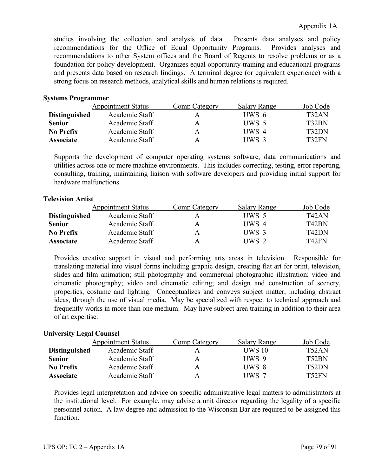studies involving the collection and analysis of data. Presents data analyses and policy recommendations for the Office of Equal Opportunity Programs. Provides analyses and recommendations to other System offices and the Board of Regents to resolve problems or as a foundation for policy development. Organizes equal opportunity training and educational programs and presents data based on research findings. A terminal degree (or equivalent experience) with a strong focus on research methods, analytical skills and human relations is required.

# **Systems Programmer**

|                      | <b>Appointment Status</b> | Comp Category | <b>Salary Range</b> | Job Code |
|----------------------|---------------------------|---------------|---------------------|----------|
| <b>Distinguished</b> | Academic Staff            |               | UWS 6               | T32AN    |
| <b>Senior</b>        | Academic Staff            | A             | UWS 5               | T32BN    |
| No Prefix            | Academic Staff            | А             | UWS 4               | T32DN    |
| <b>Associate</b>     | Academic Staff            | А             | UWS 3               | T32FN    |

Supports the development of computer operating systems software, data communications and utilities across one or more machine environments. This includes correcting, testing, error reporting, consulting, training, maintaining liaison with software developers and providing initial support for hardware malfunctions.

# **Television Artist**

|                      | <b>Appointment Status</b> | Comp Category | <b>Salary Range</b> | Job Code |
|----------------------|---------------------------|---------------|---------------------|----------|
| <b>Distinguished</b> | Academic Staff            |               | UWS 5               | T42AN    |
| <b>Senior</b>        | Academic Staff            | A             | UWS 4               | T42BN    |
| No Prefix            | Academic Staff            | A             | UWS 3               | T42DN    |
| <b>Associate</b>     | Academic Staff            | A             | UWS 2               | T42FN    |

Provides creative support in visual and performing arts areas in television. Responsible for translating material into visual forms including graphic design, creating flat art for print, television, slides and film animation; still photography and commercial photographic illustration; video and cinematic photography; video and cinematic editing; and design and construction of scenery, properties, costume and lighting. Conceptualizes and conveys subject matter, including abstract ideas, through the use of visual media. May be specialized with respect to technical approach and frequently works in more than one medium. May have subject area training in addition to their area of art expertise.

## **University Legal Counsel**

|                      | <b>Appointment Status</b> | Comp Category | <b>Salary Range</b> | Job Code           |
|----------------------|---------------------------|---------------|---------------------|--------------------|
| <b>Distinguished</b> | Academic Staff            |               | <b>UWS 10</b>       | T <sub>52</sub> AN |
| <b>Senior</b>        | Academic Staff            | A             | UWS 9               | T52BN              |
| No Prefix            | Academic Staff            | A             | UWS 8               | T <sub>52</sub> DN |
| <b>Associate</b>     | Academic Staff            | A             | UWS 7               | T52FN              |

Provides legal interpretation and advice on specific administrative legal matters to administrators at the institutional level. For example, may advise a unit director regarding the legality of a specific personnel action. A law degree and admission to the Wisconsin Bar are required to be assigned this function.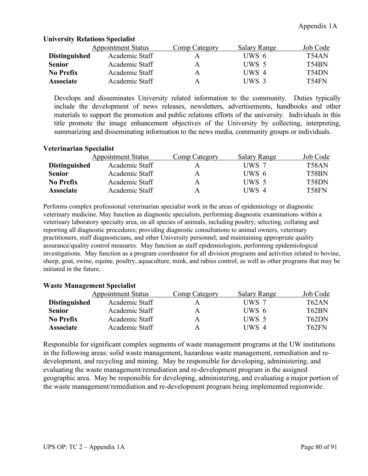|                      | <b>Appointment Status</b> | Comp Category | Salary Range | Job Code |
|----------------------|---------------------------|---------------|--------------|----------|
| <b>Distinguished</b> | Academic Staff            | A             | UWS 6        | T54AN    |
| <b>Senior</b>        | Academic Staff            | A             | UWS 5        | T54BN    |
| No Prefix            | Academic Staff            | A             | UWS 4        | T54DN    |
| <b>Associate</b>     | Academic Staff            | A             | UWS 3        | T54FN    |

#### **University Relations Specialist**

Develops and disseminates University related information to the community. Duties typically include the development of news releases, newsletters, advertisements, handbooks and other materials to support the promotion and public relations efforts of the university. Individuals in this title promote the image enhancement objectives of the University by collecting, interpreting, summarizing and disseminating information to the news media, community groups or individuals.

## **Veterinarian Specialist**

|                      | <b>Appointment Status</b> | Comp Category | <b>Salary Range</b> | Job Code           |
|----------------------|---------------------------|---------------|---------------------|--------------------|
| <b>Distinguished</b> | Academic Staff            |               | UWS 7               | T58AN              |
| <b>Senior</b>        | Academic Staff            | А             | UWS 6               | T58BN              |
| No Prefix            | Academic Staff            | А             | UWS 5               | T <sub>58</sub> DN |
| <b>Associate</b>     | Academic Staff            | А             | UWS 4               | T58FN              |

Performs complex professional veterinarian specialist work in the areas of epidemiology or diagnostic veterinary medicine. May function as diagnostic specialists, performing diagnostic examinations within a veterinary laboratory specialty area, on all species of animals, including poultry; selecting, collating and reporting all diagnostic procedures; providing diagnostic consultations to animal owners, veterinary practitioners, staff diagnosticians, and other University personnel; and maintaining appropriate quality assurance/quality control measures. May function as staff epidemiologists, performing epidemiological investigations. May function as a program coordinator for all division programs and activities related to bovine, sheep, goat, swine, equine, poultry, aquaculture, mink, and rabies control, as well as other programs that may be initiated in the future.

## **Waste Management Specialist**

|                      | <b>Appointment Status</b> | Comp Category | <b>Salary Range</b> | Job Code |
|----------------------|---------------------------|---------------|---------------------|----------|
| <b>Distinguished</b> | Academic Staff            |               | UWS 7               | T62AN    |
| <b>Senior</b>        | Academic Staff            | A             | UWS 6               | T62BN    |
| No Prefix            | Academic Staff            | A             | UWS 5               | T62DN    |
| <b>Associate</b>     | Academic Staff            | A             | UWS 4               | T62FN    |

Responsible for significant complex segments of waste management programs at the UW institutions in the following areas: solid waste management, hazardous waste management, remediation and redevelopment, and recycling and mining. May be responsible for developing, administering, and evaluating the waste management/remediation and re-development program in the assigned geographic area. May be responsible for developing, administering, and evaluating a major portion of the waste management/remediation and re-development program being implemented regionwide.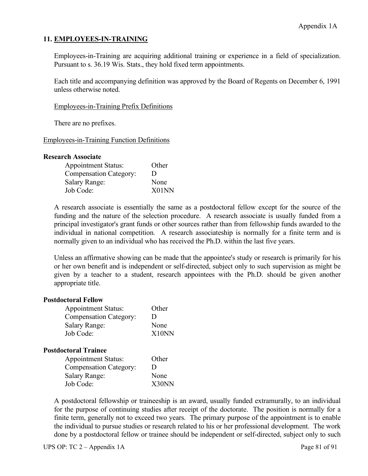# **11. EMPLOYEES-IN-TRAINING**

Employees-in-Training are acquiring additional training or experience in a field of specialization. Pursuant to s. 36.19 Wis. Stats., they hold fixed term appointments.

Each title and accompanying definition was approved by the Board of Regents on December 6, 1991 unless otherwise noted.

Employees-in-Training Prefix Definitions

There are no prefixes.

#### Employees-in-Training Function Definitions

#### **Research Associate**

| <b>Appointment Status:</b>    | Other |
|-------------------------------|-------|
| <b>Compensation Category:</b> | Ð     |
| <b>Salary Range:</b>          | None  |
| Job Code:                     | X01NN |

A research associate is essentially the same as a postdoctoral fellow except for the source of the funding and the nature of the selection procedure. A research associate is usually funded from a principal investigator's grant funds or other sources rather than from fellowship funds awarded to the individual in national competition. A research associateship is normally for a finite term and is normally given to an individual who has received the Ph.D. within the last five years.

Unless an affirmative showing can be made that the appointee's study or research is primarily for his or her own benefit and is independent or self-directed, subject only to such supervision as might be given by a teacher to a student, research appointees with the Ph.D. should be given another appropriate title.

#### **Postdoctoral Fellow**

| <b>Appointment Status:</b>    | Other |
|-------------------------------|-------|
| <b>Compensation Category:</b> | Ð     |
| <b>Salary Range:</b>          | None  |
| Job Code:                     | X10NN |

## **Postdoctoral Trainee**

| <b>Appointment Status:</b>    | Other |
|-------------------------------|-------|
| <b>Compensation Category:</b> | Ð     |
| <b>Salary Range:</b>          | None  |
| Job Code:                     | X30NN |

A postdoctoral fellowship or traineeship is an award, usually funded extramurally, to an individual for the purpose of continuing studies after receipt of the doctorate. The position is normally for a finite term, generally not to exceed two years. The primary purpose of the appointment is to enable the individual to pursue studies or research related to his or her professional development. The work done by a postdoctoral fellow or trainee should be independent or self-directed, subject only to such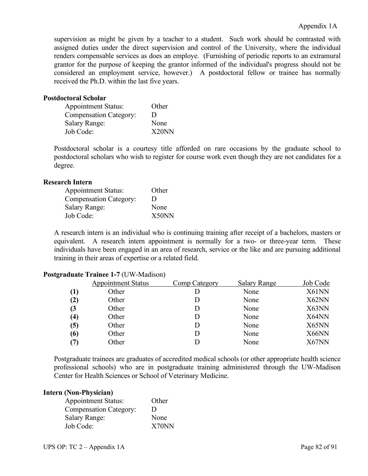supervision as might be given by a teacher to a student. Such work should be contrasted with assigned duties under the direct supervision and control of the University, where the individual renders compensable services as does an employe. (Furnishing of periodic reports to an extramural grantor for the purpose of keeping the grantor informed of the individual's progress should not be considered an employment service, however.) A postdoctoral fellow or trainee has normally received the Ph.D. within the last five years.

#### **Postdoctoral Scholar**

| <b>Appointment Status:</b>    | Other |
|-------------------------------|-------|
| <b>Compensation Category:</b> | Ð     |
| <b>Salary Range:</b>          | None  |
| Job Code:                     | X20NN |

Postdoctoral scholar is a courtesy title afforded on rare occasions by the graduate school to postdoctoral scholars who wish to register for course work even though they are not candidates for a degree.

# **Research Intern**

| <b>Appointment Status:</b>    | Other |
|-------------------------------|-------|
| <b>Compensation Category:</b> | Ð     |
| <b>Salary Range:</b>          | None  |
| Job Code:                     | X50NN |

A research intern is an individual who is continuing training after receipt of a bachelors, masters or equivalent. A research intern appointment is normally for a two- or three-year term. These individuals have been engaged in an area of research, service or the like and are pursuing additional training in their areas of expertise or a related field.

|                   | <b>Appointment Status</b> | Comp Category | <b>Salary Range</b> | Job Code |
|-------------------|---------------------------|---------------|---------------------|----------|
| $\bf(1)$          | Other                     |               | None                | X61NN    |
| (2)               | Other                     |               | None                | X62NN    |
| (3                | Other                     |               | None                | X63NN    |
| $\left( 4\right)$ | Other                     |               | None                | X64NN    |
| (5)               | Other                     |               | None                | X65NN    |
| (6)               | Other                     |               | None                | X66NN    |
| (7)               | Other                     |               | None                | X67NN    |
|                   |                           |               |                     |          |

## **Postgraduate Trainee 1-7** (UW-Madison)

Postgraduate trainees are graduates of accredited medical schools (or other appropriate health science professional schools) who are in postgraduate training administered through the UW-Madison Center for Health Sciences or School of Veterinary Medicine.

#### **Intern (Non-Physician)**

| <b>Appointment Status:</b>    | Other |
|-------------------------------|-------|
| <b>Compensation Category:</b> | Ð     |
| <b>Salary Range:</b>          | None  |
| Job Code:                     | X70NN |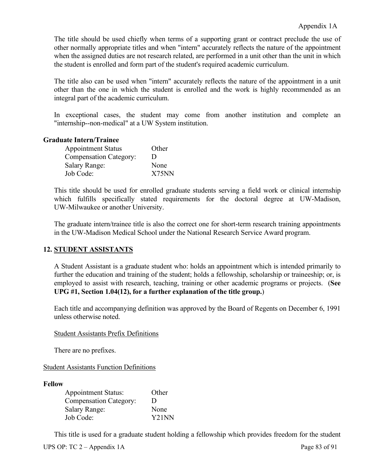The title should be used chiefly when terms of a supporting grant or contract preclude the use of other normally appropriate titles and when "intern" accurately reflects the nature of the appointment when the assigned duties are not research related, are performed in a unit other than the unit in which the student is enrolled and form part of the student's required academic curriculum.

The title also can be used when "intern" accurately reflects the nature of the appointment in a unit other than the one in which the student is enrolled and the work is highly recommended as an integral part of the academic curriculum.

In exceptional cases, the student may come from another institution and complete an "internship--non-medical" at a UW System institution.

## **Graduate Intern/Trainee**

| <b>Appointment Status</b>     | Other |
|-------------------------------|-------|
| <b>Compensation Category:</b> | Ð     |
| <b>Salary Range:</b>          | None  |
| Job Code:                     | X75NN |

This title should be used for enrolled graduate students serving a field work or clinical internship which fulfills specifically stated requirements for the doctoral degree at UW-Madison, UW-Milwaukee or another University.

The graduate intern/trainee title is also the correct one for short-term research training appointments in the UW-Madison Medical School under the National Research Service Award program.

## **12. STUDENT ASSISTANTS**

A Student Assistant is a graduate student who: holds an appointment which is intended primarily to further the education and training of the student; holds a fellowship, scholarship or traineeship; or, is employed to assist with research, teaching, training or other academic programs or projects. (**See UPG #1, Section 1.04(12), for a further explanation of the title group.**)

Each title and accompanying definition was approved by the Board of Regents on December 6, 1991 unless otherwise noted.

## Student Assistants Prefix Definitions

There are no prefixes.

Student Assistants Function Definitions

#### **Fellow**

| <b>Appointment Status:</b>    | Other              |
|-------------------------------|--------------------|
| <b>Compensation Category:</b> | Ð                  |
| <b>Salary Range:</b>          | None               |
| Job Code:                     | Y <sub>21</sub> NN |

This title is used for a graduate student holding a fellowship which provides freedom for the student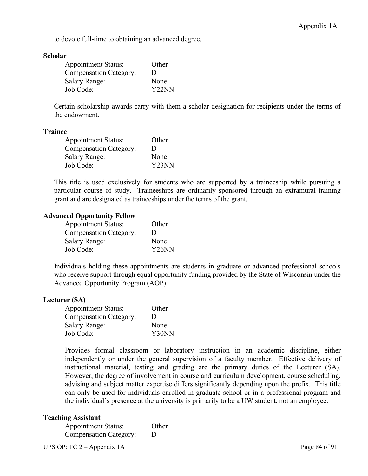to devote full-time to obtaining an advanced degree.

#### **Scholar**

| <b>Appointment Status:</b>    | Other              |
|-------------------------------|--------------------|
| <b>Compensation Category:</b> | Ð                  |
| <b>Salary Range:</b>          | None               |
| Job Code:                     | Y <sub>22</sub> NN |

Certain scholarship awards carry with them a scholar designation for recipients under the terms of the endowment.

#### **Trainee**

| <b>Appointment Status:</b>    | Other |
|-------------------------------|-------|
| <b>Compensation Category:</b> | Ð     |
| <b>Salary Range:</b>          | None  |
| Job Code:                     | Y23NN |

This title is used exclusively for students who are supported by a traineeship while pursuing a particular course of study. Traineeships are ordinarily sponsored through an extramural training grant and are designated as traineeships under the terms of the grant.

## **Advanced Opportunity Fellow**

| <b>Appointment Status:</b>    | Other              |
|-------------------------------|--------------------|
| <b>Compensation Category:</b> | Ð                  |
| <b>Salary Range:</b>          | None               |
| Job Code:                     | Y <sub>26</sub> NN |

Individuals holding these appointments are students in graduate or advanced professional schools who receive support through equal opportunity funding provided by the State of Wisconsin under the Advanced Opportunity Program (AOP).

#### **Lecturer (SA)**

| <b>Appointment Status:</b>    | Other |
|-------------------------------|-------|
| <b>Compensation Category:</b> | Ð     |
| <b>Salary Range:</b>          | None  |
| Job Code:                     | Y30NN |

Provides formal classroom or laboratory instruction in an academic discipline, either independently or under the general supervision of a faculty member. Effective delivery of instructional material, testing and grading are the primary duties of the Lecturer (SA). However, the degree of involvement in course and curriculum development, course scheduling, advising and subject matter expertise differs significantly depending upon the prefix. This title can only be used for individuals enrolled in graduate school or in a professional program and the individual's presence at the university is primarily to be a UW student, not an employee.

#### **Teaching Assistant**

| <b>Appointment Status:</b>    | Other |
|-------------------------------|-------|
| <b>Compensation Category:</b> | D     |

UPS OP: TC 2 – Appendix 1A Page 84 of 91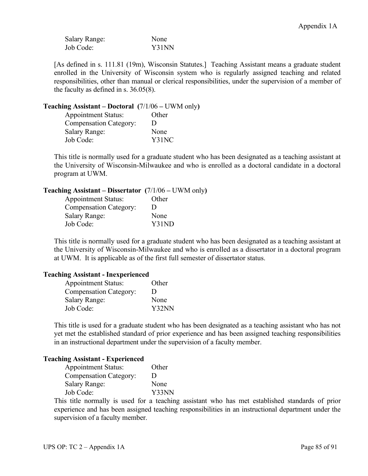| <b>Salary Range:</b> | None  |
|----------------------|-------|
| Job Code:            | Y31NN |

[As defined in s. 111.81 (19m), Wisconsin Statutes.] Teaching Assistant means a graduate student enrolled in the University of Wisconsin system who is regularly assigned teaching and related responsibilities, other than manual or clerical responsibilities, under the supervision of a member of the faculty as defined in s. 36.05(8).

# **Teaching Assistant – Doctoral (**7/1/06 **–** UWM only**)**

| <b>Appointment Status:</b>    | Other        |
|-------------------------------|--------------|
| <b>Compensation Category:</b> | $\mathbf{D}$ |
| Salary Range:                 | None         |
| Job Code:                     | Y31NC        |

This title is normally used for a graduate student who has been designated as a teaching assistant at the University of Wisconsin-Milwaukee and who is enrolled as a doctoral candidate in a doctoral program at UWM.

# **Teaching Assistant – Dissertator (**7/1/06 **–** UWM only**)**

| <b>Appointment Status:</b>    | Other |
|-------------------------------|-------|
| <b>Compensation Category:</b> | Ð     |
| <b>Salary Range:</b>          | None  |
| Job Code:                     | Y31ND |

This title is normally used for a graduate student who has been designated as a teaching assistant at the University of Wisconsin-Milwaukee and who is enrolled as a dissertator in a doctoral program at UWM. It is applicable as of the first full semester of dissertator status.

## **Teaching Assistant - Inexperienced**

| <b>Appointment Status:</b>    | Other |
|-------------------------------|-------|
| <b>Compensation Category:</b> | D     |
| <b>Salary Range:</b>          | None  |
| Job Code:                     | Y32NN |

This title is used for a graduate student who has been designated as a teaching assistant who has not yet met the established standard of prior experience and has been assigned teaching responsibilities in an instructional department under the supervision of a faculty member.

#### **Teaching Assistant - Experienced**

| <b>Appointment Status:</b>    | Other |
|-------------------------------|-------|
| <b>Compensation Category:</b> | Ð     |
| <b>Salary Range:</b>          | None  |
| Job Code:                     | Y33NN |

This title normally is used for a teaching assistant who has met established standards of prior experience and has been assigned teaching responsibilities in an instructional department under the supervision of a faculty member.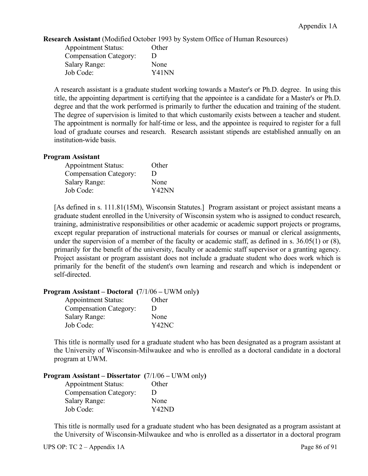**Research Assistant** (Modified October 1993 by System Office of Human Resources)

| <b>Appointment Status:</b>    | Other |
|-------------------------------|-------|
| <b>Compensation Category:</b> | Ð     |
| <b>Salary Range:</b>          | None  |
| Job Code:                     | Y41NN |

A research assistant is a graduate student working towards a Master's or Ph.D. degree. In using this title, the appointing department is certifying that the appointee is a candidate for a Master's or Ph.D. degree and that the work performed is primarily to further the education and training of the student. The degree of supervision is limited to that which customarily exists between a teacher and student. The appointment is normally for half-time or less, and the appointee is required to register for a full load of graduate courses and research. Research assistant stipends are established annually on an institution-wide basis.

#### **Program Assistant**

| <b>Appointment Status:</b>    | Other |
|-------------------------------|-------|
| <b>Compensation Category:</b> | Ð     |
| <b>Salary Range:</b>          | None  |
| Job Code:                     | Y42NN |

[As defined in s. 111.81(15M), Wisconsin Statutes.] Program assistant or project assistant means a graduate student enrolled in the University of Wisconsin system who is assigned to conduct research, training, administrative responsibilities or other academic or academic support projects or programs, except regular preparation of instructional materials for courses or manual or clerical assignments, under the supervision of a member of the faculty or academic staff, as defined in s. 36.05(1) or (8), primarily for the benefit of the university, faculty or academic staff supervisor or a granting agency. Project assistant or program assistant does not include a graduate student who does work which is primarily for the benefit of the student's own learning and research and which is independent or self-directed.

#### **Program Assistant – Doctoral (**7/1/06 **–** UWM only**)**

| <b>Appointment Status:</b>    | Other |
|-------------------------------|-------|
| <b>Compensation Category:</b> | Ð     |
| <b>Salary Range:</b>          | None  |
| Job Code:                     | Y42NC |

This title is normally used for a graduate student who has been designated as a program assistant at the University of Wisconsin-Milwaukee and who is enrolled as a doctoral candidate in a doctoral program at UWM.

#### **Program Assistant – Dissertator (**7/1/06 **–** UWM only**)**

| <b>Appointment Status:</b>    | Other        |
|-------------------------------|--------------|
| <b>Compensation Category:</b> | $\mathbf{D}$ |
| <b>Salary Range:</b>          | None         |
| Job Code:                     | Y42ND        |

This title is normally used for a graduate student who has been designated as a program assistant at the University of Wisconsin-Milwaukee and who is enrolled as a dissertator in a doctoral program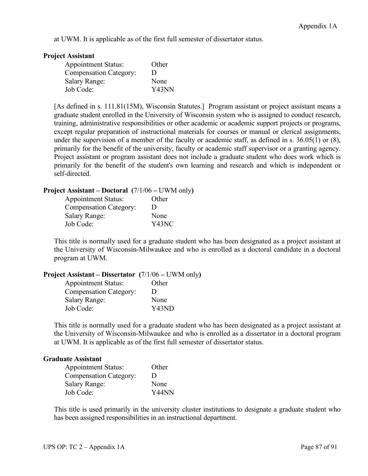at UWM. It is applicable as of the first full semester of dissertator status.

#### **Project Assistant**

| <b>Appointment Status:</b>    | Other |
|-------------------------------|-------|
| <b>Compensation Category:</b> | Ð     |
| <b>Salary Range:</b>          | None  |
| Job Code:                     | Y43NN |

[As defined in s. 111.81(15M), Wisconsin Statutes.] Program assistant or project assistant means a graduate student enrolled in the University of Wisconsin system who is assigned to conduct research, training, administrative responsibilities or other academic or academic support projects or programs, except regular preparation of instructional materials for courses or manual or clerical assignments, under the supervision of a member of the faculty or academic staff, as defined in s. 36.05(1) or (8), primarily for the benefit of the university, faculty or academic staff supervisor or a granting agency. Project assistant or program assistant does not include a graduate student who does work which is primarily for the benefit of the student's own learning and research and which is independent or self-directed.

## **Project Assistant – Doctoral (**7/1/06 **–** UWM only**)**

| <b>Appointment Status:</b>    | Other          |
|-------------------------------|----------------|
| <b>Compensation Category:</b> | $\blacksquare$ |
| <b>Salary Range:</b>          | None           |
| Job Code:                     | Y43NC          |

This title is normally used for a graduate student who has been designated as a project assistant at the University of Wisconsin-Milwaukee and who is enrolled as a doctoral candidate in a doctoral program at UWM.

|  |  | <b>Project Assistant – Dissertator</b> $(7/1/06 - UWM \text{ only})$ |  |
|--|--|----------------------------------------------------------------------|--|
|  |  |                                                                      |  |

| <b>Appointment Status:</b>    | Other        |
|-------------------------------|--------------|
| <b>Compensation Category:</b> | $\mathbf{D}$ |
| <b>Salary Range:</b>          | None         |
| Job Code:                     | Y43ND        |

This title is normally used for a graduate student who has been designated as a project assistant at the University of Wisconsin-Milwaukee and who is enrolled as a dissertator in a doctoral program at UWM. It is applicable as of the first full semester of dissertator status.

## **Graduate Assistant**

| <b>Appointment Status:</b>    | Other |
|-------------------------------|-------|
| <b>Compensation Category:</b> | Ð     |
| <b>Salary Range:</b>          | None  |
| Job Code:                     | Y44NN |

This title is used primarily in the university cluster institutions to designate a graduate student who has been assigned responsibilities in an instructional department.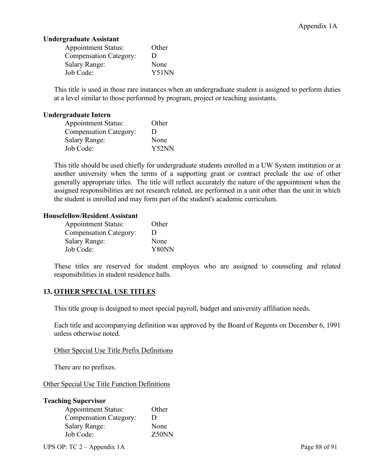# **Undergraduate Assistant**

| <b>Appointment Status:</b>    | Other |
|-------------------------------|-------|
| <b>Compensation Category:</b> | Ð     |
| <b>Salary Range:</b>          | None  |
| Job Code:                     | Y51NN |

This title is used in those rare instances when an undergraduate student is assigned to perform duties at a level similar to those performed by program, project or teaching assistants.

#### **Undergraduate Intern**

| <b>Appointment Status:</b>    | Other |
|-------------------------------|-------|
| <b>Compensation Category:</b> | Ð     |
| <b>Salary Range:</b>          | None  |
| Job Code:                     | Y52NN |

This title should be used chiefly for undergraduate students enrolled in a UW System institution or at another university when the terms of a supporting grant or contract preclude the use of other generally appropriate titles. The title will reflect accurately the nature of the appointment when the assigned responsibilities are not research related, are performed in a unit other than the unit in which the student is enrolled and may form part of the student's academic curriculum.

## **Housefellow/Resident Assistant**

| <b>Appointment Status:</b>    | Other |
|-------------------------------|-------|
| <b>Compensation Category:</b> | Ð     |
| <b>Salary Range:</b>          | None  |
| Job Code:                     | Y80NN |

These titles are reserved for student employes who are assigned to counseling and related responsibilities in student residence halls.

## **13. OTHER SPECIAL USE TITLES**

This title group is designed to meet special payroll, budget and university affiliation needs.

Each title and accompanying definition was approved by the Board of Regents on December 6, 1991 unless otherwise noted.

## Other Special Use Title Prefix Definitions

There are no prefixes.

Other Special Use Title Function Definitions

| <b>Teaching Supervisor</b>    |       |
|-------------------------------|-------|
| <b>Appointment Status:</b>    | Other |
| <b>Compensation Category:</b> | Ð     |
| <b>Salary Range:</b>          | None  |
| Job Code:                     | Z50NN |

UPS OP: TC 2 – Appendix 1A Page 88 of 91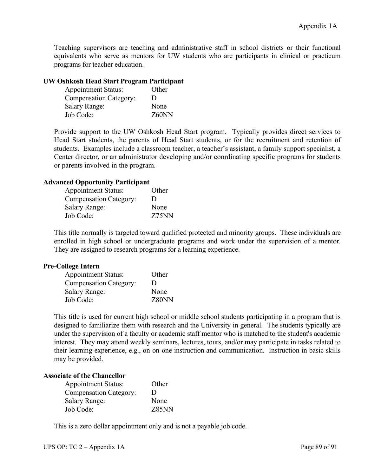Teaching supervisors are teaching and administrative staff in school districts or their functional equivalents who serve as mentors for UW students who are participants in clinical or practicum programs for teacher education.

# **UW Oshkosh Head Start Program Participant**

| <b>Appointment Status:</b>    | Other |
|-------------------------------|-------|
| <b>Compensation Category:</b> | Ð     |
| <b>Salary Range:</b>          | None  |
| Job Code:                     | Z60NN |

Provide support to the UW Oshkosh Head Start program. Typically provides direct services to Head Start students, the parents of Head Start students, or for the recruitment and retention of students. Examples include a classroom teacher, a teacher's assistant, a family support specialist, a Center director, or an administrator developing and/or coordinating specific programs for students or parents involved in the program.

## **Advanced Opportunity Participant**

| <b>Appointment Status:</b>    | Other        |
|-------------------------------|--------------|
| <b>Compensation Category:</b> | $\mathbf{D}$ |
| <b>Salary Range:</b>          | None         |
| Job Code:                     | Z75NN        |

This title normally is targeted toward qualified protected and minority groups. These individuals are enrolled in high school or undergraduate programs and work under the supervision of a mentor. They are assigned to research programs for a learning experience.

## **Pre-College Intern**

| <b>Appointment Status:</b>    | Other |
|-------------------------------|-------|
| <b>Compensation Category:</b> | Ð     |
| <b>Salary Range:</b>          | None  |
| Job Code:                     | Z80NN |

This title is used for current high school or middle school students participating in a program that is designed to familiarize them with research and the University in general. The students typically are under the supervision of a faculty or academic staff mentor who is matched to the student's academic interest. They may attend weekly seminars, lectures, tours, and/or may participate in tasks related to their learning experience, e.g., on-on-one instruction and communication. Instruction in basic skills may be provided.

#### **Associate of the Chancellor**

| <b>Appointment Status:</b>    | Other |
|-------------------------------|-------|
| <b>Compensation Category:</b> | Ð     |
| <b>Salary Range:</b>          | None  |
| Job Code:                     | Z85NN |

This is a zero dollar appointment only and is not a payable job code.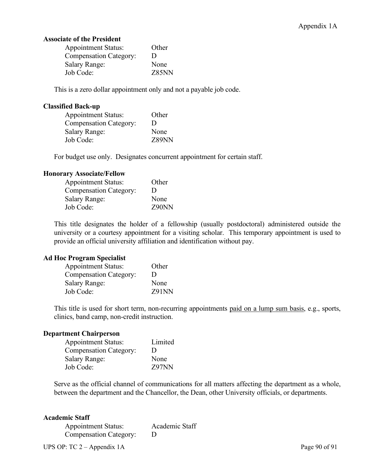#### **Associate of the President**

| <b>Appointment Status:</b>    | Other |
|-------------------------------|-------|
| <b>Compensation Category:</b> | Ð     |
| <b>Salary Range:</b>          | None  |
| Job Code:                     | Z85NN |

This is a zero dollar appointment only and not a payable job code.

## **Classified Back-up**

| <b>Appointment Status:</b>    | Other |
|-------------------------------|-------|
| <b>Compensation Category:</b> | Ð     |
| <b>Salary Range:</b>          | None  |
| Job Code:                     | Z89NN |

For budget use only. Designates concurrent appointment for certain staff.

#### **Honorary Associate/Fellow**

| <b>Appointment Status:</b>    | Other |
|-------------------------------|-------|
| <b>Compensation Category:</b> | Ð     |
| <b>Salary Range:</b>          | None  |
| Job Code:                     | Z90NN |

This title designates the holder of a fellowship (usually postdoctoral) administered outside the university or a courtesy appointment for a visiting scholar. This temporary appointment is used to provide an official university affiliation and identification without pay.

#### **Ad Hoc Program Specialist**

| <b>Appointment Status:</b>    | Other |
|-------------------------------|-------|
| <b>Compensation Category:</b> | Ð     |
| <b>Salary Range:</b>          | None  |
| Job Code:                     | Z91NN |

This title is used for short term, non-recurring appointments paid on a lump sum basis, e.g., sports, clinics, band camp, non-credit instruction.

## **Department Chairperson**

| <b>Appointment Status:</b>    | Limited |
|-------------------------------|---------|
| <b>Compensation Category:</b> | Ð       |
| <b>Salary Range:</b>          | None    |
| Job Code:                     | Z97NN   |

Serve as the official channel of communications for all matters affecting the department as a whole, between the department and the Chancellor, the Dean, other University officials, or departments.

#### **Academic Staff**

Appointment Status: Academic Staff Compensation Category: D